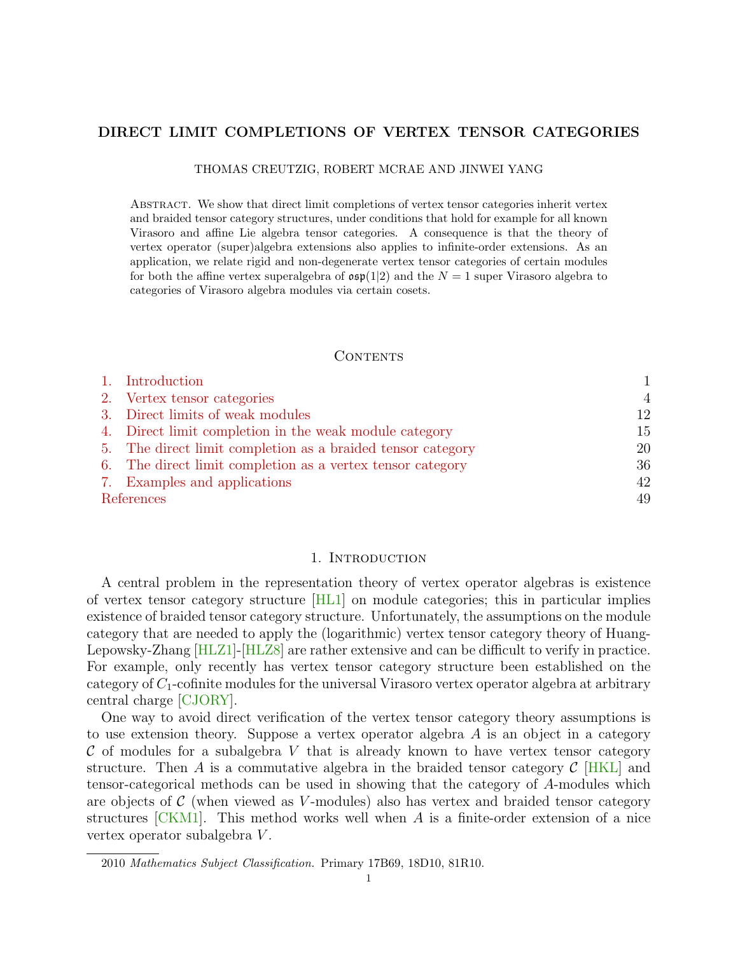# DIRECT LIMIT COMPLETIONS OF VERTEX TENSOR CATEGORIES

THOMAS CREUTZIG, ROBERT MCRAE AND JINWEI YANG

Abstract. We show that direct limit completions of vertex tensor categories inherit vertex and braided tensor category structures, under conditions that hold for example for all known Virasoro and affine Lie algebra tensor categories. A consequence is that the theory of vertex operator (super)algebra extensions also applies to infinite-order extensions. As an application, we relate rigid and non-degenerate vertex tensor categories of certain modules for both the affine vertex superalgebra of  $\mathfrak{osp}(1|2)$  and the  $N=1$  super Virasoro algebra to categories of Virasoro algebra modules via certain cosets.

# CONTENTS

|            | 1. Introduction                                             |                |
|------------|-------------------------------------------------------------|----------------|
|            | 2. Vertex tensor categories                                 | $\overline{4}$ |
|            | 3. Direct limits of weak modules                            | 12             |
|            | 4. Direct limit completion in the weak module category      | 15             |
|            | 5. The direct limit completion as a braided tensor category | 20             |
|            | 6. The direct limit completion as a vertex tensor category  | 36             |
|            | 7. Examples and applications                                | 42             |
| References |                                                             | 49             |

### 1. INTRODUCTION

<span id="page-0-0"></span>A central problem in the representation theory of vertex operator algebras is existence of vertex tensor category structure [\[HL1\]](#page-49-0) on module categories; this in particular implies existence of braided tensor category structure. Unfortunately, the assumptions on the module category that are needed to apply the (logarithmic) vertex tensor category theory of Huang-Lepowsky-Zhang [\[HLZ1\]](#page-49-1)-[\[HLZ8\]](#page-50-0) are rather extensive and can be difficult to verify in practice. For example, only recently has vertex tensor category structure been established on the category of  $C_1$ -cofinite modules for the universal Virasoro vertex operator algebra at arbitrary central charge [\[CJORY\]](#page-49-2).

One way to avoid direct verification of the vertex tensor category theory assumptions is to use extension theory. Suppose a vertex operator algebra A is an object in a category  $\mathcal C$  of modules for a subalgebra V that is already known to have vertex tensor category structure. Then A is a commutative algebra in the braided tensor category  $\mathcal{C}$  [\[HKL\]](#page-49-3) and tensor-categorical methods can be used in showing that the category of A-modules which are objects of  $\mathcal C$  (when viewed as V-modules) also has vertex and braided tensor category structures  $\lfloor CKM1 \rfloor$ . This method works well when A is a finite-order extension of a nice vertex operator subalgebra  $V$ .

<sup>2010</sup> Mathematics Subject Classification. Primary 17B69, 18D10, 81R10.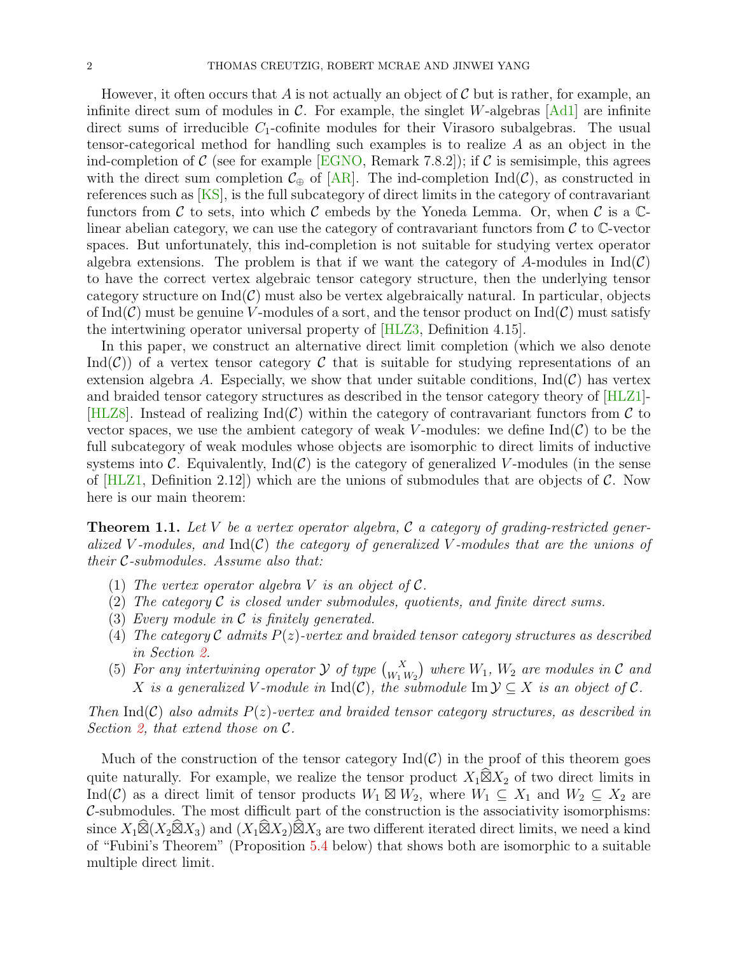However, it often occurs that A is not actually an object of C but is rather, for example, an infinite direct sum of modules in  $\mathcal{C}$ . For example, the singlet W-algebras  $[Ad1]$  are infinite direct sums of irreducible  $C_1$ -cofinite modules for their Virasoro subalgebras. The usual tensor-categorical method for handling such examples is to realize  $A$  as an object in the ind-completion of C (see for example **EGNO**, Remark 7.8.2); if C is semisimple, this agrees with the direct sum completion  $\mathcal{C}_{\oplus}$  of [\[AR\]](#page-48-2). The ind-completion Ind( $\mathcal{C}$ ), as constructed in references such as [\[KS\]](#page-50-1), is the full subcategory of direct limits in the category of contravariant functors from C to sets, into which C embeds by the Yoneda Lemma. Or, when C is a  $\mathbb{C}$ linear abelian category, we can use the category of contravariant functors from  $\mathcal C$  to  $\mathbb C$ -vector spaces. But unfortunately, this ind-completion is not suitable for studying vertex operator algebra extensions. The problem is that if we want the category of A-modules in  $Ind(\mathcal{C})$ to have the correct vertex algebraic tensor category structure, then the underlying tensor category structure on  $Ind(\mathcal{C})$  must also be vertex algebraically natural. In particular, objects of Ind(C) must be genuine V-modules of a sort, and the tensor product on  $\text{Ind}(\mathcal{C})$  must satisfy the intertwining operator universal property of [\[HLZ3,](#page-49-6) Definition 4.15].

In this paper, we construct an alternative direct limit completion (which we also denote Ind( $\mathcal{C}$ ) of a vertex tensor category  $\mathcal C$  that is suitable for studying representations of an extension algebra A. Especially, we show that under suitable conditions,  $\text{Ind}(\mathcal{C})$  has vertex and braided tensor category structures as described in the tensor category theory of [\[HLZ1\]](#page-49-1)- [\[HLZ8\]](#page-50-0). Instead of realizing  $\text{Ind}(\mathcal{C})$  within the category of contravariant functors from  $\mathcal C$  to vector spaces, we use the ambient category of weak V-modules: we define  $\text{Ind}(\mathcal{C})$  to be the full subcategory of weak modules whose objects are isomorphic to direct limits of inductive systems into C. Equivalently,  $\text{Ind}(\mathcal{C})$  is the category of generalized V-modules (in the sense of  $[HLZ1,$  Definition 2.12) which are the unions of submodules that are objects of C. Now here is our main theorem:

<span id="page-1-0"></span>**Theorem 1.1.** Let V be a vertex operator algebra, C a category of grading-restricted generalized V-modules, and  $\text{Ind}(\mathcal{C})$  the category of generalized V-modules that are the unions of their C-submodules. Assume also that:

- (1) The vertex operator algebra V is an object of  $\mathcal{C}$ .
- (2) The category  $\mathcal C$  is closed under submodules, quotients, and finite direct sums.
- (3) Every module in  $\mathcal C$  is finitely generated.
- (4) The category C admits  $P(z)$ -vertex and braided tensor category structures as described in Section [2.](#page-3-0)
- (5) For any intertwining operator  $\mathcal Y$  of type  $\binom{X}{W_1 W_2}$  where  $W_1$ ,  $W_2$  are modules in  $\mathcal C$  and X is a generalized V-module in  $\text{Ind}(\mathcal{C})$ , the submodule  $\text{Im }\mathcal{Y} \subseteq X$  is an object of  $\mathcal{C}$ .

Then  $Ind(C)$  also admits  $P(z)$ -vertex and braided tensor category structures, as described in Section [2,](#page-3-0) that extend those on  $\mathcal{C}.$ 

Much of the construction of the tensor category  $\text{Ind}(\mathcal{C})$  in the proof of this theorem goes quite naturally. For example, we realize the tensor product  $X_1 \widehat{\boxtimes} X_2$  of two direct limits in Ind(C) as a direct limit of tensor products  $W_1 \boxtimes W_2$ , where  $W_1 \subseteq X_1$  and  $W_2 \subseteq X_2$  are C-submodules. The most difficult part of the construction is the associativity isomorphisms: since  $X_1 \widehat{\boxtimes} (X_2 \widehat{\boxtimes} X_3)$  and  $(X_1 \widehat{\boxtimes} X_2) \widehat{\boxtimes} X_3$  are two different iterated direct limits, we need a kind of "Fubini's Theorem" (Proposition [5.4](#page-23-0) below) that shows both are isomorphic to a suitable multiple direct limit.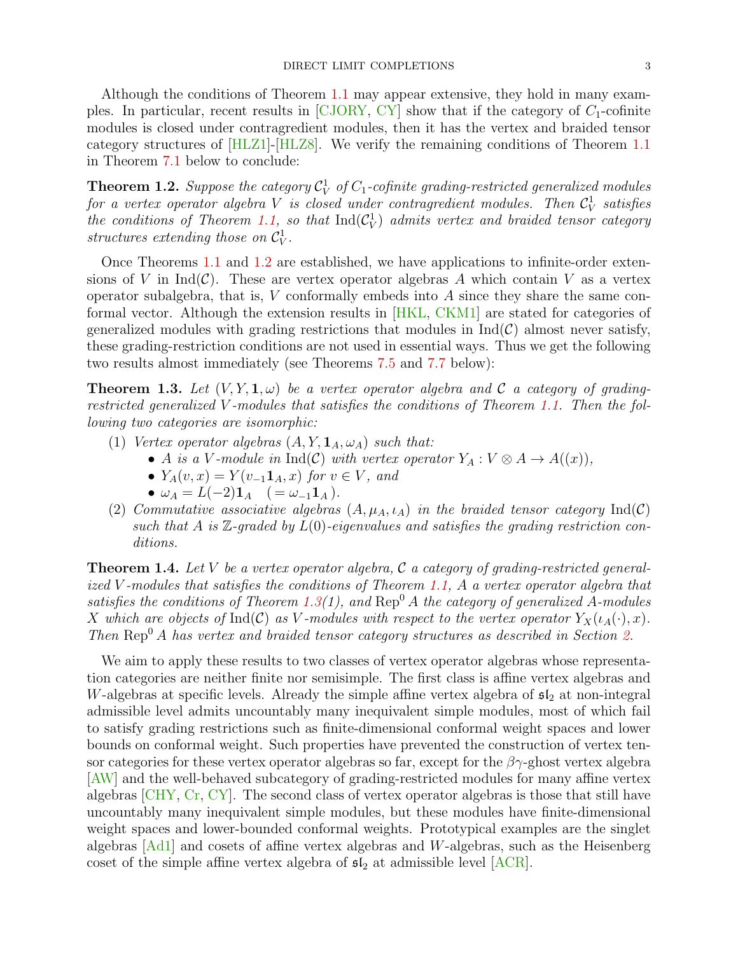Although the conditions of Theorem [1.1](#page-1-0) may appear extensive, they hold in many examples. In particular, recent results in  $\left[CIORY, CY\right]$  show that if the category of  $C_1$ -cofinite modules is closed under contragredient modules, then it has the vertex and braided tensor category structures of [\[HLZ1\]](#page-49-1)-[\[HLZ8\]](#page-50-0). We verify the remaining conditions of Theorem [1.1](#page-1-0) in Theorem [7.1](#page-41-1) below to conclude:

<span id="page-2-0"></span>**Theorem 1.2.** Suppose the category  $\mathcal{C}_V^1$  of  $C_1$ -cofinite grading-restricted generalized modules for a vertex operator algebra V is closed under contragredient modules. Then  $\mathcal{C}_{V}^{1}$  satisfies the conditions of Theorem [1.1,](#page-1-0) so that  $\text{Ind}(\mathcal{C}_V^1)$  admits vertex and braided tensor category structures extending those on  $\mathcal{C}_V^1$ .

Once Theorems [1.1](#page-1-0) and [1.2](#page-2-0) are established, we have applications to infinite-order extensions of V in Ind( $\mathcal{C}$ ). These are vertex operator algebras A which contain V as a vertex operator subalgebra, that is,  $V$  conformally embeds into  $A$  since they share the same conformal vector. Although the extension results in [\[HKL,](#page-49-3) [CKM1\]](#page-49-4) are stated for categories of generalized modules with grading restrictions that modules in  $\text{Ind}(\mathcal{C})$  almost never satisfy, these grading-restriction conditions are not used in essential ways. Thus we get the following two results almost immediately (see Theorems [7.5](#page-43-0) and [7.7](#page-44-0) below):

<span id="page-2-1"></span>**Theorem 1.3.** Let  $(V, Y, 1, \omega)$  be a vertex operator algebra and C a category of gradingrestricted generalized V -modules that satisfies the conditions of Theorem [1.1.](#page-1-0) Then the following two categories are isomorphic:

- (1) Vertex operator algebras  $(A, Y, \mathbf{1}_A, \omega_A)$  such that:
	- A is a V-module in Ind(C) with vertex operator  $Y_A: V \otimes A \to A((x)),$
	- $Y_A(v, x) = Y(v_{-1}\mathbf{1}_A, x)$  for  $v \in V$ , and
	- $\omega_A = L(-2) \mathbf{1}_A \quad (=\omega_{-1} \mathbf{1}_A).$
- (2) Commutative associative algebras  $(A, \mu_A, \iota_A)$  in the braided tensor category  $\text{Ind}(\mathcal{C})$ such that A is  $\mathbb{Z}$ -graded by  $L(0)$ -eigenvalues and satisfies the grading restriction conditions.

**Theorem 1.4.** Let V be a vertex operator algebra, C a category of grading-restricted generalized V -modules that satisfies the conditions of Theorem [1.1,](#page-1-0) A a vertex operator algebra that satisfies the conditions of Theorem [1.3\(](#page-2-1)1), and  $\text{Rep}^0 A$  the category of generalized A-modules X which are objects of Ind(C) as V-modules with respect to the vertex operator  $Y_X(\iota_A(\cdot), x)$ . Then  $\text{Rep}^0 A$  has vertex and braided tensor category structures as described in Section [2.](#page-3-0)

We aim to apply these results to two classes of vertex operator algebras whose representation categories are neither finite nor semisimple. The first class is affine vertex algebras and W-algebras at specific levels. Already the simple affine vertex algebra of  $\mathfrak{sl}_2$  at non-integral admissible level admits uncountably many inequivalent simple modules, most of which fail to satisfy grading restrictions such as finite-dimensional conformal weight spaces and lower bounds on conformal weight. Such properties have prevented the construction of vertex tensor categories for these vertex operator algebras so far, except for the  $\beta\gamma$ -ghost vertex algebra [\[AW\]](#page-48-3) and the well-behaved subcategory of grading-restricted modules for many affine vertex algebras [\[CHY,](#page-49-8) [Cr,](#page-48-4) [CY\]](#page-49-7). The second class of vertex operator algebras is those that still have uncountably many inequivalent simple modules, but these modules have finite-dimensional weight spaces and lower-bounded conformal weights. Prototypical examples are the singlet algebras [\[Ad1\]](#page-48-1) and cosets of affine vertex algebras and W-algebras, such as the Heisenberg coset of the simple affine vertex algebra of  $\mathfrak{sl}_2$  at admissible level  $[ACR]$ .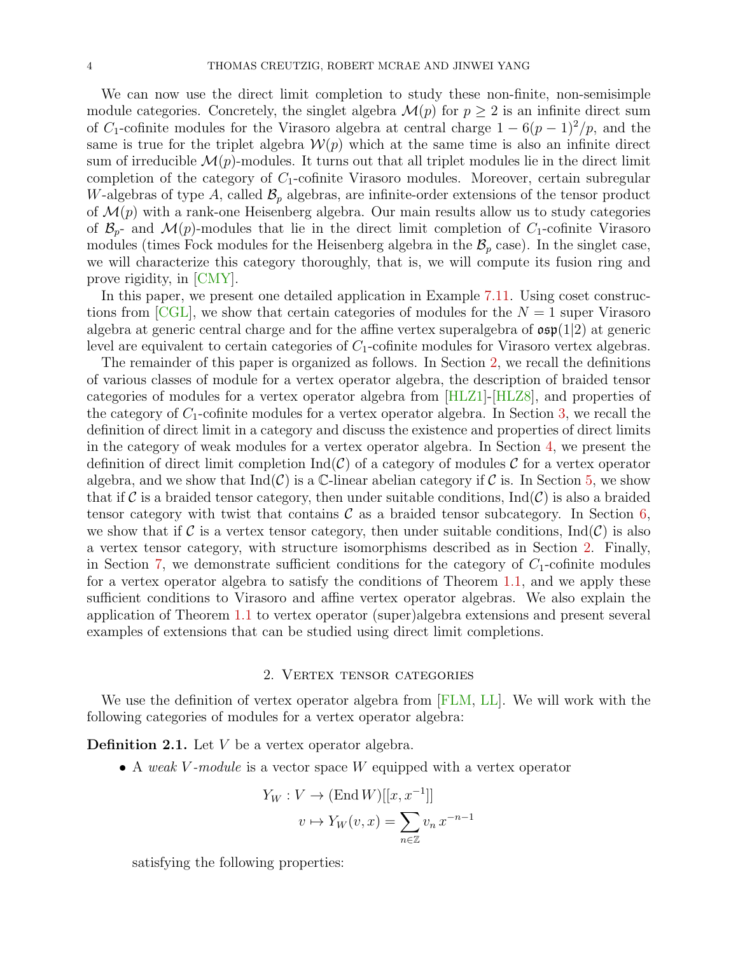We can now use the direct limit completion to study these non-finite, non-semisimple module categories. Concretely, the singlet algebra  $\mathcal{M}(p)$  for  $p \geq 2$  is an infinite direct sum of C<sub>1</sub>-cofinite modules for the Virasoro algebra at central charge  $1 - 6(p-1)^2/p$ , and the same is true for the triplet algebra  $W(p)$  which at the same time is also an infinite direct sum of irreducible  $\mathcal{M}(p)$ -modules. It turns out that all triplet modules lie in the direct limit completion of the category of  $C_1$ -cofinite Virasoro modules. Moreover, certain subregular W-algebras of type A, called  $\mathcal{B}_p$  algebras, are infinite-order extensions of the tensor product of  $\mathcal{M}(p)$  with a rank-one Heisenberg algebra. Our main results allow us to study categories of  $\mathcal{B}_{p^-}$  and  $\mathcal{M}(p)$ -modules that lie in the direct limit completion of  $C_1$ -cofinite Virasoro modules (times Fock modules for the Heisenberg algebra in the  $\mathcal{B}_p$  case). In the singlet case, we will characterize this category thoroughly, that is, we will compute its fusion ring and prove rigidity, in [\[CMY\]](#page-49-9).

In this paper, we present one detailed application in Example [7.11.](#page-45-0) Using coset constructions from  $\text{[CGL]}$  $\text{[CGL]}$  $\text{[CGL]}$ , we show that certain categories of modules for the  $N = 1$  super Virasoro algebra at generic central charge and for the affine vertex superalgebra of  $\mathfrak{osp}(1|2)$  at generic level are equivalent to certain categories of  $C_1$ -cofinite modules for Virasoro vertex algebras.

The remainder of this paper is organized as follows. In Section [2,](#page-3-0) we recall the definitions of various classes of module for a vertex operator algebra, the description of braided tensor categories of modules for a vertex operator algebra from [\[HLZ1\]](#page-49-1)-[\[HLZ8\]](#page-50-0), and properties of the category of  $C_1$ -cofinite modules for a vertex operator algebra. In Section [3,](#page-11-0) we recall the definition of direct limit in a category and discuss the existence and properties of direct limits in the category of weak modules for a vertex operator algebra. In Section [4,](#page-14-0) we present the definition of direct limit completion  $\text{Ind}(\mathcal{C})$  of a category of modules  $\mathcal C$  for a vertex operator algebra, and we show that  $Ind(\mathcal{C})$  is a C-linear abelian category if C is. In Section [5,](#page-19-0) we show that if C is a braided tensor category, then under suitable conditions,  $\text{Ind}(\mathcal{C})$  is also a braided tensor category with twist that contains  $\mathcal C$  as a braided tensor subcategory. In Section [6,](#page-35-0) we show that if C is a vertex tensor category, then under suitable conditions,  $\text{Ind}(\mathcal{C})$  is also a vertex tensor category, with structure isomorphisms described as in Section [2.](#page-3-0) Finally, in Section [7,](#page-41-0) we demonstrate sufficient conditions for the category of  $C_1$ -cofinite modules for a vertex operator algebra to satisfy the conditions of Theorem [1.1,](#page-1-0) and we apply these sufficient conditions to Virasoro and affine vertex operator algebras. We also explain the application of Theorem [1.1](#page-1-0) to vertex operator (super)algebra extensions and present several examples of extensions that can be studied using direct limit completions.

# 2. Vertex tensor categories

<span id="page-3-0"></span>We use the definition of vertex operator algebra from [\[FLM,](#page-49-11) [LL\]](#page-50-2). We will work with the following categories of modules for a vertex operator algebra:

**Definition 2.1.** Let  $V$  be a vertex operator algebra.

• A weak V-module is a vector space W equipped with a vertex operator

$$
Y_W : V \to (\text{End } W) [[x, x^{-1}]]
$$

$$
v \mapsto Y_W(v, x) = \sum_{n \in \mathbb{Z}} v_n x^{-n-1}
$$

satisfying the following properties: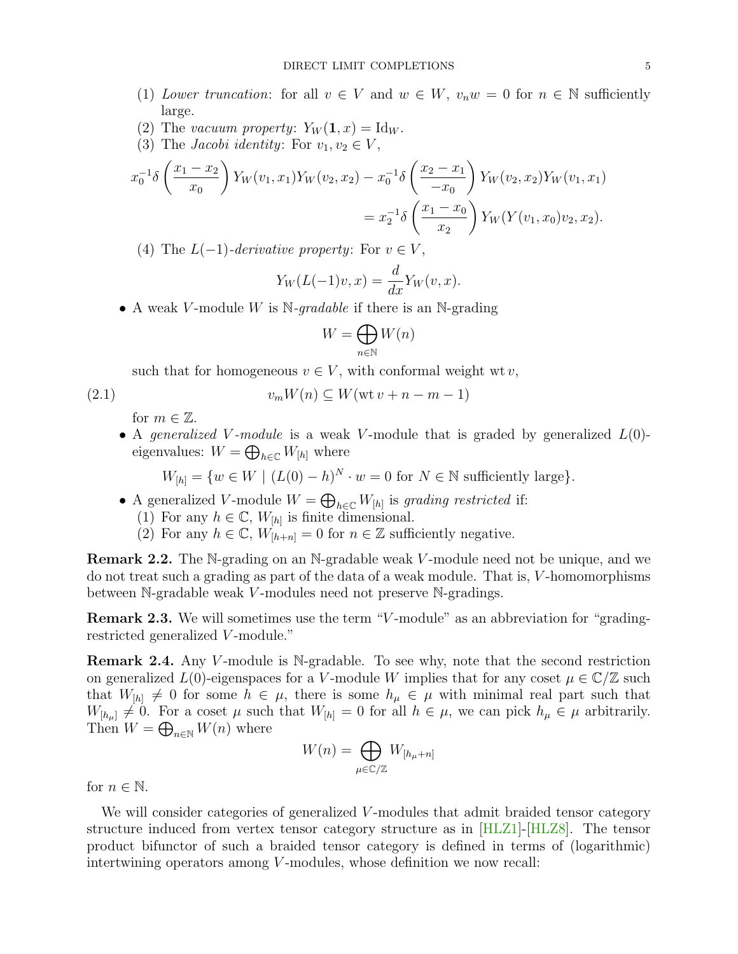- (1) Lower truncation: for all  $v \in V$  and  $w \in W$ ,  $v_n w = 0$  for  $n \in \mathbb{N}$  sufficiently large.
- (2) The vacuum property:  $Y_W(1, x) = \text{Id}_W$ .
- (3) The *Jacobi identity*: For  $v_1, v_2 \in V$ ,

$$
x_0^{-1}\delta\left(\frac{x_1 - x_2}{x_0}\right)Y_W(v_1, x_1)Y_W(v_2, x_2) - x_0^{-1}\delta\left(\frac{x_2 - x_1}{-x_0}\right)Y_W(v_2, x_2)Y_W(v_1, x_1)
$$
  
=  $x_2^{-1}\delta\left(\frac{x_1 - x_0}{x_2}\right)Y_W(Y(v_1, x_0)v_2, x_2).$ 

(4) The  $L(-1)$ -derivative property: For  $v \in V$ ,

$$
Y_W(L(-1)v, x) = \frac{d}{dx} Y_W(v, x).
$$

• A weak V-module W is  $\mathbb{N}$ -gradable if there is an  $\mathbb{N}$ -grading

<span id="page-4-0"></span>
$$
W=\bigoplus_{n\in\mathbb{N}}W(n)
$$

such that for homogeneous  $v \in V$ , with conformal weight wt v,

$$
2.1)
$$

$$
(2.1) \t v_m W(n) \subseteq W(\text{wt } v + n - m - 1)
$$

for  $m \in \mathbb{Z}$ .

• A generalized V-module is a weak V-module that is graded by generalized  $L(0)$ eigenvalues:  $W = \bigoplus_{h \in \mathbb{C}} W_{[h]}$  where

$$
W_{[h]} = \{ w \in W \mid (L(0) - h)^N \cdot w = 0 \text{ for } N \in \mathbb{N} \text{ sufficiently large} \}.
$$

- A generalized V-module  $W = \bigoplus_{h \in \mathbb{C}} W_{[h]}$  is grading restricted if:
	- (1) For any  $h \in \mathbb{C}$ ,  $W_{[h]}$  is finite dimensional.
	- (2) For any  $h \in \mathbb{C}$ ,  $W_{[h+n]} = 0$  for  $n \in \mathbb{Z}$  sufficiently negative.

Remark 2.2. The N-grading on an N-gradable weak V-module need not be unique, and we do not treat such a grading as part of the data of a weak module. That is, V -homomorphisms between N-gradable weak V -modules need not preserve N-gradings.

Remark 2.3. We will sometimes use the term "V -module" as an abbreviation for "gradingrestricted generalized V-module."

<span id="page-4-1"></span>**Remark 2.4.** Any V-module is N-gradable. To see why, note that the second restriction on generalized  $L(0)$ -eigenspaces for a V-module W implies that for any coset  $\mu \in \mathbb{C}/\mathbb{Z}$  such that  $W_{[h]} \neq 0$  for some  $h \in \mu$ , there is some  $h_{\mu} \in \mu$  with minimal real part such that  $W_{[h_\mu]} \neq 0$ . For a coset  $\mu$  such that  $W_{[h]} = 0$  for all  $h \in \mu$ , we can pick  $h_\mu \in \mu$  arbitrarily. Then  $W = \bigoplus_{n \in \mathbb{N}} W(n)$  where

$$
W(n) = \bigoplus_{\mu \in \mathbb{C}/\mathbb{Z}} W_{[h_{\mu}+n]}
$$

for  $n \in \mathbb{N}$ .

We will consider categories of generalized V-modules that admit braided tensor category structure induced from vertex tensor category structure as in [\[HLZ1\]](#page-49-1)-[\[HLZ8\]](#page-50-0). The tensor product bifunctor of such a braided tensor category is defined in terms of (logarithmic) intertwining operators among  $V$ -modules, whose definition we now recall: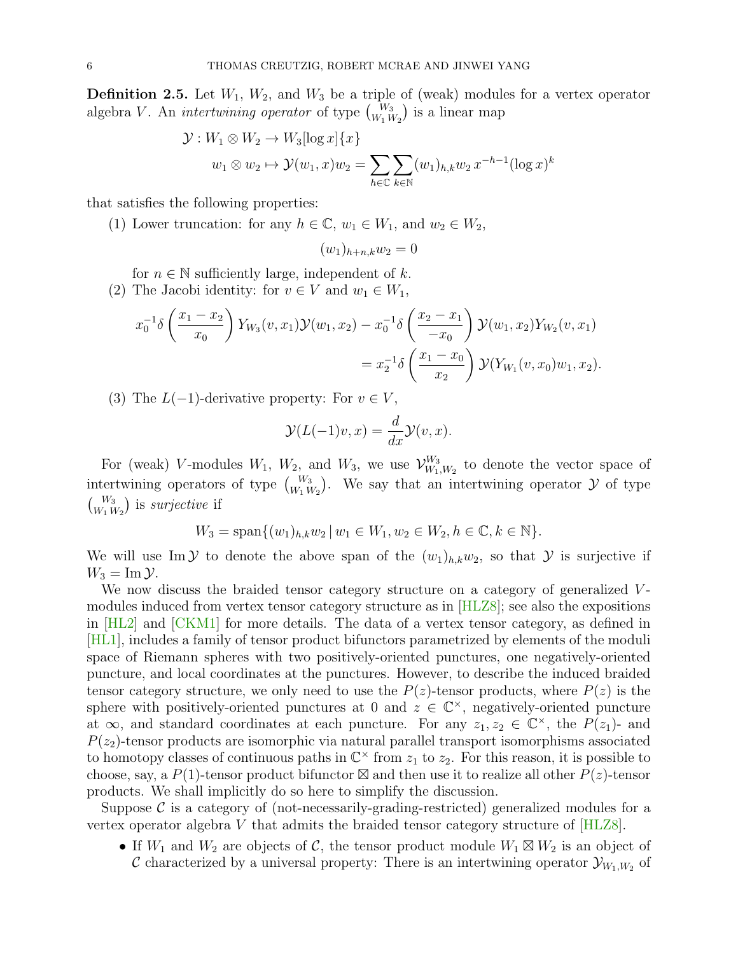**Definition 2.5.** Let  $W_1$ ,  $W_2$ , and  $W_3$  be a triple of (weak) modules for a vertex operator algebra V. An *intertwining operator* of type  $\binom{W_3}{W_1 W_2}$  is a linear map

$$
\mathcal{Y}: W_1 \otimes W_2 \to W_3[\log x] \{x\}
$$
  

$$
w_1 \otimes w_2 \to \mathcal{Y}(w_1, x)w_2 = \sum_{h \in \mathbb{C}} \sum_{k \in \mathbb{N}} (w_1)_{h,k} w_2 x^{-h-1} (\log x)^k
$$

that satisfies the following properties:

(1) Lower truncation: for any  $h \in \mathbb{C}$ ,  $w_1 \in W_1$ , and  $w_2 \in W_2$ ,

$$
(w_1)_{h+n,k}w_2=0
$$

for  $n \in \mathbb{N}$  sufficiently large, independent of k.

(2) The Jacobi identity: for  $v \in V$  and  $w_1 \in W_1$ ,

$$
x_0^{-1}\delta\left(\frac{x_1 - x_2}{x_0}\right)Y_{W_3}(v, x_1)\mathcal{Y}(w_1, x_2) - x_0^{-1}\delta\left(\frac{x_2 - x_1}{-x_0}\right)\mathcal{Y}(w_1, x_2)Y_{W_2}(v, x_1)
$$
  
=  $x_2^{-1}\delta\left(\frac{x_1 - x_0}{x_2}\right)\mathcal{Y}(Y_{W_1}(v, x_0)w_1, x_2).$ 

(3) The  $L(-1)$ -derivative property: For  $v \in V$ ,

$$
\mathcal{Y}(L(-1)v, x) = \frac{d}{dx}\mathcal{Y}(v, x).
$$

For (weak) V-modules  $W_1$ ,  $W_2$ , and  $W_3$ , we use  $\mathcal{V}_{W_1}^{W_3}$  $\binom{W_3}{W_1,W_2}$  to denote the vector space of intertwining operators of type  $\binom{W_3}{W_1 W_2}$ . We say that an intertwining operator  $\mathcal Y$  of type  $\binom{W_3}{W_1\,W_2}$  is *surjective* if

$$
W_3 = \text{span}\{(w_1)_{h,k}w_2 \, | \, w_1 \in W_1, w_2 \in W_2, h \in \mathbb{C}, k \in \mathbb{N}\}.
$$

We will use Im Y to denote the above span of the  $(w_1)_{h,k}w_2$ , so that Y is surjective if  $W_3 = \text{Im }\mathcal{Y}.$ 

We now discuss the braided tensor category structure on a category of generalized Vmodules induced from vertex tensor category structure as in [\[HLZ8\]](#page-50-0); see also the expositions in [\[HL2\]](#page-49-12) and [\[CKM1\]](#page-49-4) for more details. The data of a vertex tensor category, as defined in [\[HL1\]](#page-49-0), includes a family of tensor product bifunctors parametrized by elements of the moduli space of Riemann spheres with two positively-oriented punctures, one negatively-oriented puncture, and local coordinates at the punctures. However, to describe the induced braided tensor category structure, we only need to use the  $P(z)$ -tensor products, where  $P(z)$  is the sphere with positively-oriented punctures at 0 and  $z \in \mathbb{C}^{\times}$ , negatively-oriented puncture at  $\infty$ , and standard coordinates at each puncture. For any  $z_1, z_2 \in \mathbb{C}^{\times}$ , the  $P(z_1)$ - and  $P(z_2)$ -tensor products are isomorphic via natural parallel transport isomorphisms associated to homotopy classes of continuous paths in  $\mathbb{C}^{\times}$  from  $z_1$  to  $z_2$ . For this reason, it is possible to choose, say, a  $P(1)$ -tensor product bifunctor  $\boxtimes$  and then use it to realize all other  $P(z)$ -tensor products. We shall implicitly do so here to simplify the discussion.

Suppose  $\mathcal C$  is a category of (not-necessarily-grading-restricted) generalized modules for a vertex operator algebra  $V$  that admits the braided tensor category structure of  $[HLZ8]$ .

• If  $W_1$  and  $W_2$  are objects of C, the tensor product module  $W_1 \boxtimes W_2$  is an object of C characterized by a universal property: There is an intertwining operator  $\mathcal{Y}_{W_1,W_2}$  of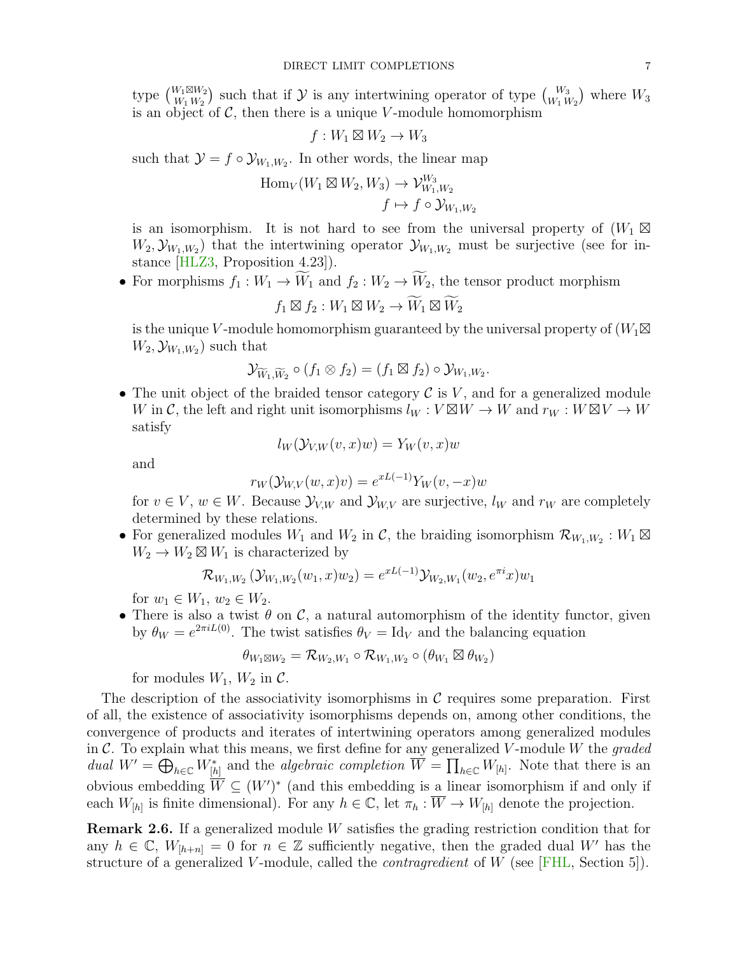type  $\binom{W_1 \boxtimes W_2}{W_1 \oplus W_2}$  $\binom{W_1 \boxtimes W_2}{W_1 W_2}$  such that if  $\mathcal Y$  is any intertwining operator of type  $\binom{W_3}{W_1 W_2}$  where  $W_3$ is an object of  $\mathcal{C}$ , then there is a unique V-module homomorphism

$$
f:W_1\boxtimes W_2\to W_3
$$

such that  $\mathcal{Y} = f \circ \mathcal{Y}_{W_1, W_2}$ . In other words, the linear map

$$
Hom_V(W_1 \boxtimes W_2, W_3) \to \mathcal{V}_{W_1, W_2}^{W_3}
$$

$$
f \mapsto f \circ \mathcal{Y}_{W_1, W_2}
$$

is an isomorphism. It is not hard to see from the universal property of  $(W_1 \boxtimes$  $W_2, \mathcal{Y}_{W_1, W_2}$ ) that the intertwining operator  $\mathcal{Y}_{W_1, W_2}$  must be surjective (see for instance [\[HLZ3,](#page-49-6) Proposition 4.23]).

• For morphisms  $f_1: W_1 \to \widetilde{W}_1$  and  $f_2: W_2 \to \widetilde{W}_2$ , the tensor product morphism

$$
f_1 \boxtimes f_2: W_1 \boxtimes W_2 \to \widetilde{W}_1 \boxtimes \widetilde{W}_2
$$

is the unique V-module homomorphism guaranteed by the universal property of  $(W_1 \boxtimes$  $W_2, \mathcal{Y}_{W_1, W_2}$  such that

$$
\mathcal{Y}_{\widetilde{W}_1,\widetilde{W}_2}\circ (f_1\otimes f_2)=(f_1\boxtimes f_2)\circ \mathcal{Y}_{W_1,W_2}.
$$

• The unit object of the braided tensor category  $\mathcal C$  is V, and for a generalized module W in C, the left and right unit isomorphisms  $l_W : V \boxtimes W \to W$  and  $r_W : W \boxtimes V \to W$ satisfy

$$
l_W(\mathcal{Y}_{V,W}(v,x)w) = Y_W(v,x)w
$$

and

$$
r_W(\mathcal{Y}_{W,V}(w,x)v) = e^{xL(-1)}Y_W(v,-x)w
$$

for  $v \in V$ ,  $w \in W$ . Because  $\mathcal{Y}_{V,W}$  and  $\mathcal{Y}_{W,V}$  are surjective,  $l_W$  and  $r_W$  are completely determined by these relations.

• For generalized modules  $W_1$  and  $W_2$  in  $\mathcal{C}$ , the braiding isomorphism  $\mathcal{R}_{W_1,W_2}: W_1 \boxtimes$  $W_2 \to W_2 \boxtimes W_1$  is characterized by

$$
\mathcal{R}_{W_1,W_2}(\mathcal{Y}_{W_1,W_2}(w_1,x)w_2) = e^{xL(-1)}\mathcal{Y}_{W_2,W_1}(w_2,e^{\pi i}x)w_1
$$

for  $w_1 \in W_1$ ,  $w_2 \in W_2$ .

• There is also a twist  $\theta$  on  $\mathcal{C}$ , a natural automorphism of the identity functor, given by  $\theta_W = e^{2\pi i L(0)}$ . The twist satisfies  $\theta_V = \text{Id}_V$  and the balancing equation

$$
\theta_{W_1 \boxtimes W_2} = \mathcal{R}_{W_2,W_1} \circ \mathcal{R}_{W_1,W_2} \circ (\theta_{W_1} \boxtimes \theta_{W_2})
$$

for modules  $W_1$ ,  $W_2$  in  $\mathcal{C}$ .

The description of the associativity isomorphisms in  $\mathcal C$  requires some preparation. First of all, the existence of associativity isomorphisms depends on, among other conditions, the convergence of products and iterates of intertwining operators among generalized modules in  $\mathcal{C}$ . To explain what this means, we first define for any generalized V-module W the graded dual  $W' = \bigoplus_{h \in \mathbb{C}} W_{[h]}^*$  and the algebraic completion  $\overline{W} = \prod_{h \in \mathbb{C}} W_{[h]}$ . Note that there is an obvious embedding  $\overline{W} \subseteq (W')^*$  (and this embedding is a linear isomorphism if and only if each  $W_{[h]}$  is finite dimensional). For any  $h \in \mathbb{C}$ , let  $\pi_h : \overline{W} \to W_{[h]}$  denote the projection.

Remark 2.6. If a generalized module W satisfies the grading restriction condition that for any  $h \in \mathbb{C}$ ,  $W_{[h+n]} = 0$  for  $n \in \mathbb{Z}$  sufficiently negative, then the graded dual W' has the structure of a generalized V-module, called the *contragredient* of W (see [\[FHL,](#page-49-13) Section 5]).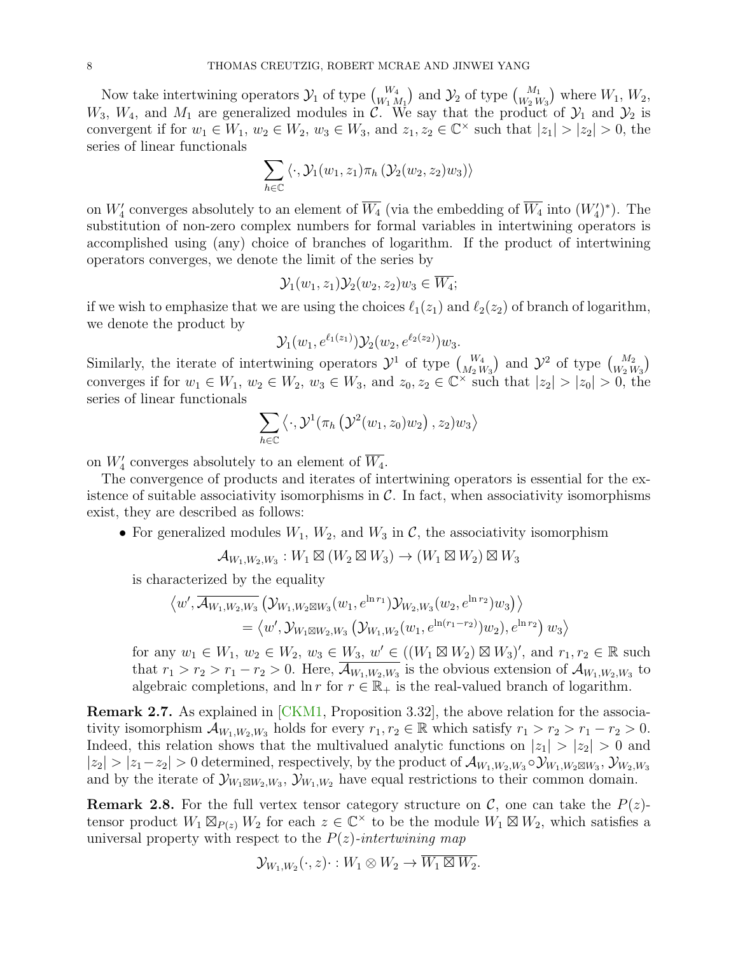Now take intertwining operators  $\mathcal{Y}_1$  of type  $\binom{W_4}{W_1 M_1}$  and  $\mathcal{Y}_2$  of type  $\binom{M_1}{W_2 W_3}$  where  $W_1, W_2,$  $W_3$ ,  $W_4$ , and  $M_1$  are generalized modules in C. We say that the product of  $\mathcal{Y}_1$  and  $\mathcal{Y}_2$  is convergent if for  $w_1 \in W_1$ ,  $w_2 \in W_2$ ,  $w_3 \in W_3$ , and  $z_1, z_2 \in \mathbb{C}^\times$  such that  $|z_1| > |z_2| > 0$ , the series of linear functionals

$$
\sum_{h \in \mathbb{C}} \langle \cdot, \mathcal{Y}_1(w_1, z_1) \pi_h \left( \mathcal{Y}_2(w_2, z_2) w_3 \right) \rangle
$$

on  $W'_4$  converges absolutely to an element of  $\overline{W_4}$  (via the embedding of  $\overline{W_4}$  into  $(W'_4)^*$ ). The substitution of non-zero complex numbers for formal variables in intertwining operators is accomplished using (any) choice of branches of logarithm. If the product of intertwining operators converges, we denote the limit of the series by

$$
\mathcal{Y}_1(w_1,z_1)\mathcal{Y}_2(w_2,z_2)w_3 \in \overline{W_4};
$$

if we wish to emphasize that we are using the choices  $\ell_1(z_1)$  and  $\ell_2(z_2)$  of branch of logarithm, we denote the product by

$$
\mathcal{Y}_1(w_1, e^{\ell_1(z_1)})\mathcal{Y}_2(w_2, e^{\ell_2(z_2)})w_3.
$$

Similarly, the iterate of intertwining operators  $\mathcal{Y}^1$  of type  $\binom{W_4}{M_2 W_3}$  and  $\mathcal{Y}^2$  of type  $\binom{M_2}{W_2 W_3}$ converges if for  $w_1 \in W_1$ ,  $w_2 \in W_2$ ,  $w_3 \in W_3$ , and  $z_0, z_2 \in \mathbb{C}^\times$  such that  $|z_2| > |z_0| > 0$ , the series of linear functionals

$$
\sum_{h\in\mathbb{C}}\left\langle\cdot,\mathcal{Y}^1(\pi_h\left(\mathcal{Y}^2(w_1,z_0)w_2\right),z_2)w_3\right\rangle
$$

on  $W'_4$  converges absolutely to an element of  $\overline{W_4}$ .

The convergence of products and iterates of intertwining operators is essential for the existence of suitable associativity isomorphisms in  $\mathcal{C}$ . In fact, when associativity isomorphisms exist, they are described as follows:

• For generalized modules  $W_1, W_2$ , and  $W_3$  in C, the associativity isomorphism

$$
\mathcal{A}_{W_1,W_2,W_3}: W_1 \boxtimes (W_2 \boxtimes W_3) \to (W_1 \boxtimes W_2) \boxtimes W_3
$$

is characterized by the equality

$$
\langle w', \overline{\mathcal{A}_{W_1,W_2,W_3}}(\mathcal{Y}_{W_1,W_2 \boxtimes W_3}(w_1, e^{\ln r_1}) \mathcal{Y}_{W_2,W_3}(w_2, e^{\ln r_2}) w_3) \rangle = \langle w', \mathcal{Y}_{W_1 \boxtimes W_2,W_3}(\mathcal{Y}_{W_1,W_2}(w_1, e^{\ln (r_1 - r_2)}) w_2), e^{\ln r_2}) w_3 \rangle
$$

for any  $w_1 \in W_1, w_2 \in W_2, w_3 \in W_3, w' \in ((W_1 \boxtimes W_2) \boxtimes W_3)'$ , and  $r_1, r_2 \in \mathbb{R}$  such that  $r_1 > r_2 > r_1 - r_2 > 0$ . Here,  $\overline{\mathcal{A}_{W_1,W_2,W_3}}$  is the obvious extension of  $\mathcal{A}_{W_1,W_2,W_3}$  to algebraic completions, and  $\ln r$  for  $r \in \mathbb{R}_+$  is the real-valued branch of logarithm.

Remark 2.7. As explained in [\[CKM1,](#page-49-4) Proposition 3.32], the above relation for the associativity isomorphism  $\mathcal{A}_{W_1,W_2,W_3}$  holds for every  $r_1, r_2 \in \mathbb{R}$  which satisfy  $r_1 > r_2 > r_1 - r_2 > 0$ . Indeed, this relation shows that the multivalued analytic functions on  $|z_1| > |z_2| > 0$  and  $|z_2| > |z_1 - z_2| > 0$  determined, respectively, by the product of  $\mathcal{A}_{W_1,W_2,W_3} \circ \mathcal{Y}_{W_1,W_2 \boxtimes W_3}, \mathcal{Y}_{W_2,W_3}$ and by the iterate of  $\mathcal{Y}_{W_1 \boxtimes W_2, W_3}$ ,  $\mathcal{Y}_{W_1, W_2}$  have equal restrictions to their common domain.

**Remark 2.8.** For the full vertex tensor category structure on  $\mathcal{C}$ , one can take the  $P(z)$ tensor product  $W_1 \boxtimes_{P(z)} W_2$  for each  $z \in \mathbb{C}^\times$  to be the module  $W_1 \boxtimes W_2$ , which satisfies a universal property with respect to the  $P(z)$ -intertwining map

$$
\mathcal{Y}_{W_1,W_2}(\cdot,z)\cdot:W_1\otimes W_2\to\overline{W_1\boxtimes W_2}.
$$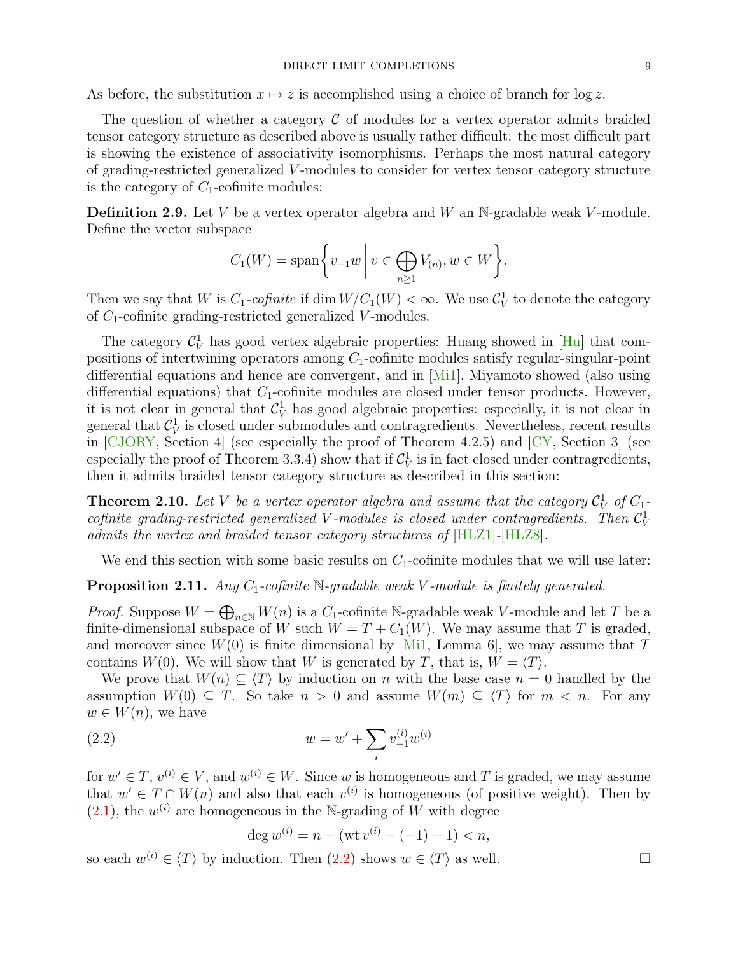As before, the substitution  $x \mapsto z$  is accomplished using a choice of branch for log z.

The question of whether a category  $\mathcal C$  of modules for a vertex operator admits braided tensor category structure as described above is usually rather difficult: the most difficult part is showing the existence of associativity isomorphisms. Perhaps the most natural category of grading-restricted generalized V -modules to consider for vertex tensor category structure is the category of  $C_1$ -cofinite modules:

**Definition 2.9.** Let V be a vertex operator algebra and W an N-gradable weak V-module. Define the vector subspace

$$
C_1(W) = \operatorname{span}\bigg\{v_{-1}w \mid v \in \bigoplus_{n \ge 1} V_{(n)}, w \in W\bigg\}.
$$

Then we say that W is  $C_1$ -cofinite if  $\dim W/C_1(W) < \infty$ . We use  $C_V^1$  to denote the category of  $C_1$ -cofinite grading-restricted generalized V-modules.

The category  $\mathcal{C}_V^1$  has good vertex algebraic properties: Huang showed in [\[Hu\]](#page-49-14) that compositions of intertwining operators among  $C_1$ -cofinite modules satisfy regular-singular-point differential equations and hence are convergent, and in [\[Mi1\]](#page-50-3), Miyamoto showed (also using differential equations) that  $C_1$ -cofinite modules are closed under tensor products. However, it is not clear in general that  $C_V^1$  has good algebraic properties: especially, it is not clear in general that  $\mathcal{C}_V^1$  is closed under submodules and contragredients. Nevertheless, recent results in  $\overline{CJORY}$ , Section 4 (see especially the proof of Theorem 4.2.5) and  $\overline{CY}$ , Section 3 (see especially the proof of Theorem 3.3.4) show that if  $C_V^1$  is in fact closed under contragredients, then it admits braided tensor category structure as described in this section:

<span id="page-8-2"></span>**Theorem 2.10.** Let V be a vertex operator algebra and assume that the category  $\mathcal{C}_V^1$  of  $C_1$ cofinite grading-restricted generalized V-modules is closed under contragredients. Then  $C_V^1$ admits the vertex and braided tensor category structures of [\[HLZ1\]](#page-49-1)-[\[HLZ8\]](#page-50-0).

We end this section with some basic results on  $C_1$ -cofinite modules that we will use later:

<span id="page-8-1"></span>**Proposition 2.11.** Any  $C_1$ -cofinite  $\mathbb{N}$ -gradable weak V-module is finitely generated.

*Proof.* Suppose  $W = \bigoplus_{n \in \mathbb{N}} W(n)$  is a  $C_1$ -cofinite N-gradable weak V-module and let T be a finite-dimensional subspace of W such  $W = T + C_1(W)$ . We may assume that T is graded, and moreover since  $W(0)$  is finite dimensional by [\[Mi1,](#page-50-3) Lemma 6], we may assume that T contains  $W(0)$ . We will show that W is generated by T, that is,  $W = \langle T \rangle$ .

We prove that  $W(n) \subseteq \langle T \rangle$  by induction on n with the base case  $n = 0$  handled by the assumption  $W(0) \subseteq T$ . So take  $n > 0$  and assume  $W(m) \subseteq \langle T \rangle$  for  $m < n$ . For any  $w \in W(n)$ , we have

(2.2) 
$$
w = w' + \sum_{i} v_{-1}^{(i)} w^{(i)}
$$

for  $w' \in T$ ,  $v^{(i)} \in V$ , and  $w^{(i)} \in W$ . Since w is homogeneous and T is graded, we may assume that  $w' \in T \cap W(n)$  and also that each  $v^{(i)}$  is homogeneous (of positive weight). Then by  $(2.1)$ , the  $w^{(i)}$  are homogeneous in the N-grading of W with degree

<span id="page-8-0"></span>
$$
\deg w^{(i)} = n - (\text{wt } v^{(i)} - (-1) - 1) < n,
$$

so each  $w^{(i)} \in \langle T \rangle$  by induction. Then  $(2.2)$  shows  $w \in \langle T \rangle$  as well.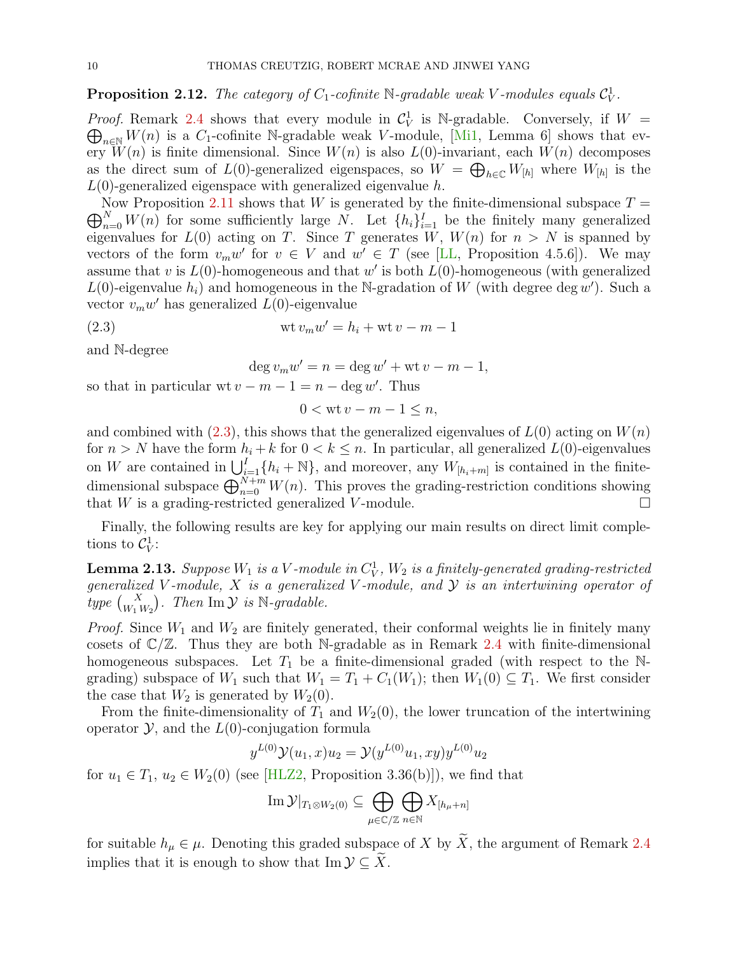<span id="page-9-1"></span>**Proposition 2.12.** The category of  $C_1$ -cofinite  $\mathbb{N}$ -gradable weak V-modules equals  $C_V^1$ .

*Proof.* Remark [2.4](#page-4-1) shows that every module in  $C_V^1$  is N-gradable. Conversely, if  $W =$  $\bigoplus_{n\in\mathbb{N}}W(n)$  is a C<sub>1</sub>-cofinite N-gradable weak V-module, [\[Mi1,](#page-50-3) Lemma 6] shows that every  $W(n)$  is finite dimensional. Since  $W(n)$  is also  $L(0)$ -invariant, each  $W(n)$  decomposes as the direct sum of  $L(0)$ -generalized eigenspaces, so  $W = \bigoplus_{h \in \mathbb{C}} W_{[h]}$  where  $W_{[h]}$  is the  $L(0)$ -generalized eigenspace with generalized eigenvalue h.

 $\bigoplus_{n=0}^{N} W(n)$  for some sufficiently large N. Let  $\{h_i\}_{i=1}^I$  be the finitely many generalized Now Proposition [2.11](#page-8-1) shows that W is generated by the finite-dimensional subspace  $T =$ eigenvalues for  $L(0)$  acting on T. Since T generates  $\overline{W}$ ,  $W(n)$  for  $n > N$  is spanned by vectors of the form  $v_m w'$  for  $v \in V$  and  $w' \in T$  (see [\[LL,](#page-50-2) Proposition 4.5.6]). We may assume that v is  $L(0)$ -homogeneous and that w' is both  $L(0)$ -homogeneous (with generalized  $L(0)$ -eigenvalue  $h_i$ ) and homogeneous in the N-gradation of W (with degree deg w'). Such a vector  $v_m w'$  has generalized  $L(0)$ -eigenvalue

(2.3) wt vmw <sup>0</sup> = h<sup>i</sup> + wt v − m − 1

and N-degree

<span id="page-9-0"></span>deg  $v_m w' = n = \deg w' + \text{wt } v - m - 1,$ 

so that in particular wt  $v - m - 1 = n - \deg w'$ . Thus

$$
0 < \text{wt } v - m - 1 \le n,
$$

and combined with [\(2.3\)](#page-9-0), this shows that the generalized eigenvalues of  $L(0)$  acting on  $W(n)$ for  $n > N$  have the form  $h_i + k$  for  $0 < k \leq n$ . In particular, all generalized  $L(0)$ -eigenvalues on W are contained in  $\bigcup_{i=1}^{I} \{h_i + \mathbb{N}\}\$ , and moreover, any  $W_{[h_i+m]}$  is contained in the finitedimensional subspace  $\bigoplus_{n=0}^{N+m} W(n)$ . This proves the grading-restriction conditions showing that W is a grading-restricted generalized V-module.  $\square$ 

Finally, the following results are key for applying our main results on direct limit completions to  $\mathcal{C}_V^1$ :

**Lemma 2.13.** Suppose  $W_1$  is a  $V$ -module in  $C_V^1$ ,  $W_2$  is a finitely-generated grading-restricted generalized V-module,  $X$  is a generalized V-module, and  $Y$  is an intertwining operator of type  $\begin{pmatrix} X \\ W_1 W_2 \end{pmatrix}$ . Then  $\text{Im } \mathcal{Y}$  is  $\mathbb{N}\text{-}gradable$ .

*Proof.* Since  $W_1$  and  $W_2$  are finitely generated, their conformal weights lie in finitely many cosets of  $\mathbb{C}/\mathbb{Z}$ . Thus they are both N-gradable as in Remark [2.4](#page-4-1) with finite-dimensional homogeneous subspaces. Let  $T_1$  be a finite-dimensional graded (with respect to the Ngrading) subspace of  $W_1$  such that  $W_1 = T_1 + C_1(W_1)$ ; then  $W_1(0) \subseteq T_1$ . We first consider the case that  $W_2$  is generated by  $W_2(0)$ .

From the finite-dimensionality of  $T_1$  and  $W_2(0)$ , the lower truncation of the intertwining operator  $\mathcal{Y}$ , and the  $L(0)$ -conjugation formula

$$
y^{L(0)}\mathcal{Y}(u_1,x)u_2 = \mathcal{Y}(y^{L(0)}u_1,xy)y^{L(0)}u_2
$$

for  $u_1 \in T_1$ ,  $u_2 \in W_2(0)$  (see [\[HLZ2,](#page-49-15) Proposition 3.36(b)]), we find that

$$
\operatorname{Im} \mathcal{Y}|_{T_1 \otimes W_2(0)} \subseteq \bigoplus_{\mu \in \mathbb{C}/\mathbb{Z}} \bigoplus_{n \in \mathbb{N}} X_{[h_\mu + n]}
$$

for suitable  $h_{\mu} \in \mu$ . Denoting this graded subspace of X by  $\widetilde{X}$ , the argument of Remark [2.4](#page-4-1) implies that it is enough to show that Im  $\mathcal{Y} \subseteq \widetilde{X}$ .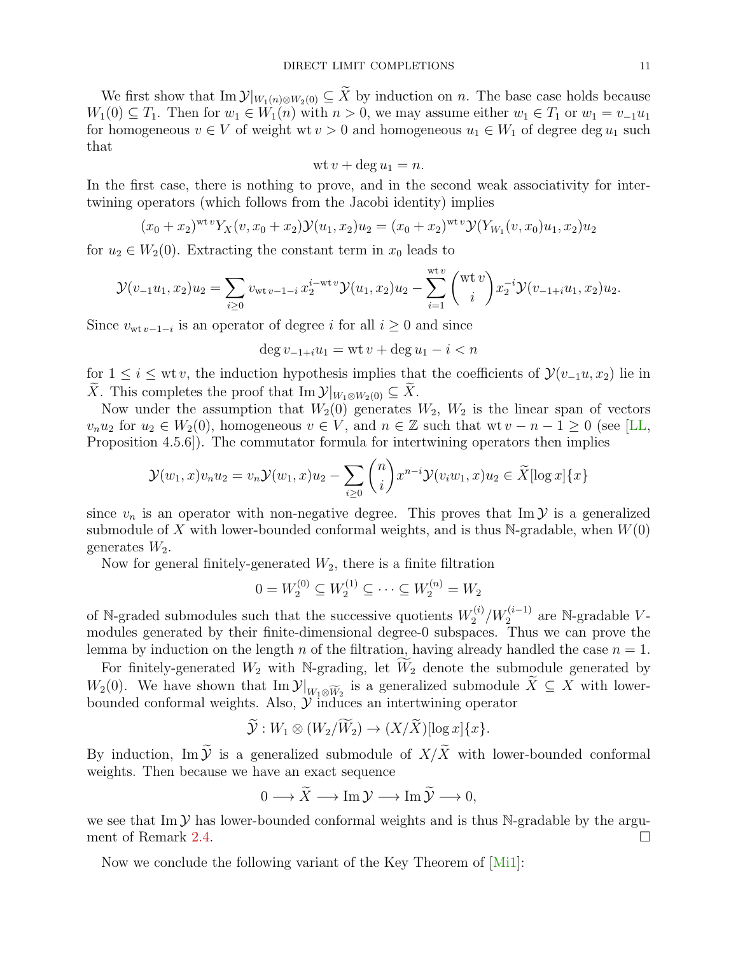We first show that Im  $\mathcal{Y}|_{W_1(n)\otimes W_2(0)} \subseteq \widetilde{X}$  by induction on n. The base case holds because  $W_1(0) \subseteq T_1$ . Then for  $w_1 \in W_1(n)$  with  $n > 0$ , we may assume either  $w_1 \in T_1$  or  $w_1 = v_{-1}u_1$ for homogeneous  $v \in V$  of weight wt  $v > 0$  and homogeneous  $u_1 \in W_1$  of degree  $\deg u_1$  such that

$$
wt v + \deg u_1 = n.
$$

In the first case, there is nothing to prove, and in the second weak associativity for intertwining operators (which follows from the Jacobi identity) implies

$$
(x_0 + x_2)^{\text{wt} \, v} Y_X(v, x_0 + x_2) \mathcal{Y}(u_1, x_2) u_2 = (x_0 + x_2)^{\text{wt} \, v} \mathcal{Y}(Y_{W_1}(v, x_0) u_1, x_2) u_2
$$

for  $u_2 \in W_2(0)$ . Extracting the constant term in  $x_0$  leads to

$$
\mathcal{Y}(v_{-1}u_1, x_2)u_2 = \sum_{i \geq 0} v_{\text{wt }v-1-i} x_2^{i-\text{wt }v} \mathcal{Y}(u_1, x_2)u_2 - \sum_{i=1}^{\text{wt }v} {(\text{wt }v) \choose i} x_2^{-i} \mathcal{Y}(v_{-1+i}u_1, x_2)u_2.
$$

Since  $v_{\text{wt }v-1-i}$  is an operator of degree i for all  $i \geq 0$  and since

$$
\deg v_{-1+i}u_1 = \operatorname{wt} v + \deg u_1 - i < n
$$

for  $1 \leq i \leq w$ t v, the induction hypothesis implies that the coefficients of  $\mathcal{Y}(v_{-1}u, x_2)$  lie in  $\widetilde{X}$ . This completes the proof that Im  $\mathcal{Y}|_{W_1 \otimes W_2(0)} \subseteq \widetilde{X}$ .

Now under the assumption that  $W_2(0)$  generates  $W_2$ ,  $W_2$  is the linear span of vectors  $v_nu_2$  for  $u_2 \in W_2(0)$ , homogeneous  $v \in V$ , and  $n \in \mathbb{Z}$  such that wt  $v - n - 1 \geq 0$  (see [\[LL,](#page-50-2) Proposition 4.5.6]). The commutator formula for intertwining operators then implies

$$
\mathcal{Y}(w_1, x)v_n u_2 = v_n \mathcal{Y}(w_1, x)u_2 - \sum_{i \geq 0} {n \choose i} x^{n-i} \mathcal{Y}(v_i w_1, x)u_2 \in \widetilde{X}[\log x] \{x\}
$$

since  $v_n$  is an operator with non-negative degree. This proves that Im  $\mathcal Y$  is a generalized submodule of X with lower-bounded conformal weights, and is thus  $\mathbb{N}$ -gradable, when  $W(0)$ generates  $W_2$ .

Now for general finitely-generated  $W_2$ , there is a finite filtration

$$
0 = W_2^{(0)} \subseteq W_2^{(1)} \subseteq \cdots \subseteq W_2^{(n)} = W_2
$$

of N-graded submodules such that the successive quotients  $W_2^{(i)}$  $N_2^{(i)}/W_2^{(i-1)}$  are N-gradable Vmodules generated by their finite-dimensional degree-0 subspaces. Thus we can prove the lemma by induction on the length n of the filtration, having already handled the case  $n = 1$ .

For finitely-generated  $W_2$  with N-grading, let  $\widetilde{W}_2$  denote the submodule generated by  $W_2(0)$ . We have shown that  $\text{Im }\mathcal{Y}|_{W_1 \otimes \widetilde{W}_2}$  is a generalized submodule  $X \subseteq X$  with lowerbounded conformal weights. Also,  $\mathcal Y$  induces an intertwining operator

$$
\widetilde{\mathcal{Y}}: W_1 \otimes (W_2/\widetilde{W}_2) \to (X/\widetilde{X})[\log x]\{x\}.
$$

By induction, Im  $\widetilde{\mathcal{Y}}$  is a generalized submodule of  $X/\widetilde{X}$  with lower-bounded conformal weights. Then because we have an exact sequence

$$
0 \longrightarrow \widetilde{X} \longrightarrow \operatorname{Im} \mathcal{Y} \longrightarrow \operatorname{Im} \widetilde{\mathcal{Y}} \longrightarrow 0,
$$

we see that Im  $\mathcal Y$  has lower-bounded conformal weights and is thus N-gradable by the argument of Remark [2.4.](#page-4-1)

Now we conclude the following variant of the Key Theorem of [\[Mi1\]](#page-50-3):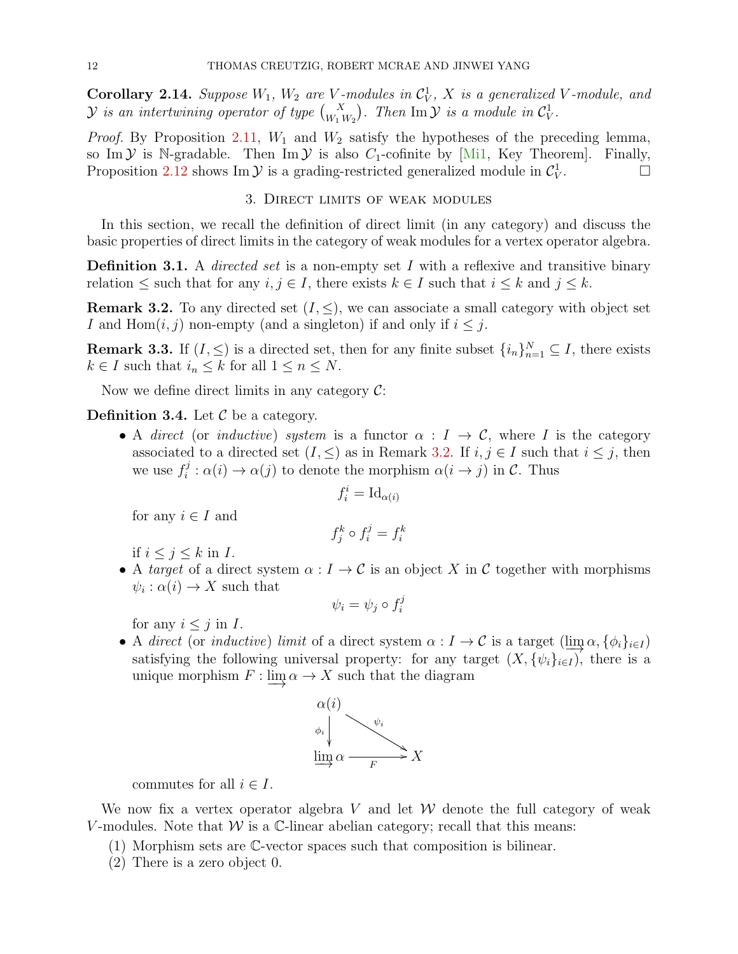<span id="page-11-3"></span>**Corollary 2.14.** Suppose  $W_1$ ,  $W_2$  are V-modules in  $C_V^1$ , X is a generalized V-module, and  $\mathcal Y$  is an intertwining operator of type  $\binom{X}{W_1\,W_2}$ . Then  $\mathrm{Im}\,\mathcal Y$  is a module in  $\mathcal C_V^1$ .

*Proof.* By Proposition [2.11,](#page-8-1)  $W_1$  and  $W_2$  satisfy the hypotheses of the preceding lemma, so Im  $\mathcal Y$  is N-gradable. Then Im  $\mathcal Y$  is also  $C_1$ -cofinite by [\[Mi1,](#page-50-3) Key Theorem]. Finally, Proposition [2.12](#page-9-1) shows Im  $\mathcal Y$  is a grading-restricted generalized module in  $\mathcal C^1_V$ . <sup>1</sup> — ⊡

# 3. Direct limits of weak modules

<span id="page-11-0"></span>In this section, we recall the definition of direct limit (in any category) and discuss the basic properties of direct limits in the category of weak modules for a vertex operator algebra.

**Definition 3.1.** A *directed set* is a non-empty set I with a reflexive and transitive binary relation  $\leq$  such that for any  $i, j \in I$ , there exists  $k \in I$  such that  $i \leq k$  and  $j \leq k$ .

<span id="page-11-1"></span>**Remark 3.2.** To any directed set  $(I, \leq)$ , we can associate a small category with object set I and Hom $(i, j)$  non-empty (and a singleton) if and only if  $i \leq j$ .

<span id="page-11-2"></span>**Remark 3.3.** If  $(I, \leq)$  is a directed set, then for any finite subset  $\{i_n\}_{n=1}^N \subseteq I$ , there exists  $k \in I$  such that  $i_n \leq k$  for all  $1 \leq n \leq N$ .

Now we define direct limits in any category  $\mathcal{C}$ :

**Definition 3.4.** Let  $\mathcal{C}$  be a category.

• A direct (or inductive) system is a functor  $\alpha : I \to \mathcal{C}$ , where I is the category associated to a directed set  $(I, \leq)$  as in Remark [3.2.](#page-11-1) If  $i, j \in I$  such that  $i \leq j$ , then we use  $f_i^j$  $\alpha(i) \to \alpha(j)$  to denote the morphism  $\alpha(i \to j)$  in C. Thus

$$
f_i^i = \mathrm{Id}_{\alpha(i)}
$$

for any  $i \in I$  and

$$
f_j^k \circ f_i^j = f_i^k
$$

if  $i \leq j \leq k$  in I.

• A target of a direct system  $\alpha: I \to \mathcal{C}$  is an object X in C together with morphisms  $\psi_i : \alpha(i) \to X$  such that

$$
\psi_i = \psi_j \circ f_i^j
$$

for any  $i \leq j$  in I.

• A direct (or inductive) limit of a direct system  $\alpha : I \to \mathcal{C}$  is a target  $(\lim_{\alpha} \alpha, {\{\phi_i\}_{i\in I}})$ satisfying the following universal property: for any target  $(X, \{\psi_i\}_{i\in I})$ , there is a unique morphism  $F : \lim \alpha \to X$  such that the diagram



commutes for all  $i \in I$ .

We now fix a vertex operator algebra V and let  $W$  denote the full category of weak V-modules. Note that  $W$  is a C-linear abelian category; recall that this means:

- (1) Morphism sets are C-vector spaces such that composition is bilinear.
- (2) There is a zero object 0.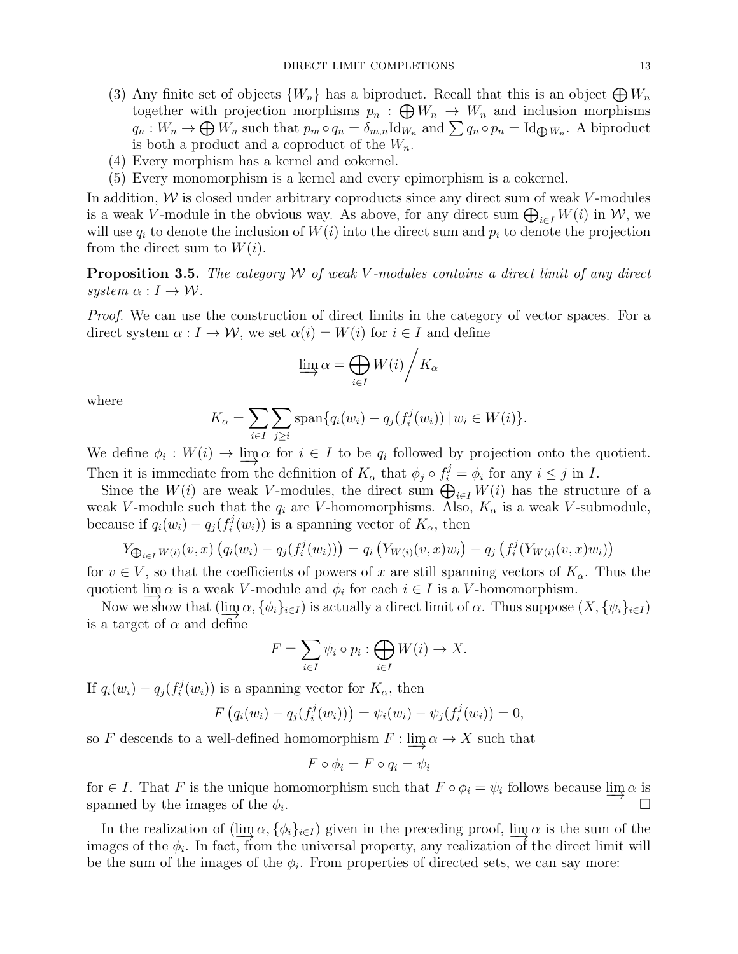- (3) Any finite set of objects  $\{W_n\}$  has a biproduct. Recall that this is an object  $\bigoplus W_n$ together with projection morphisms  $p_n : \bigoplus W_n \to W_n$  and inclusion morphisms  $q_n: W_n \to \bigoplus W_n$  such that  $p_m \circ q_n = \delta_{m,n} \mathrm{Id}_{W_n}$  and  $\sum q_n \circ p_n = \mathrm{Id}_{\bigoplus W_n}$ . A biproduct is both a product and a coproduct of the  $W_n$ .
- (4) Every morphism has a kernel and cokernel.
- (5) Every monomorphism is a kernel and every epimorphism is a cokernel.

In addition,  $W$  is closed under arbitrary coproducts since any direct sum of weak  $V$ -modules is a weak V-module in the obvious way. As above, for any direct sum  $\bigoplus_{i\in I} W(i)$  in W, we will use  $q_i$  to denote the inclusion of  $W(i)$  into the direct sum and  $p_i$  to denote the projection from the direct sum to  $W(i)$ .

<span id="page-12-0"></span>**Proposition 3.5.** The category W of weak V-modules contains a direct limit of any direct system  $\alpha : I \to W$ .

Proof. We can use the construction of direct limits in the category of vector spaces. For a direct system  $\alpha : I \to W$ , we set  $\alpha(i) = W(i)$  for  $i \in I$  and define

$$
\varinjlim \alpha = \bigoplus_{i \in I} W(i) / K_{\alpha}
$$

where

$$
K_{\alpha} = \sum_{i \in I} \sum_{j \ge i} \text{span}\{q_i(w_i) - q_j(f_i^j(w_i)) \mid w_i \in W(i)\}.
$$

We define  $\phi_i: W(i) \to \varinjlim \alpha$  for  $i \in I$  to be  $q_i$  followed by projection onto the quotient. Then it is immediate from the definition of  $K_{\alpha}$  that  $\phi_j \circ f_i^j = \phi_i$  for any  $i \leq j$  in I.

Since the  $W(i)$  are weak V-modules, the direct sum  $\bigoplus_{i\in I} W(i)$  has the structure of a weak V-module such that the  $q_i$  are V-homomorphisms. Also,  $K_{\alpha}$  is a weak V-submodule, because if  $q_i(w_i) - q_j(f_i^j)$  $i^{\prime}(w_i)$  is a spanning vector of  $K_{\alpha}$ , then

$$
Y_{\bigoplus_{i \in I} W(i)}(v, x) \left( q_i(w_i) - q_j(f_i^j(w_i)) \right) = q_i \left( Y_{W(i)}(v, x) w_i \right) - q_j \left( f_i^j(Y_{W(i)}(v, x) w_i) \right)
$$

for  $v \in V$ , so that the coefficients of powers of x are still spanning vectors of  $K_{\alpha}$ . Thus the quotient  $\lim_{n \to \infty} \alpha$  is a weak V-module and  $\phi_i$  for each  $i \in I$  is a V-homomorphism.

Now we show that  $(\lim_{\alpha_1} \alpha, \{\phi_i\}_{i\in I})$  is actually a direct limit of  $\alpha$ . Thus suppose  $(X, \{\psi_i\}_{i\in I})$ is a target of  $\alpha$  and define

$$
F = \sum_{i \in I} \psi_i \circ p_i : \bigoplus_{i \in I} W(i) \to X.
$$

If  $q_i(w_i) - q_j(f_i^j)$  $i^{\prime\prime}(w_i)$  is a spanning vector for  $K_{\alpha}$ , then

$$
F(q_i(w_i) - q_j(f_i^j(w_i))) = \psi_i(w_i) - \psi_j(f_i^j(w_i)) = 0,
$$

so F descends to a well-defined homomorphism  $\overline{F}$  : lim $\alpha \to X$  such that

$$
\overline{F} \circ \phi_i = F \circ q_i = \psi_i
$$

for  $\in I$ . That  $\overline{F}$  is the unique homomorphism such that  $\overline{F} \circ \phi_i = \psi_i$  follows because  $\underline{\lim}_{\Delta} \alpha$  is spanned by the images of the  $\phi_i$ . . The contract of the contract of  $\Box$ 

In the realization of  $(\lim_{\alpha} \alpha, {\{\phi_i\}_{i\in I}})$  given in the preceding proof, lim $\alpha$  is the sum of the images of the  $\phi_i$ . In fact, from the universal property, any realization of the direct limit will be the sum of the images of the  $\phi_i$ . From properties of directed sets, we can say more: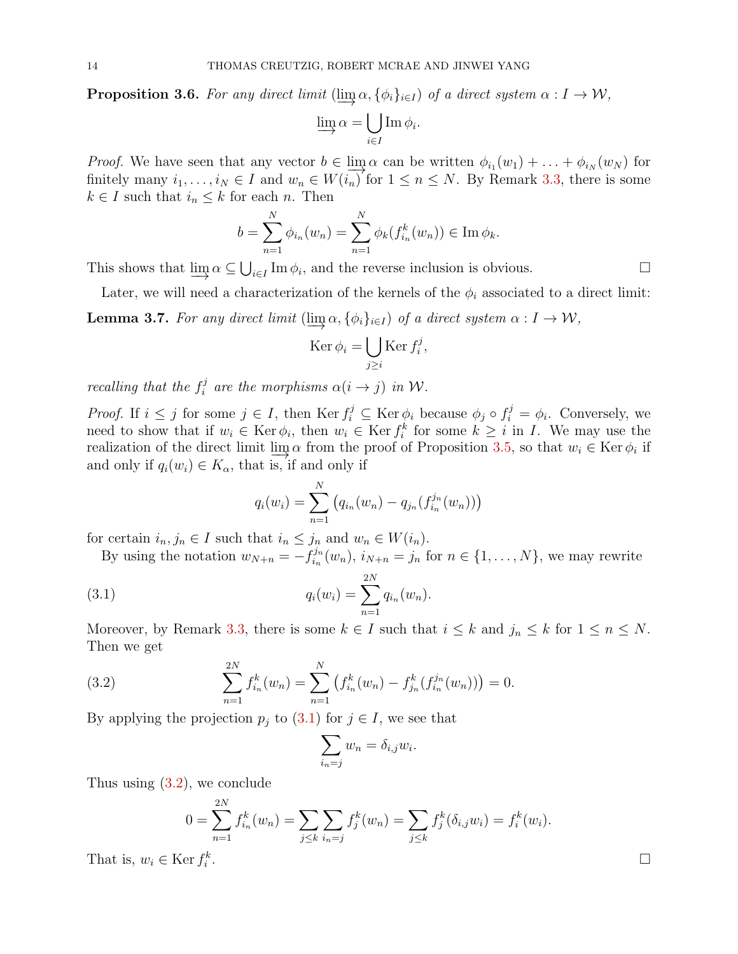<span id="page-13-2"></span>**Proposition 3.6.** For any direct limit  $(\lim_{\alpha} \alpha, \{\phi_i\}_{i\in I})$  of a direct system  $\alpha : I \to W$ ,

$$
\varinjlim \alpha = \bigcup_{i \in I} \operatorname{Im} \phi_i.
$$

*Proof.* We have seen that any vector  $b \in \lim_{N \to \infty} \alpha$  can be written  $\phi_{i_1}(w_1) + \ldots + \phi_{i_N}(w_N)$  for finitely many  $i_1, \ldots, i_N \in I$  and  $w_n \in W(i_n)$  for  $1 \leq n \leq N$ . By Remark [3.3,](#page-11-2) there is some  $k \in I$  such that  $i_n \leq k$  for each n. Then

$$
b = \sum_{n=1}^{N} \phi_{i_n}(w_n) = \sum_{n=1}^{N} \phi_k(f_{i_n}^k(w_n)) \in \text{Im } \phi_k.
$$

This shows that  $\underline{\lim}_{\alpha} \alpha \subseteq \bigcup_{i \in I} \text{Im } \phi_i$ , and the reverse inclusion is obvious.  $\square$ 

<span id="page-13-3"></span>Later, we will need a characterization of the kernels of the  $\phi_i$  associated to a direct limit: **Lemma 3.7.** For any direct limit  $(\lim_{\alpha} \alpha, {\{\phi_i\}}_{i\in I})$  of a direct system  $\alpha : I \to W$ ,

$$
\operatorname{Ker} \phi_i = \bigcup_{j \ge i} \operatorname{Ker} f_i^j,
$$

recalling that the  $f_i^j$ <sup>3</sup> are the morphisms  $\alpha(i \rightarrow j)$  in W.

*Proof.* If  $i \leq j$  for some  $j \in I$ , then Ker  $f_i^j \subseteq \text{Ker } \phi_i$  because  $\phi_j \circ f_i^j = \phi_i$ . Conversely, we need to show that if  $w_i \in \text{Ker } \phi_i$ , then  $w_i \in \text{Ker } f_i^k$  for some  $k \geq i$  in I. We may use the realization of the direct limit  $\lim_{\Delta x \to 0} \alpha$  from the proof of Proposition [3.5,](#page-12-0) so that  $w_i \in \text{Ker } \phi_i$  if and only if  $q_i(w_i) \in K_\alpha$ , that is, if and only if

<span id="page-13-0"></span>
$$
q_i(w_i) = \sum_{n=1}^{N} (q_{i_n}(w_n) - q_{j_n}(f_{i_n}^{j_n}(w_n)))
$$

for certain  $i_n, j_n \in I$  such that  $i_n \leq j_n$  and  $w_n \in W(i_n)$ .

By using the notation  $w_{N+n} = -f_{i_n}^{j_n}$  $i_n^{j_n}(w_n)$ ,  $i_{N+n} = j_n$  for  $n \in \{1, \ldots, N\}$ , we may rewrite

(3.1) 
$$
q_i(w_i) = \sum_{n=1}^{2N} q_{i_n}(w_n).
$$

Moreover, by Remark [3.3,](#page-11-2) there is some  $k \in I$  such that  $i \leq k$  and  $j_n \leq k$  for  $1 \leq n \leq N$ . Then we get

<span id="page-13-1"></span>(3.2) 
$$
\sum_{n=1}^{2N} f_{i_n}^k(w_n) = \sum_{n=1}^N \left( f_{i_n}^k(w_n) - f_{j_n}^k(f_{i_n}^{j_n}(w_n)) \right) = 0.
$$

By applying the projection  $p_j$  to [\(3.1\)](#page-13-0) for  $j \in I$ , we see that

$$
\sum_{i_n=j} w_n = \delta_{i,j} w_i
$$

.

Thus using [\(3.2\)](#page-13-1), we conclude

$$
0 = \sum_{n=1}^{2N} f_{i_n}^k(w_n) = \sum_{j \le k} \sum_{i_n = j} f_j^k(w_n) = \sum_{j \le k} f_j^k(\delta_{i,j} w_i) = f_i^k(w_i).
$$
  
er  $f_i^k$ .

That is,  $w_i \in \text{Ker } f_i^k$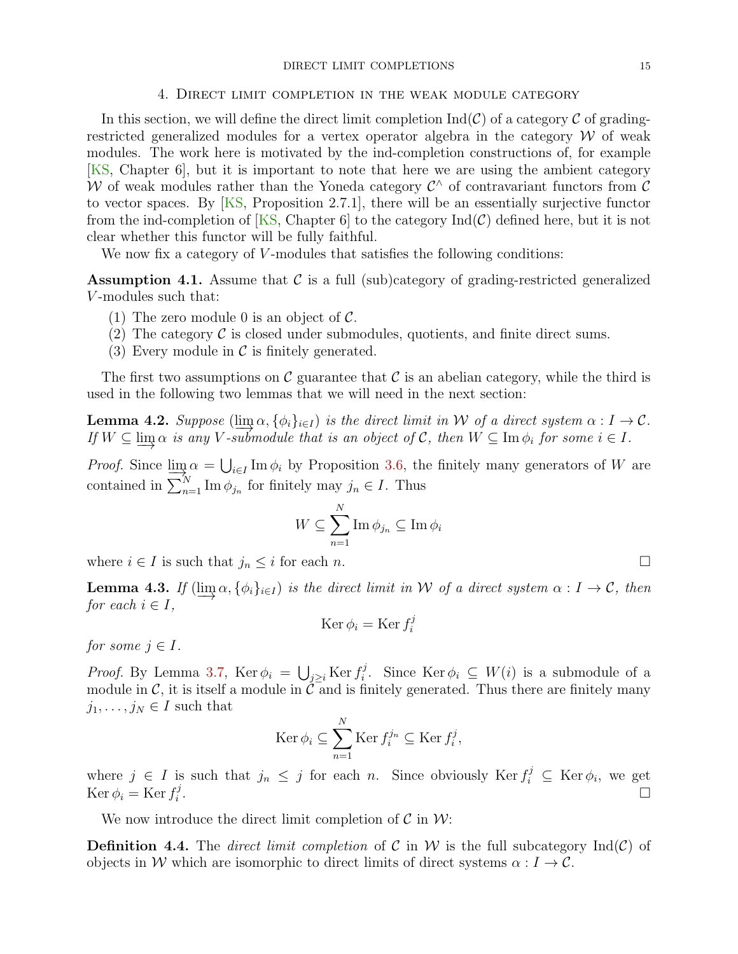#### DIRECT LIMIT COMPLETIONS 15

#### 4. Direct limit completion in the weak module category

<span id="page-14-0"></span>In this section, we will define the direct limit completion  $\text{Ind}(\mathcal{C})$  of a category  $\mathcal C$  of gradingrestricted generalized modules for a vertex operator algebra in the category  $W$  of weak modules. The work here is motivated by the ind-completion constructions of, for example [\[KS,](#page-50-1) Chapter 6], but it is important to note that here we are using the ambient category W of weak modules rather than the Yoneda category  $\mathcal{C}^{\wedge}$  of contravariant functors from  $\mathcal{C}$ to vector spaces. By [\[KS,](#page-50-1) Proposition 2.7.1], there will be an essentially surjective functor from the ind-completion of [\[KS,](#page-50-1) Chapter 6] to the category  $\text{Ind}(\mathcal{C})$  defined here, but it is not clear whether this functor will be fully faithful.

We now fix a category of  $V$ -modules that satisfies the following conditions:

<span id="page-14-1"></span>**Assumption 4.1.** Assume that  $\mathcal{C}$  is a full (sub)category of grading-restricted generalized V -modules such that:

- (1) The zero module 0 is an object of  $\mathcal{C}$ .
- (2) The category  $\mathcal C$  is closed under submodules, quotients, and finite direct sums.
- (3) Every module in  $\mathcal C$  is finitely generated.

The first two assumptions on C guarantee that C is an abelian category, while the third is used in the following two lemmas that we will need in the next section:

<span id="page-14-2"></span>**Lemma 4.2.** Suppose (lim $\alpha, {\phi_i}_{i\in I}$ ) is the direct limit in W of a direct system  $\alpha : I \to C$ . If  $W \subseteq \lim \alpha$  is any V-submodule that is an object of C, then  $W \subseteq \lim \phi_i$  for some  $i \in I$ .

*Proof.* Since  $\lim_{n \to \infty} \alpha = \bigcup_{i \in I} \text{Im } \phi_i$  by Proposition [3.6,](#page-13-2) the finitely many generators of W are contained in  $\sum_{n=1}^{N} \text{Im } \phi_{j_n}$  for finitely may  $j_n \in I$ . Thus

$$
W \subseteq \sum_{n=1}^{N} \operatorname{Im} \phi_{j_n} \subseteq \operatorname{Im} \phi_i
$$

where  $i \in I$  is such that  $j_n \leq i$  for each n.

<span id="page-14-3"></span>**Lemma 4.3.** If  $(\lim \alpha, {\varphi_i}_{i\in I})$  is the direct limit in W of a direct system  $\alpha: I \to C$ , then for each  $i \in I$ ,

$$
\operatorname{Ker} \phi_i = \operatorname{Ker} f_i^j
$$

for some  $j \in I$ .

*Proof.* By Lemma [3.7,](#page-13-3) Ker  $\phi_i = \bigcup_{j \geq i} \text{Ker } f_i^j$ <sup>3</sup>. Since Ker  $\phi_i \subseteq W(i)$  is a submodule of a module in  $\mathcal{C}$ , it is itself a module in  $\tilde{\mathcal{C}}$  and is finitely generated. Thus there are finitely many  $j_1, \ldots, j_N \in I$  such that

$$
\operatorname{Ker} \phi_i \subseteq \sum_{n=1}^N \operatorname{Ker} f_i^{j_n} \subseteq \operatorname{Ker} f_i^j
$$

,

where  $j \in I$  is such that  $j_n \leq j$  for each n. Since obviously  $\text{Ker } f_i^j \subseteq \text{Ker } \phi_i$ , we get  $\operatorname{Ker} \phi_i = \operatorname{Ker} f_i^j$ i .

We now introduce the direct limit completion of  $\mathcal C$  in  $\mathcal W$ :

**Definition 4.4.** The direct limit completion of C in W is the full subcategory  $\text{Ind}(\mathcal{C})$  of objects in W which are isomorphic to direct limits of direct systems  $\alpha : I \to C$ .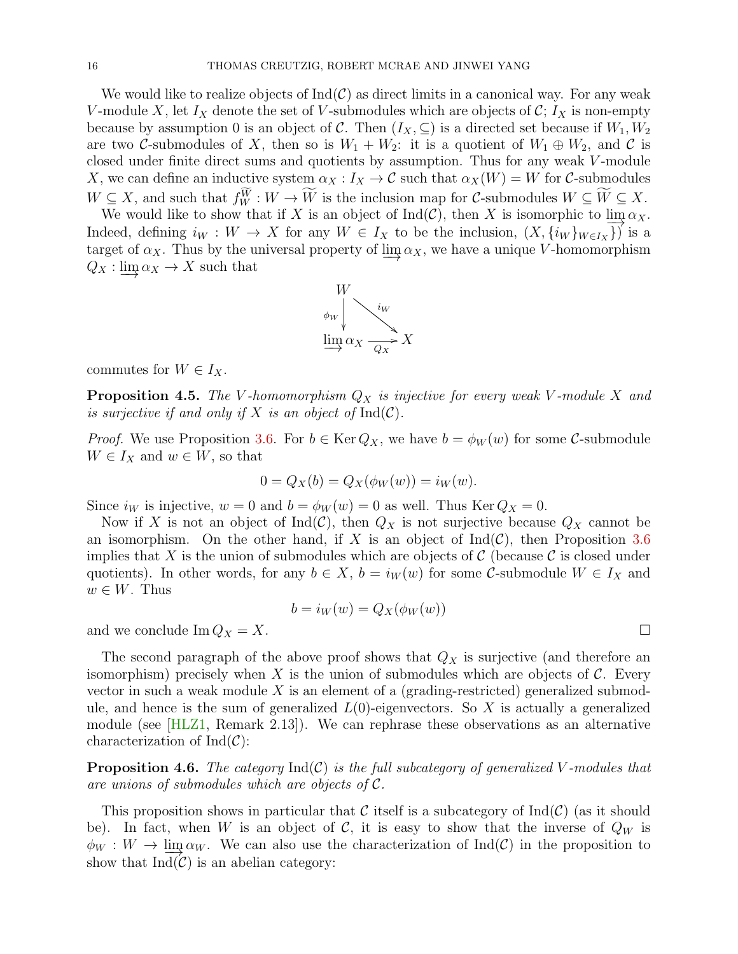We would like to realize objects of  $Ind(\mathcal{C})$  as direct limits in a canonical way. For any weak V-module X, let  $I_X$  denote the set of V-submodules which are objects of  $\mathcal{C}$ ;  $I_X$  is non-empty because by assumption 0 is an object of C. Then  $(I_X, \subseteq)$  is a directed set because if  $W_1, W_2$ are two C-submodules of X, then so is  $W_1 + W_2$ : it is a quotient of  $W_1 \oplus W_2$ , and C is closed under finite direct sums and quotients by assumption. Thus for any weak V -module X, we can define an inductive system  $\alpha_X : I_X \to \mathcal{C}$  such that  $\alpha_X(W) = W$  for C-submodules  $W \subseteq X$ , and such that  $f_W^W : W \to W$  is the inclusion map for C-submodules  $W \subseteq W \subseteq X$ .

We would like to show that if X is an object of Ind(C), then X is isomorphic to  $\lim_{\alpha} \alpha_X$ . Indeed, defining  $i_W : W \to X$  for any  $W \in I_X$  to be the inclusion,  $(X, \{i_W\}_{W \in I_X}\})$  is a target of  $\alpha_X$ . Thus by the universal property of  $\lim_{X \to \infty} \alpha_X$ , we have a unique V-homomorphism  $Q_X : \lim_{X \to X} \alpha_X \to X$  such that



commutes for  $W \in I_X$ .

<span id="page-15-1"></span>**Proposition 4.5.** The V-homomorphism  $Q_X$  is injective for every weak V-module X and is surjective if and only if X is an object of  $\mathrm{Ind}(\mathcal{C})$ .

*Proof.* We use Proposition [3.6.](#page-13-2) For  $b \in \text{Ker } Q_X$ , we have  $b = \phi_W(w)$  for some C-submodule  $W \in I_X$  and  $w \in W$ , so that

$$
0 = Q_X(b) = Q_X(\phi_W(w)) = i_W(w).
$$

Since  $i_W$  is injective,  $w = 0$  and  $b = \phi_W(w) = 0$  as well. Thus Ker  $Q_X = 0$ .

Now if X is not an object of Ind(C), then  $Q_X$  is not surjective because  $Q_X$  cannot be an isomorphism. On the other hand, if X is an object of  $\text{Ind}(\mathcal{C})$ , then Proposition [3.6](#page-13-2) implies that X is the union of submodules which are objects of  $\mathcal C$  (because  $\mathcal C$  is closed under quotients). In other words, for any  $b \in X$ ,  $b = i_W(w)$  for some C-submodule  $W \in I_X$  and  $w \in W$ . Thus

$$
b = i_W(w) = Q_X(\phi_W(w))
$$

and we conclude  $\text{Im } Q_X = X$ .

The second paragraph of the above proof shows that  $Q_X$  is surjective (and therefore an isomorphism) precisely when X is the union of submodules which are objects of  $\mathcal{C}$ . Every vector in such a weak module  $X$  is an element of a (grading-restricted) generalized submodule, and hence is the sum of generalized  $L(0)$ -eigenvectors. So X is actually a generalized module (see  $|HLZ1$ , Remark 2.13). We can rephrase these observations as an alternative characterization of  $Ind(\mathcal{C})$ :

<span id="page-15-0"></span>**Proposition 4.6.** The category  $\text{Ind}(\mathcal{C})$  is the full subcategory of generalized V-modules that are unions of submodules which are objects of C.

This proposition shows in particular that C itself is a subcategory of  $\text{Ind}(\mathcal{C})$  (as it should be). In fact, when W is an object of C, it is easy to show that the inverse of  $Q_W$  is  $\phi_W : W \to \text{lim}\,\alpha_W$ . We can also use the characterization of Ind(C) in the proposition to show that  $Ind(\mathcal{C})$  is an abelian category: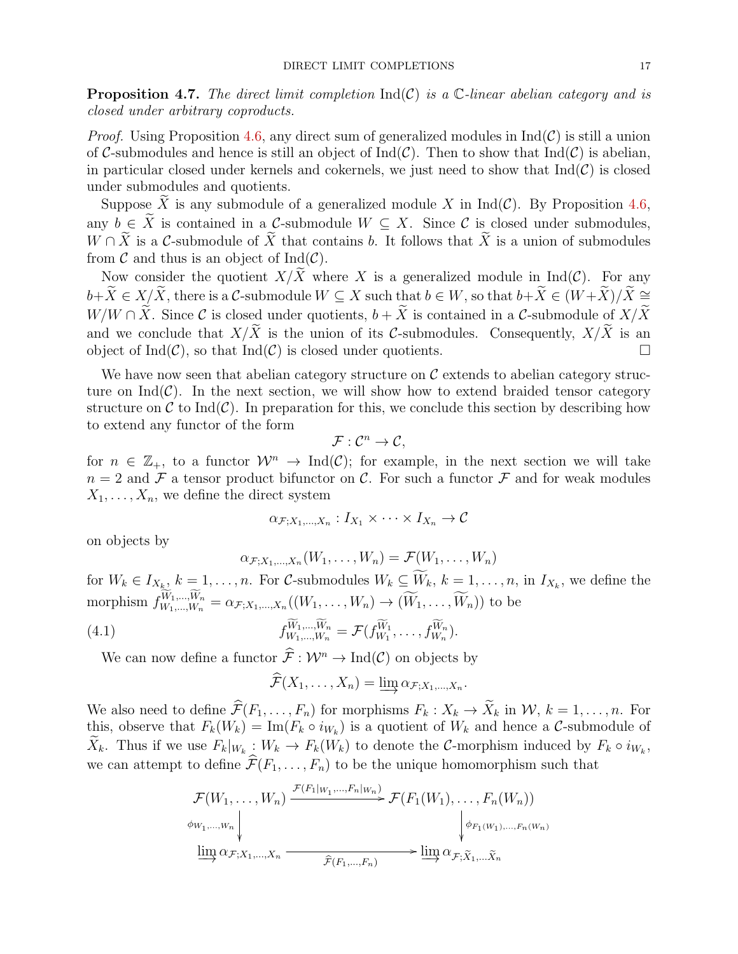<span id="page-16-1"></span>**Proposition 4.7.** The direct limit completion  $\text{Ind}(\mathcal{C})$  is a  $\mathbb{C}\text{-linear abelian category and is}$ closed under arbitrary coproducts.

*Proof.* Using Proposition [4.6,](#page-15-0) any direct sum of generalized modules in  $Ind(\mathcal{C})$  is still a union of C-submodules and hence is still an object of  $\text{Ind}(\mathcal{C})$ . Then to show that  $\text{Ind}(\mathcal{C})$  is abelian, in particular closed under kernels and cokernels, we just need to show that  $\text{Ind}(\mathcal{C})$  is closed under submodules and quotients.

Suppose  $\widetilde{X}$  is any submodule of a generalized module X in Ind(C). By Proposition [4.6,](#page-15-0) any  $b \in \widetilde{X}$  is contained in a C-submodule  $W \subseteq X$ . Since C is closed under submodules,  $W \cap \tilde{X}$  is a C-submodule of  $\tilde{X}$  that contains b. It follows that  $\tilde{X}$  is a union of submodules from  $\mathcal C$  and thus is an object of Ind $(\mathcal C)$ .

Now consider the quotient  $X/X$  where X is a generalized module in Ind(C). For any  $b+\widetilde{X}\in X/\widetilde{X}$ , there is a C-submodule  $W\subseteq X$  such that  $b\in W$ , so that  $b+\widetilde{X}\in (W+\widetilde{X})/\widetilde{X}\cong$  $W/W \cap \tilde{X}$ . Since C is closed under quotients,  $b + \tilde{X}$  is contained in a C-submodule of  $X/\tilde{X}$ and we conclude that  $X/\widetilde{X}$  is the union of its C-submodules. Consequently,  $X/\widetilde{X}$  is an object of Ind(C), so that Ind(C) is closed under quotients. object of  $Ind(\mathcal{C})$ , so that  $Ind(\mathcal{C})$  is closed under quotients.

We have now seen that abelian category structure on  $\mathcal C$  extends to abelian category structure on  $\text{Ind}(\mathcal{C})$ . In the next section, we will show how to extend braided tensor category structure on C to Ind(C). In preparation for this, we conclude this section by describing how to extend any functor of the form

$$
\mathcal{F}: \mathcal{C}^n \to \mathcal{C},
$$

for  $n \in \mathbb{Z}_+$ , to a functor  $\mathcal{W}^n \to \text{Ind}(\mathcal{C})$ ; for example, in the next section we will take  $n = 2$  and F a tensor product bifunctor on C. For such a functor F and for weak modules  $X_1, \ldots, X_n$ , we define the direct system

$$
\alpha_{\mathcal{F};X_1,\dots,X_n}: I_{X_1} \times \dots \times I_{X_n} \to \mathcal{C}
$$

on objects by

$$
\alpha_{\mathcal{F};X_1,\ldots,X_n}(W_1,\ldots,W_n)=\mathcal{F}(W_1,\ldots,W_n)
$$

for  $W_k \in I_{X_{k}, k} = 1, \ldots, n$ . For C-submodules  $W_k \subseteq W_k$ ,  $k = 1, \ldots, n$ , in  $I_{X_k}$ , we define the morphism  $f_{W_1,...,W_n}^{W_1,...,W_n} = \alpha_{\mathcal{F};X_1,...,X_n}((W_1,...,W_n) \to (\widetilde{W}_1,...,\widetilde{W}_n))$  to be

(4.1) 
$$
f_{W_1,\ldots,W_n}^{\widetilde{W}_1,\ldots,\widetilde{W}_n} = \mathcal{F}(f_{W_1}^{\widetilde{W}_1},\ldots,f_{W_n}^{\widetilde{W}_n}).
$$

We can now define a functor  $\hat{\mathcal{F}} : \mathcal{W}^n \to \text{Ind}(\mathcal{C})$  on objects by

<span id="page-16-0"></span>
$$
\mathcal{F}(X_1,\ldots,X_n)=\varinjlim \alpha_{\mathcal{F};X_1,\ldots,X_n}.
$$

We also need to define  $\widehat{\mathcal{F}}(F_1, \ldots, F_n)$  for morphisms  $F_k : X_k \to \widetilde{X}_k$  in  $\mathcal{W}, k = 1, \ldots, n$ . For this, observe that  $F_k(W_k) = \text{Im}(F_k \circ i_{W_k})$  is a quotient of  $W_k$  and hence a C-submodule of  $X_k$ . Thus if we use  $F_k|_{W_k}: W_k \to F_k(W_k)$  to denote the C-morphism induced by  $F_k \circ i_{W_k}$ , we can attempt to define  $\widehat{\mathcal{F}}(F_1, \ldots, F_n)$  to be the unique homomorphism such that

$$
\mathcal{F}(W_1, \ldots, W_n) \xrightarrow{\mathcal{F}(F_1|_{W_1}, \ldots, F_n|_{W_n})} \mathcal{F}(F_1(W_1), \ldots, F_n(W_n))
$$
\n
$$
\phi_{W_1, \ldots, W_n} \downarrow \qquad \qquad \phi_{F_1(W_1), \ldots, F_n(W_n)}
$$
\n
$$
\xrightarrow{\text{lim}} \alpha_{\mathcal{F}; X_1, \ldots, X_n} \xrightarrow{\widehat{\mathcal{F}}(F_1, \ldots, F_n)} \text{lim } \alpha_{\mathcal{F}; \widetilde{X}_1, \ldots, \widetilde{X}_n}
$$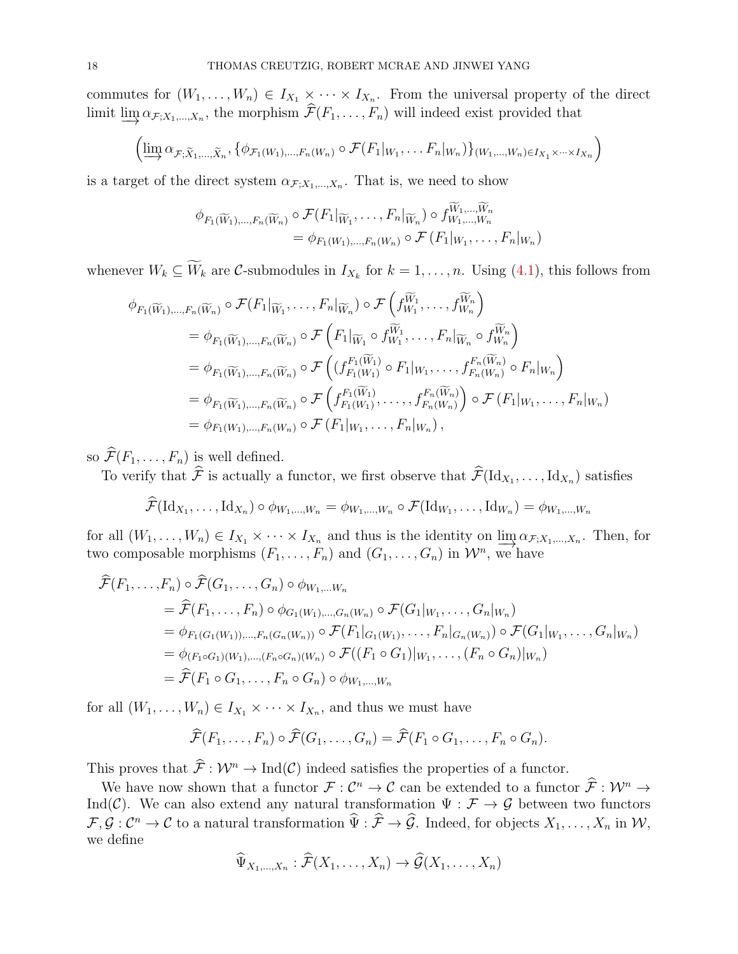commutes for  $(W_1, \ldots, W_n) \in I_{X_1} \times \cdots \times I_{X_n}$ . From the universal property of the direct limit  $\varinjlim \alpha_{\mathcal{F};X_1,\dots,X_n}$ , the morphism  $\mathcal{F}(F_1,\dots,F_n)$  will indeed exist provided that

$$
\left(\varinjlim \alpha_{\mathcal{F}; \widetilde{X}_1, \ldots, \widetilde{X}_n}, \{\phi_{\mathcal{F}_1(W_1), \ldots, F_n(W_n)} \circ \mathcal{F}(F_1|_{W_1}, \ldots F_n|_{W_n})\}_{(W_1, \ldots, W_n) \in I_{X_1} \times \cdots \times I_{X_n}}\right)
$$

is a target of the direct system  $\alpha_{\mathcal{F};X_1,\dots,X_n}$ . That is, we need to show

$$
\phi_{F_1(\widetilde{W}_1),\ldots,F_n(\widetilde{W}_n)} \circ \mathcal{F}(F_1|_{\widetilde{W}_1},\ldots,F_n|_{\widetilde{W}_n}) \circ f_{W_1,\ldots,W_n}^{\widetilde{W}_1,\ldots,\widetilde{W}_n}
$$
\n
$$
= \phi_{F_1(W_1),\ldots,F_n(W_n)} \circ \mathcal{F}(F_1|_{W_1},\ldots,F_n|_{W_n})
$$

whenever  $W_k \subseteq W_k$  are C-submodules in  $I_{X_k}$  for  $k = 1, ..., n$ . Using [\(4.1\)](#page-16-0), this follows from

$$
\phi_{F_1(\widetilde{W}_1),\ldots,F_n(\widetilde{W}_n)} \circ \mathcal{F}(F_1|_{\widetilde{W}_1},\ldots,F_n|_{\widetilde{W}_n}) \circ \mathcal{F}\left(f_{W_1}^{\widetilde{W}_1},\ldots,f_{W_n}^{\widetilde{W}_n}\right)
$$
\n
$$
= \phi_{F_1(\widetilde{W}_1),\ldots,F_n(\widetilde{W}_n)} \circ \mathcal{F}\left(F_1|_{\widetilde{W}_1} \circ f_{W_1}^{\widetilde{W}_1},\ldots,F_n|_{\widetilde{W}_n} \circ f_{W_n}^{\widetilde{W}_n}\right)
$$
\n
$$
= \phi_{F_1(\widetilde{W}_1),\ldots,F_n(\widetilde{W}_n)} \circ \mathcal{F}\left((f_{F_1(W_1)}^{F_1(\widetilde{W}_1)} \circ F_1|_{W_1},\ldots,f_{F_n(W_n)}^{F_n(\widetilde{W}_n)} \circ F_n|_{W_n}\right)
$$
\n
$$
= \phi_{F_1(\widetilde{W}_1),\ldots,F_n(\widetilde{W}_n)} \circ \mathcal{F}\left(f_{F_1(W_1)}^{F_1(\widetilde{W}_1)},\ldots,f_{F_n(W_n)}^{F_n(\widetilde{W}_n)}\right) \circ \mathcal{F}(F_1|_{W_1},\ldots,F_n|_{W_n})
$$
\n
$$
= \phi_{F_1(W_1),\ldots,F_n(W_n)} \circ \mathcal{F}(F_1|_{W_1},\ldots,F_n|_{W_n}),
$$

so  $\widehat{\mathcal{F}}(F_1, \ldots, F_n)$  is well defined.

To verify that F is actually a functor, we first observe that  $\mathcal{F}(\mathrm{Id}_{X_1}, \ldots, \mathrm{Id}_{X_n})$  satisfies

$$
\mathcal{F}(\mathrm{Id}_{X_1},\ldots,\mathrm{Id}_{X_n})\circ\phi_{W_1,\ldots,W_n}=\phi_{W_1,\ldots,W_n}\circ\mathcal{F}(\mathrm{Id}_{W_1},\ldots,\mathrm{Id}_{W_n})=\phi_{W_1,\ldots,W_n}
$$

for all  $(W_1, \ldots, W_n) \in I_{X_1} \times \cdots \times I_{X_n}$  and thus is the identity on  $\underline{\lim}_{X} \alpha_{\mathcal{F}, X_1, \ldots, X_n}$ . Then, for two composable morphisms  $(F_1, \ldots, F_n)$  and  $(G_1, \ldots, G_n)$  in  $\mathcal{W}^n$ , we have

$$
\hat{\mathcal{F}}(F_1, ..., F_n) \circ \hat{\mathcal{F}}(G_1, ..., G_n) \circ \phi_{W_1, ..., W_n}
$$
\n
$$
= \hat{\mathcal{F}}(F_1, ..., F_n) \circ \phi_{G_1(W_1), ..., G_n(W_n)} \circ \mathcal{F}(G_1|_{W_1}, ..., G_n|_{W_n})
$$
\n
$$
= \phi_{F_1(G_1(W_1)), ..., F_n(G_n(W_n))} \circ \mathcal{F}(F_1|_{G_1(W_1)}, ..., F_n|_{G_n(W_n)}) \circ \mathcal{F}(G_1|_{W_1}, ..., G_n|_{W_n})
$$
\n
$$
= \phi_{(F_1 \circ G_1)(W_1), ..., (F_n \circ G_n)(W_n)} \circ \mathcal{F}((F_1 \circ G_1)|_{W_1}, ..., (F_n \circ G_n)|_{W_n})
$$
\n
$$
= \hat{\mathcal{F}}(F_1 \circ G_1, ..., F_n \circ G_n) \circ \phi_{W_1, ..., W_n}
$$

for all  $(W_1, \ldots, W_n) \in I_{X_1} \times \cdots \times I_{X_n}$ , and thus we must have

$$
\widehat{\mathcal{F}}(F_1,\ldots,F_n)\circ \widehat{\mathcal{F}}(G_1,\ldots,G_n)=\widehat{\mathcal{F}}(F_1\circ G_1,\ldots,F_n\circ G_n).
$$

This proves that  $\hat{\mathcal{F}} : \mathcal{W}^n \to \text{Ind}(\mathcal{C})$  indeed satisfies the properties of a functor.

We have now shown that a functor  $\mathcal{F}: \mathcal{C}^n \to \mathcal{C}$  can be extended to a functor  $\widehat{\mathcal{F}}: \mathcal{W}^n \to$ Ind(C). We can also extend any natural transformation  $\Psi : \mathcal{F} \to \mathcal{G}$  between two functors  $\mathcal{F}, \mathcal{G}: \mathcal{C}^n \to \mathcal{C}$  to a natural transformation  $\widehat{\Psi}: \widehat{\mathcal{F}} \to \widehat{\mathcal{G}}$ . Indeed, for objects  $X_1, \ldots, X_n$  in  $\mathcal{W},$ we define

$$
\widehat{\Psi}_{X_1,\ldots,X_n} : \widehat{\mathcal{F}}(X_1,\ldots,X_n) \to \widehat{\mathcal{G}}(X_1,\ldots,X_n)
$$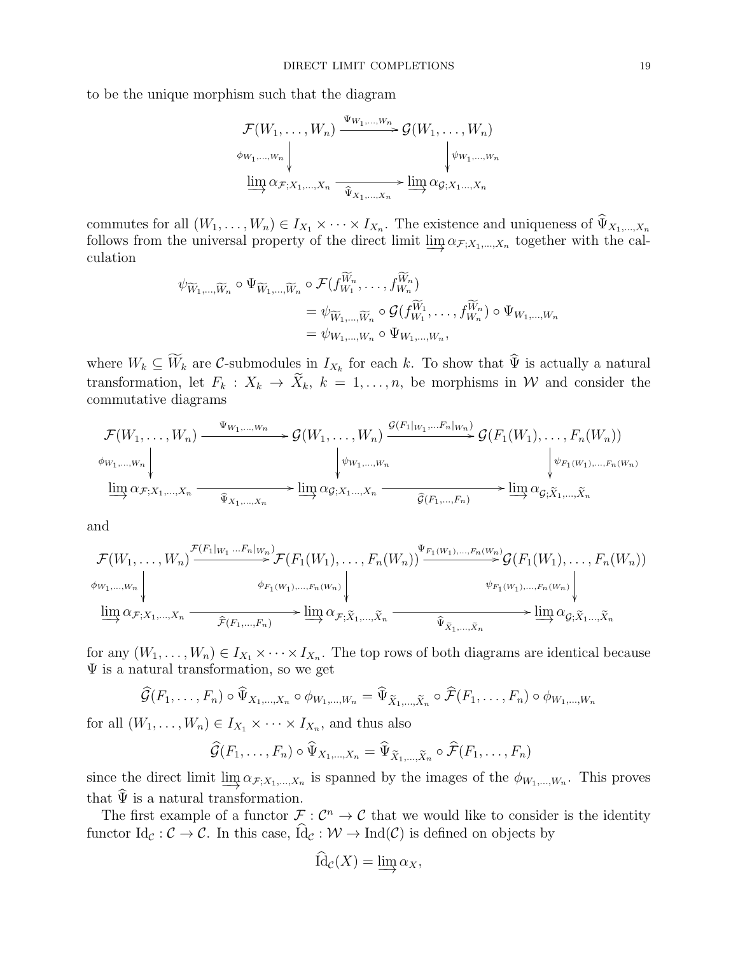to be the unique morphism such that the diagram

$$
\mathcal{F}(W_1, \ldots, W_n) \xrightarrow{\Psi_{W_1, \ldots, W_n}} \mathcal{G}(W_1, \ldots, W_n)
$$
\n
$$
\phi_{W_1, \ldots, W_n} \downarrow \qquad \qquad \downarrow \psi_{W_1, \ldots, W_n}
$$
\n
$$
\varinjlim \alpha_{\mathcal{F}; X_1, \ldots, X_n} \xrightarrow{\widehat{\Psi}_{X_1, \ldots, X_n}} \varinjlim \alpha_{\mathcal{G}; X_1, \ldots, X_n}
$$

commutes for all  $(W_1, \ldots, W_n) \in I_{X_1} \times \cdots \times I_{X_n}$ . The existence and uniqueness of  $\Psi_{X_1, \ldots, X_n}$ follows from the universal property of the direct limit  $\varinjlim \alpha_{\mathcal{F};X_1,\dots,X_n}$  together with the calculation

$$
\psi_{\widetilde{W}_1,\dots,\widetilde{W}_n} \circ \Psi_{\widetilde{W}_1,\dots,\widetilde{W}_n} \circ \mathcal{F}(f_{W_1}^{W_n},\dots,f_{W_n}^{W_n})
$$
\n
$$
= \psi_{\widetilde{W}_1,\dots,\widetilde{W}_n} \circ \mathcal{G}(f_{W_1}^{\widetilde{W}_1},\dots,f_{W_n}^{\widetilde{W}_n}) \circ \Psi_{W_1,\dots,W_n}
$$
\n
$$
= \psi_{W_1,\dots,W_n} \circ \Psi_{W_1,\dots,W_n},
$$

where  $W_k \subseteq W_k$  are C-submodules in  $I_{X_k}$  for each k. To show that  $\Psi$  is actually a natural transformation, let  $F_k : X_k \to \tilde{X}_k$ ,  $k = 1, ..., n$ , be morphisms in W and consider the commutative diagrams

$$
\mathcal{F}(W_1, \ldots, W_n) \xrightarrow{\Psi_{W_1, \ldots, W_n}} \mathcal{G}(W_1, \ldots, W_n) \xrightarrow{\mathcal{G}(F_1|_{W_1}, \ldots, F_n|_{W_n})} \mathcal{G}(F_1(W_1), \ldots, F_n(W_n))
$$
\n
$$
\downarrow \psi_{W_1, \ldots, W_n} \downarrow \qquad \qquad \downarrow \psi_{F_1(W_1), \ldots, F_n(W_n)}
$$
\n
$$
\underline{\lim}_{\longrightarrow} \alpha_{\mathcal{F}; X_1, \ldots, X_n} \xrightarrow{\widehat{\Psi}_{X_1, \ldots, X_n}} \underline{\lim}_{\longrightarrow} \alpha_{\mathcal{G}; X_1, \ldots, X_n} \xrightarrow{\widehat{\mathcal{G}}(F_1, \ldots, F_n)} \underline{\lim}_{\longrightarrow} \alpha_{\mathcal{G}; \widetilde{X}_1, \ldots, \widetilde{X}_n}
$$

and

$$
\mathcal{F}(W_1, \ldots, W_n) \xrightarrow{\mathcal{F}(F_1|_{W_1} \ldots F_n|_{W_n})} \mathcal{F}(F_1(W_1), \ldots, F_n(W_n)) \xrightarrow{\Psi_{F_1(W_1), \ldots, F_n(W_n)}} \mathcal{G}(F_1(W_1), \ldots, F_n(W_n))
$$
\n
$$
\downarrow \psi_{F_1(W_1), \ldots, F_n(W_n)} \downarrow \qquad \psi_{F_1(W_1), \ldots, F_n(W_n)} \downarrow \psi_{F_1(W_1), \ldots, F_n(W_n)} \downarrow
$$
\n
$$
\varinjlim \alpha_{\mathcal{F}; X_1, \ldots, X_n} \xrightarrow{\widehat{\mathcal{F}}(F_1, \ldots, F_n)} \varinjlim \alpha_{\mathcal{F}; \widetilde{X}_1, \ldots, \widetilde{X}_n} \xrightarrow{\widehat{\Psi}_{\widetilde{X}_1, \ldots, \widetilde{X}_n}} \varinjlim \alpha_{\mathcal{G}; \widetilde{X}_1, \ldots, \widetilde{X}_n}
$$

for any  $(W_1, \ldots, W_n) \in I_{X_1} \times \cdots \times I_{X_n}$ . The top rows of both diagrams are identical because Ψ is a natural transformation, so we get

$$
\widehat{\mathcal{G}}(F_1,\ldots,F_n)\circ \widehat{\Psi}_{X_1,\ldots,X_n}\circ \phi_{W_1,\ldots,W_n}=\widehat{\Psi}_{\widetilde{X}_1,\ldots,\widetilde{X}_n}\circ \widehat{\mathcal{F}}(F_1,\ldots,F_n)\circ \phi_{W_1,\ldots,W_n}
$$

for all  $(W_1, \ldots, W_n) \in I_{X_1} \times \cdots \times I_{X_n}$ , and thus also

$$
\widehat{\mathcal{G}}(F_1,\ldots,F_n)\circ \widehat{\Psi}_{X_1,\ldots,X_n}=\widehat{\Psi}_{\widetilde{X}_1,\ldots,\widetilde{X}_n}\circ \widehat{\mathcal{F}}(F_1,\ldots,F_n)
$$

since the direct limit  $\varinjlim \alpha_{\mathcal{F};X_1,\dots,X_n}$  is spanned by the images of the  $\phi_{W_1,\dots,W_n}$ . This proves that  $\widehat{\Psi}$  is a natural transformation.

The first example of a functor  $\mathcal{F}: \mathcal{C}^n \to \mathcal{C}$  that we would like to consider is the identity functor  $\text{Id}_{\mathcal{C}} : \mathcal{C} \to \mathcal{C}$ . In this case,  $\widehat{\text{Id}}_{\mathcal{C}} : \mathcal{W} \to \text{Ind}(\mathcal{C})$  is defined on objects by

$$
\mathrm{Id}_{\mathcal{C}}(X)=\varinjlim \alpha_X,
$$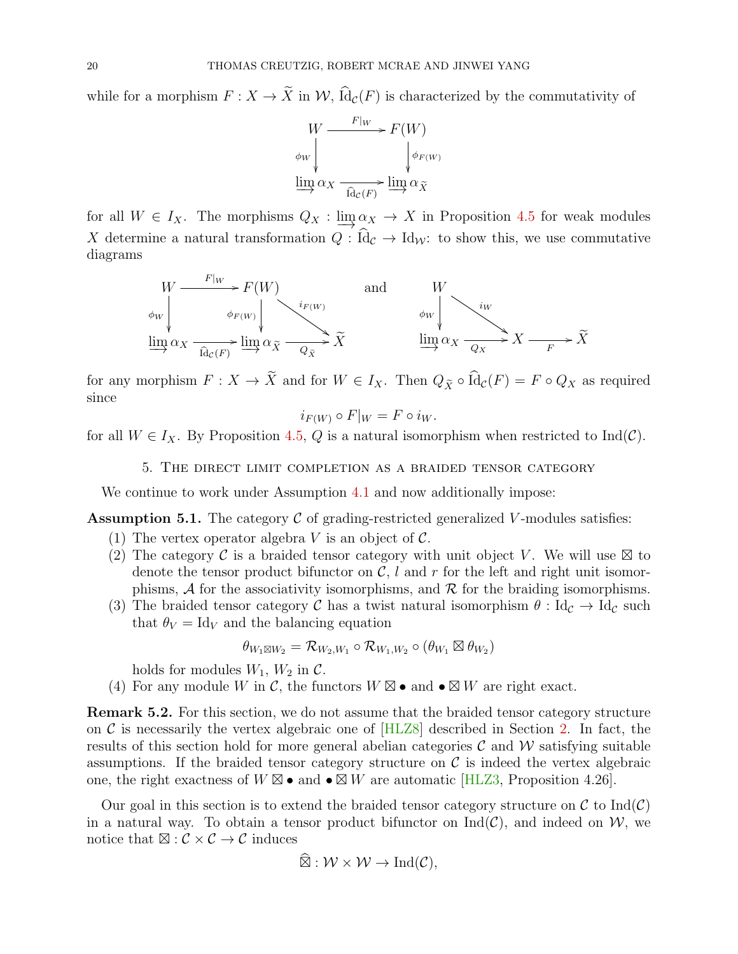while for a morphism  $F: X \to \tilde{X}$  in  $\mathcal{W}$ ,  $\widehat{Id}_{\mathcal{C}}(F)$  is characterized by the commutativity of



for all  $W \in I_X$ . The morphisms  $Q_X : \lim_{X \to \infty} \alpha_X \to X$  in Proposition [4.5](#page-15-1) for weak modules X determine a natural transformation  $Q : \widehat{Id}_c \to Id_{\mathcal{W}}$ : to show this, we use commutative diagrams



for any morphism  $F: X \to \tilde{X}$  and for  $W \in I_X$ . Then  $Q_{\tilde{X}} \circ \widehat{Id}_{\mathcal{C}}(F) = F \circ Q_X$  as required since

$$
i_{F(W)} \circ F|_{W} = F \circ i_{W}.
$$

<span id="page-19-0"></span>for all  $W \in I_X$ . By Proposition [4.5,](#page-15-1) Q is a natural isomorphism when restricted to Ind(C).

5. The direct limit completion as a braided tensor category

We continue to work under Assumption [4.1](#page-14-1) and now additionally impose:

<span id="page-19-1"></span>**Assumption 5.1.** The category  $\mathcal C$  of grading-restricted generalized V-modules satisfies:

- (1) The vertex operator algebra V is an object of  $\mathcal{C}$ .
- (2) The category C is a braided tensor category with unit object V. We will use  $\boxtimes$  to denote the tensor product bifunctor on  $C$ , l and r for the left and right unit isomorphisms,  $\mathcal A$  for the associativity isomorphisms, and  $\mathcal R$  for the braiding isomorphisms.
- (3) The braided tensor category C has a twist natural isomorphism  $\theta$ : Id<sub>C</sub>  $\rightarrow$  Id<sub>C</sub> such that  $\theta_V = \text{Id}_V$  and the balancing equation

$$
\theta_{W_1 \boxtimes W_2} = \mathcal{R}_{W_2,W_1} \circ \mathcal{R}_{W_1,W_2} \circ (\theta_{W_1} \boxtimes \theta_{W_2})
$$

holds for modules  $W_1$ ,  $W_2$  in  $\mathcal{C}$ .

(4) For any module W in C, the functors  $W \boxtimes \bullet$  and  $\bullet \boxtimes W$  are right exact.

Remark 5.2. For this section, we do not assume that the braided tensor category structure on  $\mathcal C$  is necessarily the vertex algebraic one of [\[HLZ8\]](#page-50-0) described in Section [2.](#page-3-0) In fact, the results of this section hold for more general abelian categories  $\mathcal C$  and  $\mathcal W$  satisfying suitable assumptions. If the braided tensor category structure on  $\mathcal C$  is indeed the vertex algebraic one, the right exactness of  $W \boxtimes \bullet$  and  $\bullet \boxtimes W$  are automatic [\[HLZ3,](#page-49-6) Proposition 4.26].

Our goal in this section is to extend the braided tensor category structure on  $\mathcal C$  to  $\text{Ind}(\mathcal C)$ in a natural way. To obtain a tensor product bifunctor on  $\text{Ind}(\mathcal{C})$ , and indeed on W, we notice that  $\boxtimes : \mathcal{C} \times \mathcal{C} \to \mathcal{C}$  induces

$$
\widehat{\boxtimes} : \mathcal{W} \times \mathcal{W} \to \mathrm{Ind}(\mathcal{C}),
$$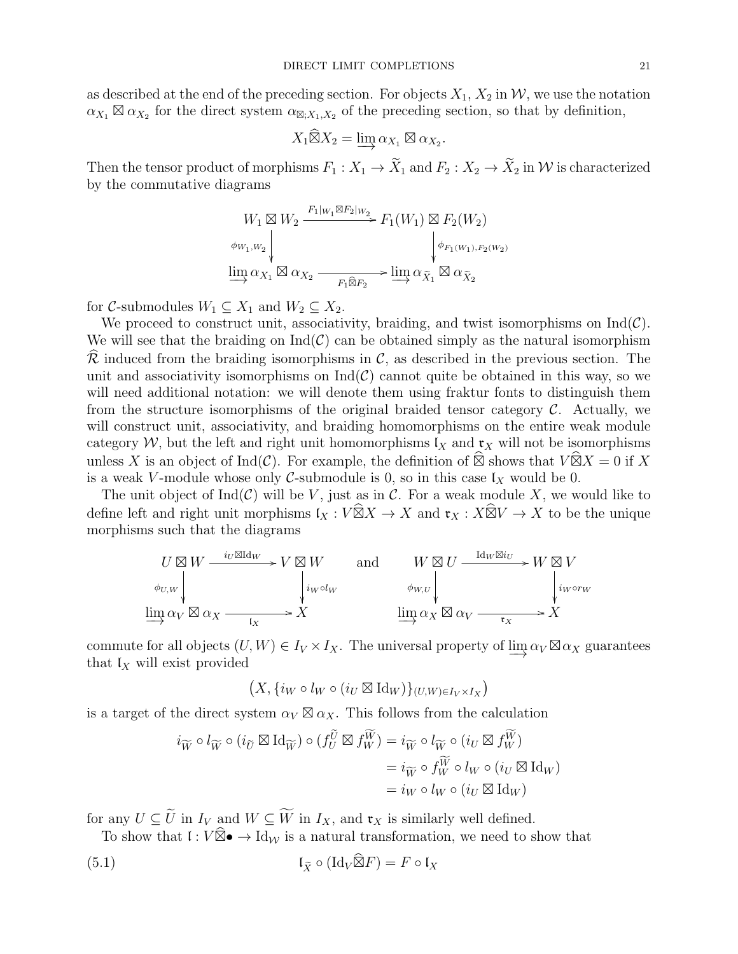as described at the end of the preceding section. For objects  $X_1, X_2$  in W, we use the notation  $\alpha_{X_1} \boxtimes \alpha_{X_2}$  for the direct system  $\alpha_{\boxtimes, X_1, X_2}$  of the preceding section, so that by definition,

$$
X_1 \widehat{\boxtimes} X_2 = \varinjlim \alpha_{X_1} \boxtimes \alpha_{X_2}.
$$

Then the tensor product of morphisms  $F_1: X_1 \to \tilde{X}_1$  and  $F_2: X_2 \to \tilde{X}_2$  in W is characterized by the commutative diagrams

$$
W_1 \boxtimes W_2 \xrightarrow{F_1|_{W_1} \boxtimes F_2|_{W_2}} F_1(W_1) \boxtimes F_2(W_2)
$$
  

$$
\phi_{W_1, W_2} \downarrow \phi_{F_1(W_1), F_2(W_2)}
$$
  

$$
\underline{\lim}_{X_1} \alpha_{X_1} \boxtimes \alpha_{X_2} \xrightarrow{F_1 \widehat{\boxtimes} F_2} \underline{\lim}_{X_1} \alpha_{\tilde{X}_1} \boxtimes \alpha_{\tilde{X}_2}
$$

for C-submodules  $W_1 \subseteq X_1$  and  $W_2 \subseteq X_2$ .

We proceed to construct unit, associativity, braiding, and twist isomorphisms on  $\text{Ind}(\mathcal{C})$ . We will see that the braiding on  $\text{Ind}(\mathcal{C})$  can be obtained simply as the natural isomorphism  $\mathcal R$  induced from the braiding isomorphisms in  $\mathcal C$ , as described in the previous section. The unit and associativity isomorphisms on  $\text{Ind}(\mathcal{C})$  cannot quite be obtained in this way, so we will need additional notation: we will denote them using fraktur fonts to distinguish them from the structure isomorphisms of the original braided tensor category  $\mathcal{C}$ . Actually, we will construct unit, associativity, and braiding homomorphisms on the entire weak module category W, but the left and right unit homomorphisms  $\mathfrak{l}_X$  and  $\mathfrak{r}_X$  will not be isomorphisms unless X is an object of  $Ind(\mathcal{C})$ . For example, the definition of  $\widehat{\boxtimes}$  shows that  $V \widehat{\boxtimes} X = 0$  if X is a weak V-module whose only C-submodule is 0, so in this case  $\mathfrak{l}_X$  would be 0.

The unit object of  $\text{Ind}(\mathcal{C})$  will be V, just as in  $\mathcal{C}$ . For a weak module X, we would like to define left and right unit morphisms  $\mathfrak{l}_X : V \widehat{\boxtimes} X \to X$  and  $\mathfrak{r}_X : X \widehat{\boxtimes} V \to X$  to be the unique morphisms such that the diagrams

$$
U \boxtimes W \xrightarrow{i_U \boxtimes \text{Id}_W} V \boxtimes W \qquad \text{and} \qquad W \boxtimes U \xrightarrow{\text{Id}_W \boxtimes i_U} W \boxtimes V
$$
  
\n
$$
\phi_{U,W} \downarrow \qquad \qquad \downarrow i_W \circ l_W \qquad \qquad \phi_{W,U} \downarrow \qquad \qquad \downarrow i_W \circ r_W
$$
  
\n
$$
\lim_{\longrightarrow} \alpha_V \boxtimes \alpha_X \xrightarrow{\qquad \qquad \downarrow} X \qquad \qquad \lim_{\longrightarrow} \alpha_X \boxtimes \alpha_V \xrightarrow{\qquad \qquad \downarrow} X
$$

commute for all objects  $(U, W) \in I_V \times I_X$ . The universal property of  $\varinjlim \alpha_V \boxtimes \alpha_X$  guarantees that  $\mathfrak{l}_X$  will exist provided

$$
(X, \{i_W \circ l_W \circ (i_U \boxtimes \mathrm{Id}_W)\}_{(U,W) \in I_V \times I_X})
$$

is a target of the direct system  $\alpha_V \boxtimes \alpha_X$ . This follows from the calculation

<span id="page-20-0"></span>
$$
i_{\widetilde{W}} \circ l_{\widetilde{W}} \circ (i_{\widetilde{U}} \boxtimes \mathrm{Id}_{\widetilde{W}}) \circ (f_U^{\widetilde{U}} \boxtimes f_W^{\widetilde{W}}) = i_{\widetilde{W}} \circ l_{\widetilde{W}} \circ (i_U \boxtimes f_W^{\widetilde{W}})
$$
  

$$
= i_{\widetilde{W}} \circ f_W^{\widetilde{W}} \circ l_W \circ (i_U \boxtimes \mathrm{Id}_W)
$$
  

$$
= i_W \circ l_W \circ (i_U \boxtimes \mathrm{Id}_W)
$$

for any  $U \subseteq \widetilde{U}$  in  $I_V$  and  $W \subseteq \widetilde{W}$  in  $I_X$ , and  $\mathfrak{r}_X$  is similarly well defined.

To show that  $\mathfrak{l}: V \widehat{\boxtimes} \bullet \to \mathrm{Id}_{\mathcal{W}}$  is a natural transformation, we need to show that

(5.1) 
$$
\mathfrak{l}_{\widetilde{X}} \circ (\mathrm{Id}_V \widehat{\boxtimes} F) = F \circ \mathfrak{l}_X
$$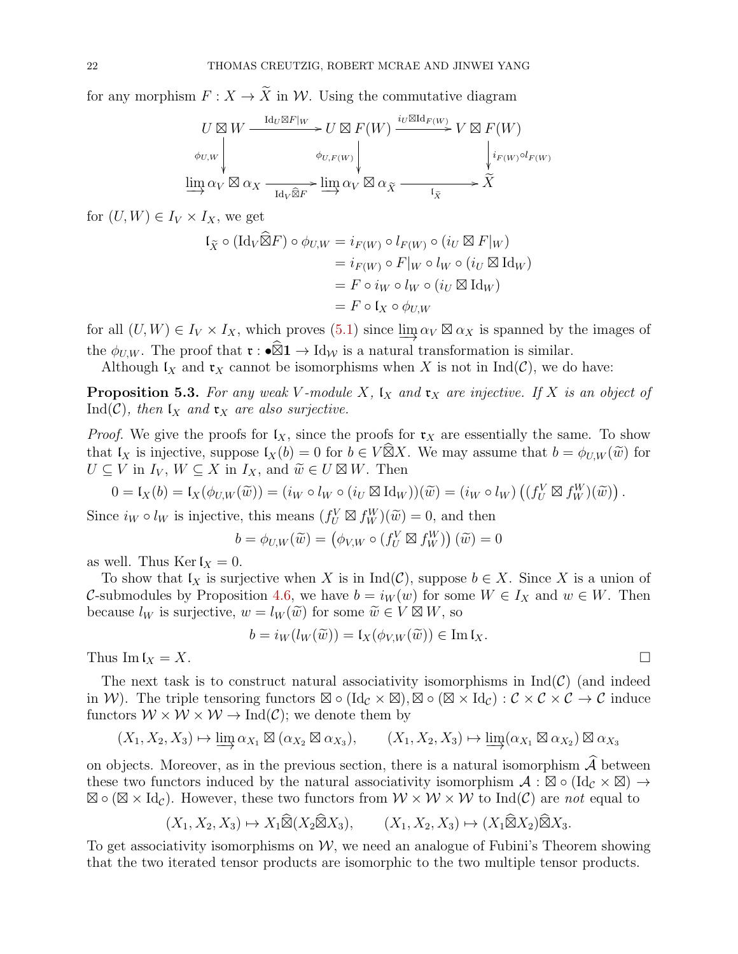for any morphism  $F: X \to \tilde{X}$  in W. Using the commutative diagram

$$
U \boxtimes W \xrightarrow{\mathrm{Id}_U \boxtimes F|_W} U \boxtimes F(W) \xrightarrow{i_U \boxtimes \mathrm{Id}_{F(W)}} V \boxtimes F(W)
$$
  
\n
$$
\phi_{U,W} \downarrow \qquad \phi_{U,F(W)} \downarrow \qquad \qquad \downarrow i_{F(W)} \circ l_{F(W)}
$$
  
\n
$$
\varinjlim_{\alpha_V} \alpha_V \boxtimes \alpha_X \xrightarrow{\mathrm{Id}_V \widehat{\boxtimes} F} \varinjlim_{\alpha_V} \alpha_V \boxtimes \alpha_{\tilde{X}} \xrightarrow{\mathrm{Id}_{\tilde{X}}} \tilde{X}
$$

for  $(U, W) \in I_V \times I_X$ , we get

$$
\begin{aligned} \mathfrak{l}_{\widetilde{X}} \circ (\mathrm{Id}_{V} \widehat{\boxtimes} F) \circ \phi_{U,W} &= i_{F(W)} \circ l_{F(W)} \circ (i_{U} \boxtimes F|_{W}) \\ &= i_{F(W)} \circ F|_{W} \circ l_{W} \circ (i_{U} \boxtimes \mathrm{Id}_{W}) \\ &= F \circ i_{W} \circ l_{W} \circ (i_{U} \boxtimes \mathrm{Id}_{W}) \\ &= F \circ \mathfrak{l}_{X} \circ \phi_{U,W} \end{aligned}
$$

for all  $(U, W) \in I_V \times I_X$ , which proves  $(5.1)$  since  $\varinjlim \alpha_V \boxtimes \alpha_X$  is spanned by the images of the  $\phi_{U,W}$ . The proof that  $\mathfrak{r} : \mathfrak{D} \mathfrak{D} \to \mathrm{Id}_W$  is a natural transformation is similar.

Although  $\mathfrak{l}_X$  and  $\mathfrak{r}_X$  cannot be isomorphisms when X is not in Ind(C), we do have:

**Proposition 5.3.** For any weak V-module X,  $\mathfrak{l}_X$  and  $\mathfrak{r}_X$  are injective. If X is an object of Ind(C), then  $\mathfrak{t}_X$  and  $\mathfrak{r}_X$  are also surjective.

*Proof.* We give the proofs for  $\mathfrak{l}_X$ , since the proofs for  $\mathfrak{r}_X$  are essentially the same. To show that  $I_X$  is injective, suppose  $I_X(b) = 0$  for  $b \in V \widehat{\boxtimes} X$ . We may assume that  $b = \phi_{U,W}(\widetilde{w})$  for  $U \subset V$  in  $I_Y \subset X$  in  $I_Y$  and  $\widetilde{w} \in U \boxtimes W$ . Then  $U \subseteq V$  in  $I_V$ ,  $W \subseteq X$  in  $I_X$ , and  $\widetilde{w} \in U \boxtimes W$ . Then

$$
0 = \mathfrak{l}_X(b) = \mathfrak{l}_X(\phi_{U,W}(\widetilde{w})) = (i_W \circ l_W \circ (i_U \boxtimes \mathrm{Id}_W))(\widetilde{w}) = (i_W \circ l_W) ((f^V_U \boxtimes f^W_W)(\widetilde{w})) .
$$

Since  $i_W \circ l_W$  is injective, this means  $(f_U^V \boxtimes f_W^W)(\widetilde{w}) = 0$ , and then

$$
b = \phi_{U,W}(\widetilde{w}) = (\phi_{V,W} \circ (f^V_U \boxtimes f^W_W))(\widetilde{w}) = 0
$$

as well. Thus Kerl $_X = 0$ .

To show that  $\mathfrak{l}_X$  is surjective when X is in  $\mathrm{Ind}(\mathcal{C})$ , suppose  $b \in X$ . Since X is a union of C-submodules by Proposition [4.6,](#page-15-0) we have  $b = i_W(w)$  for some  $W \in I_X$  and  $w \in W$ . Then because  $l_W$  is surjective,  $w = l_W(\widetilde{w})$  for some  $\widetilde{w} \in V \boxtimes W$ , so

$$
b = i_W(l_W(\widetilde{w})) = \mathfrak{l}_X(\phi_{V,W}(\widetilde{w})) \in \text{Im } \mathfrak{l}_X.
$$

Thus  $\text{Im } \mathfrak{l}_X = X.$ 

The next task is to construct natural associativity isomorphisms in  $\text{Ind}(\mathcal{C})$  (and indeed in W). The triple tensoring functors  $\boxtimes \circ (\text{Id}_{\mathcal{C}} \times \boxtimes), \boxtimes \circ (\boxtimes \times \text{Id}_{\mathcal{C}}) : \mathcal{C} \times \mathcal{C} \times \mathcal{C} \to \mathcal{C}$  induce functors  $W \times W \times W \rightarrow \text{Ind}(\mathcal{C})$ ; we denote them by

$$
(X_1, X_2, X_3) \mapsto \varinjlim \alpha_{X_1} \boxtimes (\alpha_{X_2} \boxtimes \alpha_{X_3}), \qquad (X_1, X_2, X_3) \mapsto \varinjlim (\alpha_{X_1} \boxtimes \alpha_{X_2}) \boxtimes \alpha_{X_3}
$$

on objects. Moreover, as in the previous section, there is a natural isomorphism  $\widehat{\mathcal{A}}$  between these two functors induced by the natural associativity isomorphism  $\mathcal{A}: \mathbb{Z} \circ (\mathrm{Id}_{\mathcal{C}} \times \mathbb{Z}) \to$  $\boxtimes \circ (\boxtimes \times \text{Id}_{\mathcal{C}})$ . However, these two functors from  $\mathcal{W} \times \mathcal{W} \times \mathcal{W}$  to  $\text{Ind}(\mathcal{C})$  are not equal to

$$
(X_1, X_2, X_3) \mapsto X_1 \widehat{\boxtimes} (X_2 \widehat{\boxtimes} X_3), \qquad (X_1, X_2, X_3) \mapsto (X_1 \widehat{\boxtimes} X_2) \widehat{\boxtimes} X_3.
$$

To get associativity isomorphisms on  $W$ , we need an analogue of Fubini's Theorem showing that the two iterated tensor products are isomorphic to the two multiple tensor products.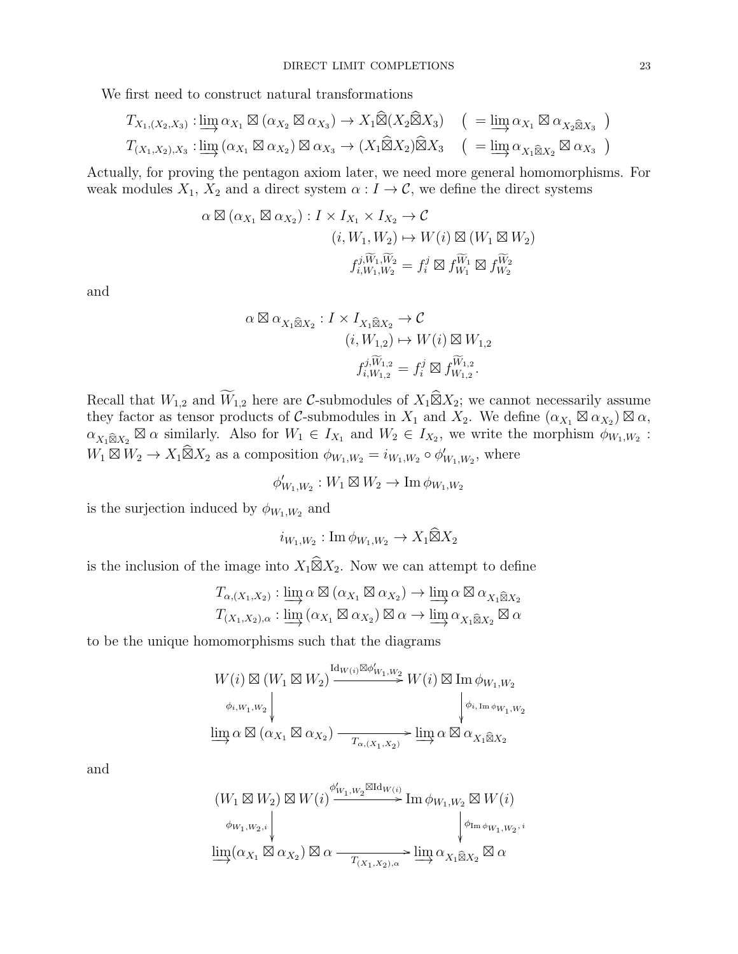We first need to construct natural transformations

$$
T_{X_1,(X_2,X_3)}: \varinjlim \alpha_{X_1} \boxtimes (\alpha_{X_2} \boxtimes \alpha_{X_3}) \to X_1 \widehat{\boxtimes} (X_2 \widehat{\boxtimes} X_3) \quad (\quad = \varinjlim \alpha_{X_1} \boxtimes \alpha_{X_2 \widehat{\boxtimes} X_3} \quad)
$$

$$
T_{(X_1,X_2),X_3}: \varinjlim (\alpha_{X_1} \boxtimes \alpha_{X_2}) \boxtimes \alpha_{X_3} \to (X_1 \widehat{\boxtimes} X_2) \widehat{\boxtimes} X_3 \quad (\quad = \varinjlim \alpha_{X_1 \widehat{\boxtimes} X_2} \boxtimes \alpha_{X_3} \quad )
$$

Actually, for proving the pentagon axiom later, we need more general homomorphisms. For weak modules  $X_1, X_2$  and a direct system  $\alpha : I \to \mathcal{C}$ , we define the direct systems

$$
\alpha \boxtimes (\alpha_{X_1} \boxtimes \alpha_{X_2}) : I \times I_{X_1} \times I_{X_2} \to C
$$
  

$$
(i, W_1, W_2) \mapsto W(i) \boxtimes (W_1 \boxtimes W_2)
$$
  

$$
f_{i, W_1, W_2}^{j, \widetilde{W}_1, \widetilde{W}_2} = f_i^j \boxtimes f_{W_1}^{\widetilde{W}_1} \boxtimes f_{W_2}^{\widetilde{W}_2}
$$

and

$$
\alpha \boxtimes \alpha_{X_1 \widehat{\boxtimes} X_2} : I \times I_{X_1 \widehat{\boxtimes} X_2} \to \mathcal{C}
$$
  
\n
$$
(i, W_{1,2}) \mapsto W(i) \boxtimes W_{1,2}
$$
  
\n
$$
f_{i, W_{1,2}}^{j, \widetilde{W}_{1,2}} = f_i^j \boxtimes f_{W_{1,2}}^{\widetilde{W}_{1,2}}.
$$

Recall that  $W_{1,2}$  and  $\widetilde{W}_{1,2}$  here are C-submodules of  $X_1 \widehat{\boxtimes} X_2$ ; we cannot necessarily assume they factor as tensor products of C-submodules in  $X_1$  and  $X_2$ . We define  $(\alpha_{X_1} \boxtimes \alpha_{X_2}) \boxtimes \alpha$ ,  $\alpha_{X_1\widehat{\boxtimes}X_2}$  $\boxtimes \alpha$  similarly. Also for  $W_1 \in I_{X_1}$  and  $W_2 \in I_{X_2}$ , we write the morphism  $\phi_{W_1,W_2}$ :  $W_1 \boxtimes W_2 \to X_1 \widehat{\boxtimes} X_2$  as a composition  $\phi_{W_1,W_2} = i_{W_1,W_2} \circ \phi'_{W_1,W_2}$ , where

 $\phi'_{W_1,W_2}: W_1 \boxtimes W_2 \to \text{Im } \phi_{W_1,W_2}$ 

is the surjection induced by  $\phi_{W_1,W_2}$  and

$$
i_{W_1,W_2}: \operatorname{Im} \phi_{W_1,W_2} \to X_1 \widehat{\boxtimes} X_2
$$

is the inclusion of the image into  $X_1 \widehat{\boxtimes} X_2$ . Now we can attempt to define

$$
T_{\alpha,(X_1,X_2)}: \varinjlim \alpha \boxtimes (\alpha_{X_1} \boxtimes \alpha_{X_2}) \to \varinjlim \alpha \boxtimes \alpha_{X_1 \widehat{\boxtimes} X_2}
$$

$$
T_{(X_1,X_2),\alpha}: \varinjlim (\alpha_{X_1} \boxtimes \alpha_{X_2}) \boxtimes \alpha \to \varinjlim \alpha_{X_1 \widehat{\boxtimes} X_2} \boxtimes \alpha
$$

to be the unique homomorphisms such that the diagrams

$$
\begin{split} &W(i)\boxtimes (W_1\boxtimes W_2)\xrightarrow{\mathrm{Id}_{W(i)}\boxtimes\phi'_{W_1,W_2}} W(i)\boxtimes \mathrm{Im}\ \phi_{W_1,W_2}\\ &\underset{\psi_{i,W_1,W_2}}{\underset{\psi_{i,W_1,W_2}}{\Downarrow}}\Big\downarrow\psi_{i,\mathrm{Im}\,\phi_{W_1,W_2}}\\ &\underset{\mathrm{Im}\ \alpha}{\mathrm{Im}\ \alpha}\boxtimes (\alpha_{X_1}\boxtimes \alpha_{X_2})\xrightarrow{T_{\alpha,(X_1,X_2)}}\xrightarrow{\mathrm{lim}\ \alpha}\alpha\boxtimes \alpha_{X_1\widehat{\boxtimes} X_2} \end{split}
$$

and

$$
(W_1 \boxtimes W_2) \boxtimes W(i) \xrightarrow{\phi'_{W_1, W_2} \boxtimes \mathrm{Id}_{W(i)}} \mathrm{Im} \, \phi_{W_1, W_2} \boxtimes W(i)
$$
  

$$
\phi_{W_1, W_2, i} \downarrow \qquad \qquad \downarrow \phi_{\mathrm{Im} \, \phi_{W_1, W_2, i}}
$$
  

$$
\underline{\lim}_{\to} (\alpha_{X_1} \boxtimes \alpha_{X_2}) \boxtimes \alpha \xrightarrow{T_{(X_1, X_2), \alpha}} \underline{\lim}_{\to} \alpha_{X_1 \widehat{\boxtimes} X_2} \boxtimes \alpha
$$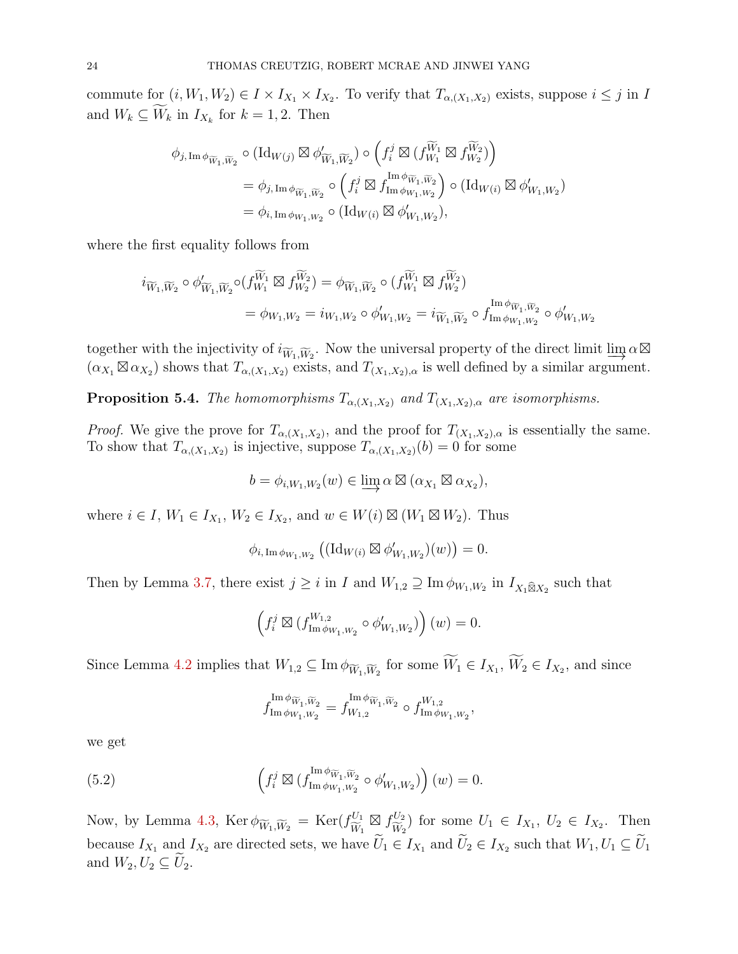commute for  $(i, W_1, W_2) \in I \times I_{X_1} \times I_{X_2}$ . To verify that  $T_{\alpha,(X_1,X_2)}$  exists, suppose  $i \leq j$  in I and  $W_k \subseteq W_k$  in  $I_{X_k}$  for  $k = 1, 2$ . Then

$$
\begin{split}\n\phi_{j,\operatorname{Im} \phi_{\widetilde{W}_{1},\widetilde{W}_{2}}} & \circ (\operatorname{Id}_{W(j)} \boxtimes \phi'_{\widetilde{W}_{1},\widetilde{W}_{2}}) \circ \left( f_{i}^{j} \boxtimes (f_{W_{1}}^{\widetilde{W}_{1}} \boxtimes f_{W_{2}}^{\widetilde{W}_{2}}) \right) \\
& = \phi_{j,\operatorname{Im} \phi_{\widetilde{W}_{1},\widetilde{W}_{2}}} \circ \left( f_{i}^{j} \boxtimes f_{\operatorname{Im} \phi_{W_{1},W_{2}}}^{\operatorname{Im} \phi_{\widetilde{W}_{1},\widetilde{W}_{2}}} \right) \circ (\operatorname{Id}_{W(i)} \boxtimes \phi'_{W_{1},W_{2}}) \\
& = \phi_{i,\operatorname{Im} \phi_{W_{1},W_{2}}} \circ (\operatorname{Id}_{W(i)} \boxtimes \phi'_{W_{1},W_{2}}),\n\end{split}
$$

where the first equality follows from

$$
i_{\widetilde{W}_1,\widetilde{W}_2} \circ \phi'_{\widetilde{W}_1,\widetilde{W}_2} \circ (f_{W_1}^{\widetilde{W}_1} \boxtimes f_{W_2}^{\widetilde{W}_2}) = \phi_{\widetilde{W}_1,\widetilde{W}_2} \circ (f_{W_1}^{\widetilde{W}_1} \boxtimes f_{W_2}^{\widetilde{W}_2})
$$
  
=  $\phi_{W_1,W_2} = i_{W_1,W_2} \circ \phi'_{W_1,W_2} = i_{\widetilde{W}_1,\widetilde{W}_2} \circ f_{\text{Im}\,\phi_{W_1,W_2}}^{\text{Im}\,\phi_{\widetilde{W}_1,\widetilde{W}_2}} \circ \phi'_{W_1,W_2}$ 

together with the injectivity of  $i_{\widetilde{W}_1,\widetilde{W}_2}$ . Now the universal property of the direct limit  $\underline{\lim} \alpha \boxtimes$  $(\alpha_{X_1} \boxtimes \alpha_{X_2})$  shows that  $T_{\alpha,(X_1,X_2)}$  exists, and  $T_{(X_1,X_2),\alpha}$  is well defined by a similar argument.

<span id="page-23-0"></span>**Proposition 5.4.** The homomorphisms  $T_{\alpha,(X_1,X_2)}$  and  $T_{(X_1,X_2),\alpha}$  are isomorphisms.

*Proof.* We give the prove for  $T_{\alpha,(X_1,X_2)}$ , and the proof for  $T_{(X_1,X_2),\alpha}$  is essentially the same. To show that  $T_{\alpha,(X_1,X_2)}$  is injective, suppose  $T_{\alpha,(X_1,X_2)}(b) = 0$  for some

$$
b = \phi_{i,W_1,W_2}(w) \in \varinjlim \alpha \boxtimes (\alpha_{X_1} \boxtimes \alpha_{X_2}),
$$

where  $i \in I$ ,  $W_1 \in I_{X_1}$ ,  $W_2 \in I_{X_2}$ , and  $w \in W(i) \boxtimes (W_1 \boxtimes W_2)$ . Thus

$$
\phi_{i,\operatorname{Im} \phi_{W_1,W_2}}\left((\operatorname{Id}_{W(i)} \boxtimes \phi'_{W_1,W_2})(w)\right) = 0.
$$

Then by Lemma [3.7,](#page-13-3) there exist  $j \geq i$  in I and  $W_{1,2} \supseteq \text{Im } \phi_{W_1,W_2}$  in  $I_{X_1 \widehat{\boxtimes} X_2}$  such that

$$
\left(f_i^j \boxtimes (f_{\text{Im}\,\phi_{W_1,W_2}}^{W_{1,2}} \circ \phi'_{W_1,W_2})\right)(w) = 0.
$$

Since Lemma [4.2](#page-14-2) implies that  $W_{1,2} \subseteq \text{Im } \phi_{\widetilde{W}_1,\widetilde{W}_2}$  for some  $W_1 \in I_{X_1}, W_2 \in I_{X_2}$ , and since

<span id="page-23-1"></span>
$$
f_{\operatorname{Im} \phi_{W_1,W_2}}^{\operatorname{Im} \phi_{\widetilde{W}_1,\widetilde{W}_2}}=f_{W_{1,2}}^{\operatorname{Im} \phi_{\widetilde{W}_1,\widetilde{W}_2}}\circ f_{\operatorname{Im} \phi_{W_1,W_2}}^{W_{1,2}},
$$

we get

(5.2) 
$$
\left(f_i^j \boxtimes (f_{\text{Im}\,\phi_{W_1,W_2}}^{\text{Im}\,\phi_{\widetilde{W}_1,\widetilde{W}_2}} \circ \phi'_{W_1,W_2})\right)(w) = 0.
$$

Now, by Lemma [4.3,](#page-14-3) Ker  $\phi_{\widetilde{W}_1,\widetilde{W}_2} = \text{Ker}(f_{\widetilde{W}_1}^{U_1})$  $W_1$  $\boxtimes$   $f_{\widetilde{\mathbf{w}}'}^{U_2}$  $\frac{U_2}{\widetilde{W}_2}$  for some  $U_1 \in I_{X_1}, U_2 \in I_{X_2}$ . Then because  $I_{X_1}$  and  $I_{X_2}$  are directed sets, we have  $U_1 \in I_{X_1}$  and  $U_2 \in I_{X_2}$  such that  $W_1, U_1 \subseteq U_1$ and  $W_2, U_2 \subseteq \widetilde{U}_2$ .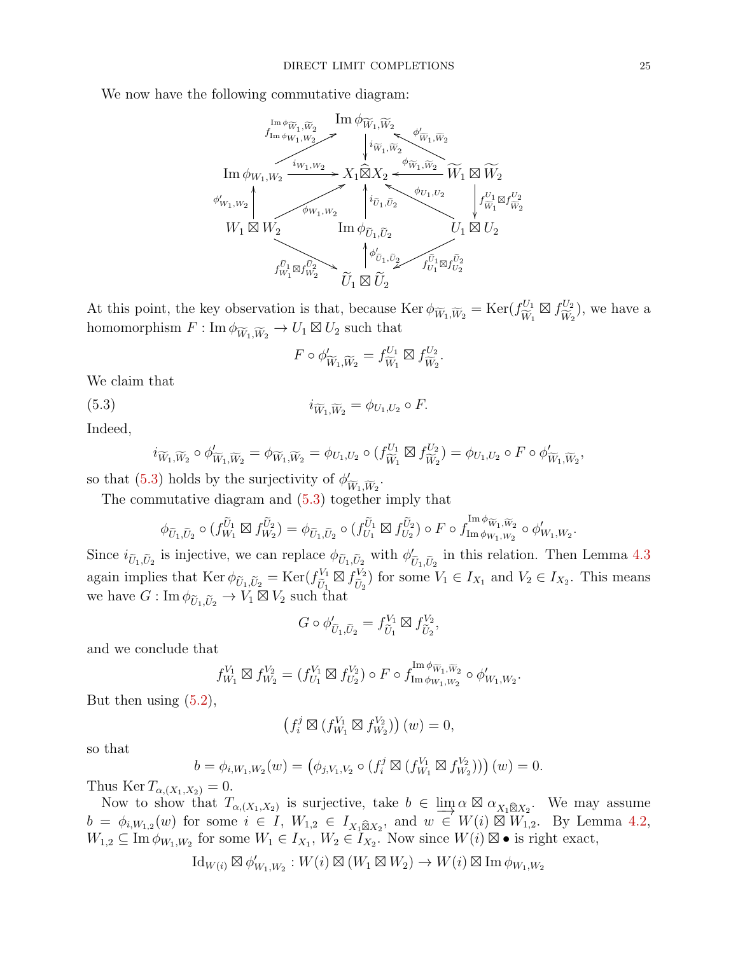We now have the following commutative diagram:



At this point, the key observation is that, because  $\text{Ker } \phi_{\widetilde{W}_1,\widetilde{W}_2} = \text{Ker}(f_{\widetilde{W}_1}^{U_1})$  $W_1$  $\boxtimes$   $f_{\widetilde{\mathbf{w}} }^{U_2}$  $W_2$ ), we have a homomorphism  $F: \text{Im } \phi_{\widetilde{W}_1, \widetilde{W}_2} \to U_1 \boxtimes U_2$  such that

<span id="page-24-0"></span>
$$
F \circ \phi'_{\widetilde{W}_1, \widetilde{W}_2} = f_{\widetilde{W}_1}^{U_1} \boxtimes f_{\widetilde{W}_2}^{U_2}.
$$

We claim that

(5.3)  $i_{\widetilde{W}_1,\widetilde{W}_2} = \phi_{U_1,U_2} \circ F.$ 

Indeed,

$$
i_{\widetilde{W}_1,\widetilde{W}_2} \circ \phi'_{\widetilde{W}_1,\widetilde{W}_2} = \phi_{\widetilde{W}_1,\widetilde{W}_2} = \phi_{U_1,U_2} \circ (f_{\widetilde{W}_1}^{U_1} \boxtimes f_{\widetilde{W}_2}^{U_2}) = \phi_{U_1,U_2} \circ F \circ \phi'_{\widetilde{W}_1,\widetilde{W}_2},
$$

so that [\(5.3\)](#page-24-0) holds by the surjectivity of  $\phi'_i$  $W_1, W_2$ .

The commutative diagram and [\(5.3\)](#page-24-0) together imply that

$$
\phi_{\widetilde{U}_1,\widetilde{U}_2} \circ (f_{W_1}^{\widetilde{U}_1} \boxtimes f_{W_2}^{\widetilde{U}_2}) = \phi_{\widetilde{U}_1,\widetilde{U}_2} \circ (f_{U_1}^{\widetilde{U}_1} \boxtimes f_{U_2}^{\widetilde{U}_2}) \circ F \circ f_{\text{Im}\,\phi_{W_1,W_2}}^{\text{Im}\,\phi_{\widetilde{W}_1,\widetilde{W}_2}} \circ \phi'_{W_1,W_2}
$$

Since  $i_{\tilde{U}_1,\tilde{U}_2}$  is injective, we can replace  $\phi_{\tilde{U}_1,\tilde{U}_2}$  with  $\phi'_{\tilde{U}_1,\tilde{U}_2}$  $U_1,U_2$ in this relation. Then Lemma [4.3](#page-14-3) again implies that Ker  $\phi_{\tilde{U}_1,\tilde{U}_2} = \text{Ker}(f_{\tilde{U}_1}^{V_1})$  $U_1$  $\boxtimes$   $f_{\widetilde{r}}^{V_2}$  $\widetilde{U}_2^{V_2}$  for some  $V_1 \in I_{X_1}$  and  $V_2 \in I_{X_2}$ . This means we have  $G: \text{Im } \phi_{\tilde{U}_1, \tilde{U}_2} \to V_1 \boxtimes V_2$  such that

$$
G \circ \phi'_{\widetilde{U}_1, \widetilde{U}_2} = f_{\widetilde{U}_1}^{V_1} \boxtimes f_{\widetilde{U}_2}^{V_2},
$$

and we conclude that

$$
f_{W_1}^{V_1} \boxtimes f_{W_2}^{V_2} = (f_{U_1}^{V_1} \boxtimes f_{U_2}^{V_2}) \circ F \circ f_{\text{Im} \phi_{W_1, W_2}}^{\text{Im} \phi_{\widetilde{W}_1, \widetilde{W}_2}} \circ \phi'_{W_1, W_2}
$$

But then using  $(5.2)$ ,

$$
\left(f_i^j \boxtimes \left(f_{W_1}^{V_1} \boxtimes f_{W_2}^{V_2}\right)\right)(w) = 0,
$$

so that

$$
b = \phi_{i,W_1,W_2}(w) = (\phi_{j,V_1,V_2} \circ (f_i^j \boxtimes (f_{W_1}^{V_1} \boxtimes f_{W_2}^{V_2}))) (w) = 0.
$$

Thus Ker  $T_{\alpha,(X_1,X_2)}=0$ .

Now to show that  $T_{\alpha,(X_1,X_2)}$  is surjective, take  $b \in \lim_{\alpha \to \infty} \alpha \boxtimes \alpha_{X_1 \boxtimes X_2}$ . We may assume  $b = \phi_{i,W_{1,2}}(w)$  for some  $i \in I$ ,  $W_{1,2} \in I_{X_1 \widehat{\boxtimes} X_2}$ , and  $w \in W(i) \stackrel{\sim}{\boxtimes} W'_{1,2}$ . By Lemma [4.2,](#page-14-2)  $W_{1,2} \subseteq \overline{\mathrm{Im} \, \phi_{W_1,W_2}}$  for some  $W_1 \in I_{X_1}, W_2 \in I_{X_2}$ . Now since  $W(i) \boxtimes \bullet$  is right exact,

$$
\mathrm{Id}_{W(i)} \boxtimes \phi'_{W_1, W_2}: W(i) \boxtimes (W_1 \boxtimes W_2) \to W(i) \boxtimes \mathrm{Im} \, \phi_{W_1, W_2}
$$

.

.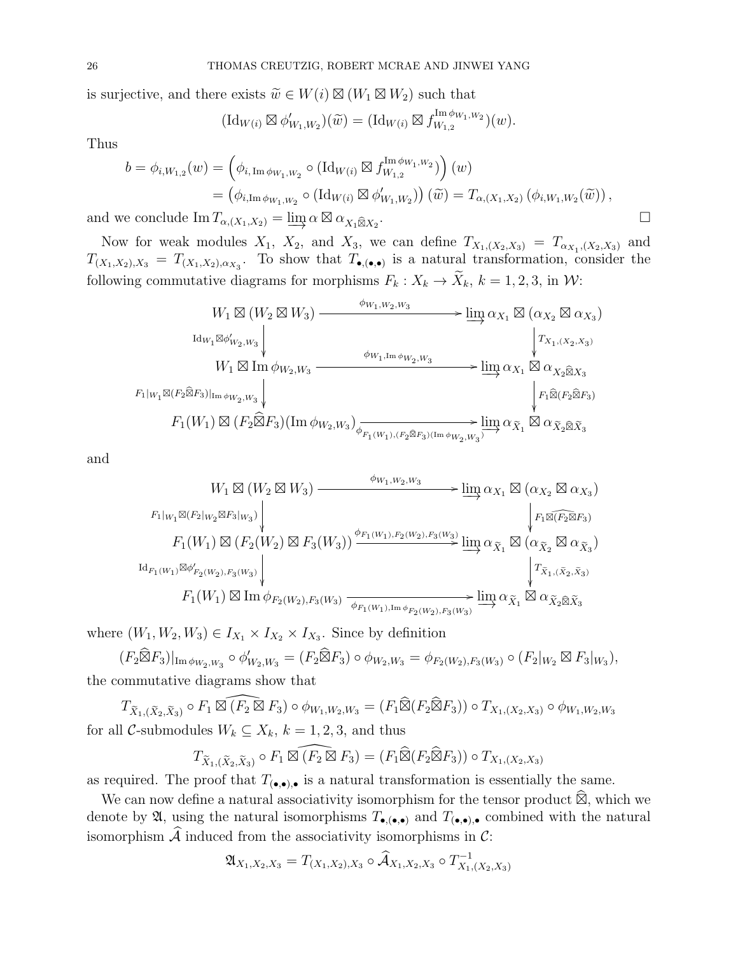is surjective, and there exists  $\widetilde{w} \in W(i) \boxtimes (W_1 \boxtimes W_2)$  such that

$$
(\mathrm{Id}_{W(i)} \boxtimes \phi'_{W_1,W_2})(\widetilde{w}) = (\mathrm{Id}_{W(i)} \boxtimes f_{W_{1,2}}^{\mathrm{Im} \phi_{W_1,W_2}})(w).
$$

Thus

$$
b = \phi_{i,W_{1,2}}(w) = \left(\phi_{i,\operatorname{Im} \phi_{W_1,W_2}} \circ (\operatorname{Id}_{W(i)} \boxtimes f_{W_{1,2}}^{\operatorname{Im} \phi_{W_1,W_2}})\right)(w)
$$
  
\n
$$
= \left(\phi_{i,\operatorname{Im} \phi_{W_1,W_2}} \circ (\operatorname{Id}_{W(i)} \boxtimes \phi'_{W_1,W_2})\right)(\widetilde{w}) = T_{\alpha,(X_1,X_2)}(\phi_{i,W_1,W_2}(\widetilde{w})),
$$
  
\ne conclude  $\operatorname{Im} T_{\alpha,(X_1,X_2)} = \operatorname{lim} \alpha \boxtimes \alpha_{X, \widehat{\boxtimes} X_2}.$ 

and we conclude  $\text{Im } T_{\alpha,(X_1,X_2)} = \varinjlim \alpha \boxtimes \alpha_{X_1 \widehat{\boxtimes} X_2}$ 

Now for weak modules  $X_1$ ,  $X_2$ , and  $X_3$ , we can define  $T_{X_1,(X_2,X_3)} = T_{\alpha_{X_1},(X_2,X_3)}$  and  $T_{(X_1,X_2),X_3} = T_{(X_1,X_2),\alpha_{X_3}}$ . To show that  $T_{\bullet,(\bullet,\bullet)}$  is a natural transformation, consider the following commutative diagrams for morphisms  $F_k : X_k \to \tilde{X}_k$ ,  $k = 1, 2, 3$ , in W:

$$
W_1 \boxtimes (W_2 \boxtimes W_3) \xrightarrow{\phi_{W_1, W_2, W_3}} \lim_{\phi_{W_1, \text{Im}\,\phi_{W_2, W_3}}} \lim_{\phi_{W_1, \text{Im}\,\phi_{W_2, W_3}}} \lim_{\phi_{W_1, \text{Im}\,\phi_{W_2, W_3}}} \lim_{\phi_{W_1, \text{Im}\,\phi_{W_2, W_3}}} \lim_{\phi_{W_1, \text{Im}\,\phi_{W_2, W_3}}} \lim_{\phi_{W_1, \text{Im}\,\phi_{W_2, W_3}}} \lim_{\phi_{W_1, \text{Im}\,\phi_{W_2, W_3}}} \lim_{\phi_{K_1} \boxtimes (F_2 \widehat{\boxtimes} F_3)} \lim_{\phi_{K_1} \boxtimes (F_2 \widehat{\boxtimes} F_3)} \lim_{\phi_{K_1} \boxtimes (F_2 \widehat{\boxtimes} F_3)} \lim_{\phi_{K_1} \boxtimes (F_2 \widehat{\boxtimes} F_3)} \lim_{\phi_{K_1} \boxtimes (\phi_{K_1} \boxtimes \phi_{W_2, W_3})} \lim_{\phi_{K_1} \boxtimes (\phi_{K_2} \boxtimes \widehat{\boxtimes} \chi_3)} \lim_{\phi_{K_1} \boxtimes (\phi_{K_2} \boxtimes \widehat{\boxtimes} F_3)} \lim_{\phi_{K_1} \boxtimes (\phi_{K_1} \boxtimes \phi_{W_2, W_3})} \lim_{\phi_{K_1} \boxtimes (\phi_{K_2} \boxtimes \widehat{\boxtimes} F_3)} \lim_{\phi_{K_1} \boxtimes (\phi_{K_1} \boxtimes \phi_{W_2, W_3})} \lim_{\phi_{K_1} \boxtimes (\phi_{K_2} \boxtimes \widehat{\boxtimes} F_3)} \lim_{\phi_{K_1} \boxtimes (\phi_{K_1} \boxtimes \phi_{W_2, W_3})} \lim_{\phi_{K_1} \boxtimes (\phi_{K_1} \boxtimes \phi_{W_3, W_3})} \lim_{\phi_{K_1} \boxtimes (\phi_{K_1} \boxtimes \phi_{W_3, W_3})} \lim_{\phi_{K_1} \boxtimes (\phi_{K_1} \boxtimes \phi_{W_3, W_3})} \lim_{\phi_{K_1} \boxtimes (\phi_{K_1} \boxtimes \phi_{W_3, W_3})} \lim_{\phi_{K_1} \boxtimes
$$

and

$$
W_1 \boxtimes (W_2 \boxtimes W_3) \xrightarrow{\phi_{W_1, W_2, W_3}} \lim_{\gamma} \alpha_{X_1} \boxtimes (\alpha_{X_2} \boxtimes \alpha_{X_3})
$$
  
\n
$$
F_1|_{W_1} \boxtimes (F_2|_{W_2} \boxtimes F_3|_{W_3}) \Big\downarrow_{\gamma}
$$
  
\n
$$
F_1(W_1) \boxtimes (F_2(W_2) \boxtimes F_3(W_3)) \xrightarrow{\phi_{F_1(W_1), F_2(W_2), F_3(W_3)}} \lim_{\gamma} \alpha_{\tilde{X}_1} \boxtimes (\alpha_{\tilde{X}_2} \boxtimes \alpha_{\tilde{X}_3})
$$
  
\n
$$
\xrightarrow{\text{Id}_{F_1(W_1)} \boxtimes \phi'_{F_2(W_2), F_3(W_3)}} \Big\downarrow_{\gamma} \xrightarrow{\phi_{F_1(W_1), \text{Im}\phi_{F_2(W_2), F_3(W_3)}} \lim_{\gamma} \alpha_{\tilde{X}_1} \boxtimes \alpha_{\tilde{X}_2} \boxtimes \tilde{X}_3}
$$

where  $(W_1, W_2, W_3) \in I_{X_1} \times I_{X_2} \times I_{X_3}$ . Since by definition

 $(F_2 \widehat{\boxtimes} F_3)|_{\text{Im}\,\phi_{W_2,W_3}} \circ \phi'_{W_2,W_3} = (F_2 \widehat{\boxtimes} F_3) \circ \phi_{W_2,W_3} = \phi_{F_2(W_2), F_3(W_3)} \circ (F_2|_{W_2} \boxtimes F_3|_{W_3}),$ the commutative diagrams show that

 $T_{\widetilde{X}_1,(\widetilde{X}_2,\widetilde{X}_3)} \circ F_1 \boxtimes \widehat{(F_2 \boxtimes F_3)} \circ \phi_{W_1,W_2,W_3} = (F_1 \widehat{\boxtimes} (F_2 \widehat{\boxtimes} F_3)) \circ T_{X_1,(X_2,X_3)} \circ \phi_{W_1,W_2,W_3}$ for all C-submodules  $W_k \subseteq X_k$ ,  $k = 1, 2, 3$ , and thus

$$
T_{\widetilde{X}_1,(\widetilde{X}_2,\widetilde{X}_3)} \circ F_1 \boxtimes \widehat{(F_2 \boxtimes F_3)} = (F_1 \widehat{\boxtimes} (F_2 \widehat{\boxtimes} F_3)) \circ T_{X_1, (X_2, X_3)}
$$

as required. The proof that  $T_{(\bullet,\bullet),\bullet}$  is a natural transformation is essentially the same.

We can now define a natural associativity isomorphism for the tensor product  $\widehat{\mathbb{Z}}$ , which we denote by  $\mathfrak{A}$ , using the natural isomorphisms  $T_{\bullet,(\bullet,\bullet)}$  and  $T_{(\bullet,\bullet),\bullet}$  combined with the natural isomorphism  $\widehat{\mathcal{A}}$  induced from the associativity isomorphisms in C:

$$
\mathfrak{A}_{X_1,X_2,X_3} = T_{(X_1,X_2),X_3} \circ \widehat{\mathcal{A}}_{X_1,X_2,X_3} \circ T^{-1}_{X_1,(X_2,X_3)}
$$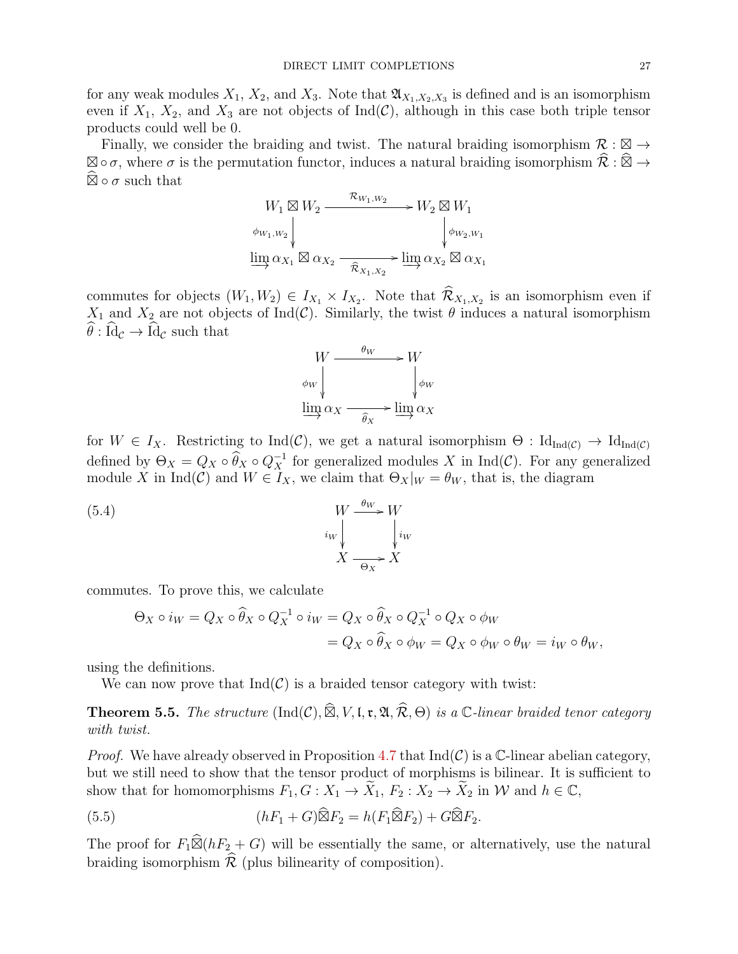for any weak modules  $X_1, X_2$ , and  $X_3$ . Note that  $\mathfrak{A}_{X_1,X_2,X_3}$  is defined and is an isomorphism even if  $X_1$ ,  $X_2$ , and  $X_3$  are not objects of Ind(C), although in this case both triple tensor products could well be 0.

Finally, we consider the braiding and twist. The natural braiding isomorphism  $\mathcal{R}: \mathbb{Z} \to$  $\boxtimes \circ \sigma$ , where  $\sigma$  is the permutation functor, induces a natural braiding isomorphism  $\widehat{\mathcal{R}} : \widehat{\boxtimes} \to \widehat{\mathcal{R}}$  $\widehat{\boxtimes} \circ \sigma$  such that

$$
W_1 \boxtimes W_2 \xrightarrow{\mathcal{R}_{W_1,W_2}} W_2 \boxtimes W_1
$$
  
\n
$$
\phi_{W_1,W_2} \downarrow \qquad \qquad \phi_{W_2,W_1}
$$
  
\n
$$
\underline{\lim}_{\Delta X_1} \boxtimes \alpha_{X_2} \xrightarrow{\widehat{\mathcal{R}}_{X_1,X_2}} \underline{\lim}_{\Delta X_2} \alpha_{X_2} \boxtimes \alpha_{X_1}
$$

commutes for objects  $(W_1, W_2) \in I_{X_1} \times I_{X_2}$ . Note that  $\mathcal{R}_{X_1, X_2}$  is an isomorphism even if  $X_1$  and  $X_2$  are not objects of Ind(C). Similarly, the twist  $\theta$  induces a natural isomorphism  $\hat{\theta}$ : Id<sub>c</sub>  $\rightarrow$  Id<sub>c</sub> such that

<span id="page-26-1"></span>

for  $W \in I_X$ . Restricting to Ind(C), we get a natural isomorphism  $\Theta : Id_{Ind(C)} \to Id_{Ind(C)}$ defined by  $\Theta_X = Q_X \circ \widehat{\theta}_X \circ Q_X^{-1}$  for generalized modules X in Ind(C). For any generalized module X in Ind(C) and  $W \in I_X$ , we claim that  $\Theta_X|_W = \theta_W$ , that is, the diagram

(5.4) 
$$
W \xrightarrow{i_W} W
$$

$$
i_W \downarrow \qquad \qquad i_W
$$

$$
X \xrightarrow{\Theta_X} X
$$

commutes. To prove this, we calculate

$$
\Theta_X \circ i_W = Q_X \circ \widehat{\theta}_X \circ Q_X^{-1} \circ i_W = Q_X \circ \widehat{\theta}_X \circ Q_X^{-1} \circ Q_X \circ \phi_W
$$
  
=  $Q_X \circ \widehat{\theta}_X \circ \phi_W = Q_X \circ \phi_W \circ \theta_W = i_W \circ \theta_W$ ,

using the definitions.

We can now prove that  $Ind(\mathcal{C})$  is a braided tensor category with twist:

**Theorem 5.5.** The structure  $(\text{Ind}(\mathcal{C}), \widehat{\mathbb{Z}}, V, \mathfrak{l}, \mathfrak{r}, \mathfrak{A}, \widehat{\mathcal{R}}, \Theta)$  is a  $\mathbb{C}\text{-linear braided tenor category}$ with twist.

*Proof.* We have already observed in Proposition [4.7](#page-16-1) that  $\text{Ind}(\mathcal{C})$  is a C-linear abelian category, but we still need to show that the tensor product of morphisms is bilinear. It is sufficient to show that for homomorphisms  $F_1, G: X_1 \to \widetilde{X}_1, F_2: X_2 \to \widetilde{X}_2$  in W and  $h \in \mathbb{C}$ ,

<span id="page-26-0"></span>(5.5) 
$$
(hF_1 + G)\widehat{\boxtimes} F_2 = h(F_1\widehat{\boxtimes} F_2) + G\widehat{\boxtimes} F_2.
$$

The proof for  $F_1\widehat{\boxtimes}(hF_2+G)$  will be essentially the same, or alternatively, use the natural braiding isomorphism  $\hat{\mathcal{R}}$  (plus bilinearity of composition).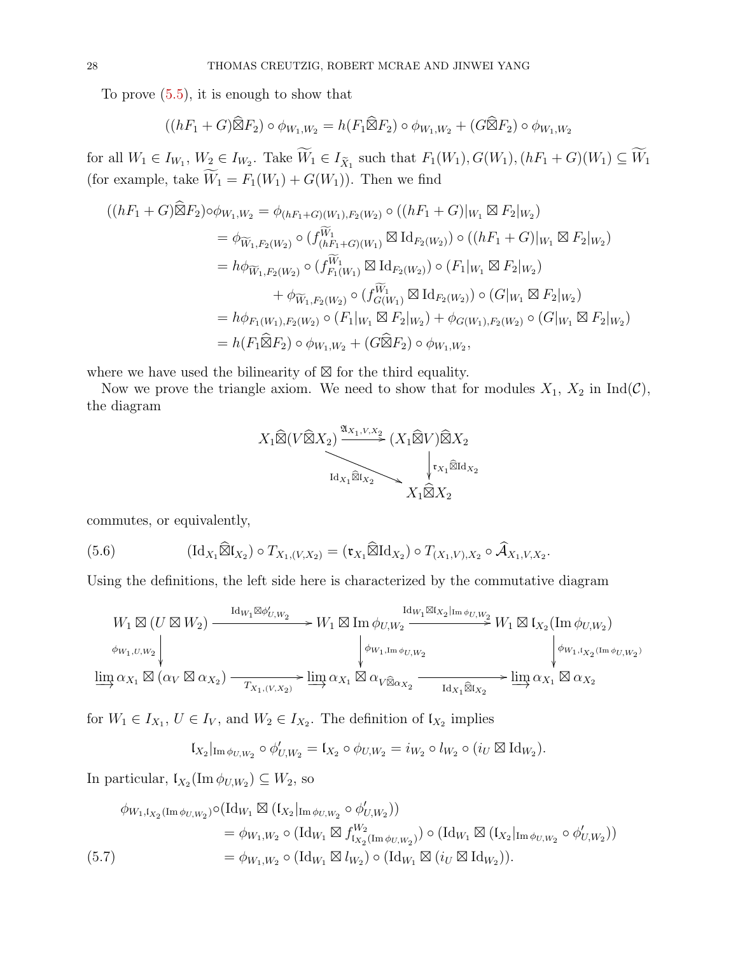To prove  $(5.5)$ , it is enough to show that

$$
((hF_1+G)\widehat{\boxtimes} F_2)\circ\phi_{W_1,W_2}=h(F_1\widehat{\boxtimes} F_2)\circ\phi_{W_1,W_2}+(G\widehat{\boxtimes} F_2)\circ\phi_{W_1,W_2}
$$

for all  $W_1 \in I_{W_1}, W_2 \in I_{W_2}$ . Take  $W_1 \in I_{\tilde{X}_1}$  such that  $F_1(W_1), G(W_1), (hF_1 + G)(W_1) \subseteq W_1$ (for example, take  $\widetilde{W}_1 = F_1(W_1) + G(W_1)$ ). Then we find

$$
((hF_1 + G)\widehat{\boxtimes} F_2) \circ \phi_{W_1,W_2} = \phi_{(hF_1 + G)(W_1), F_2(W_2)} \circ ((hF_1 + G)|_{W_1} \boxtimes F_2|_{W_2})
$$
  
\n
$$
= \phi_{\widetilde{W}_1, F_2(W_2)} \circ (f_{(hF_1 + G)(W_1)}^{\widetilde{W}_1} \boxtimes \mathrm{Id}_{F_2(W_2)}) \circ ((hF_1 + G)|_{W_1} \boxtimes F_2|_{W_2})
$$
  
\n
$$
= h\phi_{\widetilde{W}_1, F_2(W_2)} \circ (f_{F_1(W_1)}^{\widetilde{W}_1} \boxtimes \mathrm{Id}_{F_2(W_2)}) \circ (F_1|_{W_1} \boxtimes F_2|_{W_2})
$$
  
\n
$$
+ \phi_{\widetilde{W}_1, F_2(W_2)} \circ (f_{G(W_1)}^{\widetilde{W}_1} \boxtimes \mathrm{Id}_{F_2(W_2)}) \circ (G|_{W_1} \boxtimes F_2|_{W_2})
$$
  
\n
$$
= h\phi_{F_1(W_1), F_2(W_2)} \circ (F_1|_{W_1} \boxtimes F_2|_{W_2}) + \phi_{G(W_1), F_2(W_2)} \circ (G|_{W_1} \boxtimes F_2|_{W_2})
$$
  
\n
$$
= h(F_1 \widehat{\boxtimes} F_2) \circ \phi_{W_1, W_2} + (G \widehat{\boxtimes} F_2) \circ \phi_{W_1, W_2},
$$

where we have used the bilinearity of  $\boxtimes$  for the third equality.

Now we prove the triangle axiom. We need to show that for modules  $X_1$ ,  $X_2$  in Ind(C), the diagram

$$
X_1 \widehat{\boxtimes} (V \widehat{\boxtimes} X_2) \xrightarrow{\mathfrak{A}_{X_1, V, X_2}} (X_1 \widehat{\boxtimes} V) \widehat{\boxtimes} X_2
$$
  

$$
\downarrow_{\mathfrak{t}_{X_1} \widehat{\boxtimes} \mathfrak{t}_{X_2}} \searrow \qquad \downarrow_{\mathfrak{t}_{X_1} \widehat{\boxtimes} \mathfrak{t}_{X_2}} \qquad X_1 \widehat{\boxtimes} X_2
$$

commutes, or equivalently,

<span id="page-27-0"></span>(5.6) 
$$
(\mathrm{Id}_{X_1}\widehat{\boxtimes} \mathfrak{l}_{X_2}) \circ T_{X_1,(V,X_2)} = (\mathfrak{r}_{X_1}\widehat{\boxtimes} \mathrm{Id}_{X_2}) \circ T_{(X_1,V),X_2} \circ \widehat{\mathcal{A}}_{X_1,V,X_2}.
$$

Using the definitions, the left side here is characterized by the commutative diagram

$$
W_1 \boxtimes (U \boxtimes W_2) \xrightarrow{\mathrm{Id}_{W_1} \boxtimes \phi'_{U,W_2}} W_1 \boxtimes \mathrm{Im} \phi_{U,W_2} \xrightarrow{\mathrm{Id}_{W_1} \boxtimes I_{X_2} \mid \mathrm{Im} \phi_{U,W_2}} W_1 \boxtimes I_{X_2}(\mathrm{Im} \phi_{U,W_2})
$$
  
\n
$$
\phi_{W_1,U,W_2} \downarrow \phi_{W_1,\mathrm{Im} \phi_{U,W_2}} \downarrow \phi_{W_1,\mathrm{Im} \phi_{U,W_2}} \downarrow \phi_{W_1,\mathrm{I}_{X_2}(\mathrm{Im} \phi_{U,W_2})}
$$
  
\n
$$
\underline{\lim_{\longrightarrow}} \alpha_{X_1} \boxtimes (\alpha_V \boxtimes \alpha_{X_2}) \xrightarrow{T_{X_1,(V,X_2)}} \underline{\lim_{\longrightarrow}} \alpha_{X_1} \boxtimes \alpha_{V \widehat{\boxtimes} \alpha_{X_2}} \xrightarrow{\mathrm{Id}_{X_1} \widehat{\boxtimes} I_{X_2}} \underline{\lim_{\longrightarrow}} \alpha_{X_1} \boxtimes \alpha_{X_2}
$$

for  $W_1 \in I_{X_1}, U \in I_V$ , and  $W_2 \in I_{X_2}$ . The definition of  $\mathfrak{l}_{X_2}$  implies

$$
\mathfrak{l}_{X_2}|_{\text{Im}\,\phi_{U,W_2}}\circ\phi'_{U,W_2}=\mathfrak{l}_{X_2}\circ\phi_{U,W_2}=i_{W_2}\circ l_{W_2}\circ(i_U\boxtimes \text{Id}_{W_2}).
$$

In particular,  $\mathfrak{l}_{X_2}(\text{Im }\phi_{U,W_2}) \subseteq W_2$ , so

<span id="page-27-1"></span>
$$
\phi_{W_1, \mathfrak{l}_{X_2}(\text{Im}\,\phi_{U, W_2})} \circ (\text{Id}_{W_1} \boxtimes (\mathfrak{l}_{X_2}|_{\text{Im}\,\phi_{U, W_2}} \circ \phi'_{U, W_2}))
$$
\n
$$
= \phi_{W_1, W_2} \circ (\text{Id}_{W_1} \boxtimes f^{W_2}_{\mathfrak{l}_{X_2}(\text{Im}\,\phi_{U, W_2})}) \circ (\text{Id}_{W_1} \boxtimes (\mathfrak{l}_{X_2}|_{\text{Im}\,\phi_{U, W_2}} \circ \phi'_{U, W_2}))
$$
\n
$$
(5.7)
$$
\n
$$
= \phi_{W_1, W_2} \circ (\text{Id}_{W_1} \boxtimes l_{W_2}) \circ (\text{Id}_{W_1} \boxtimes (i_U \boxtimes \text{Id}_{W_2})).
$$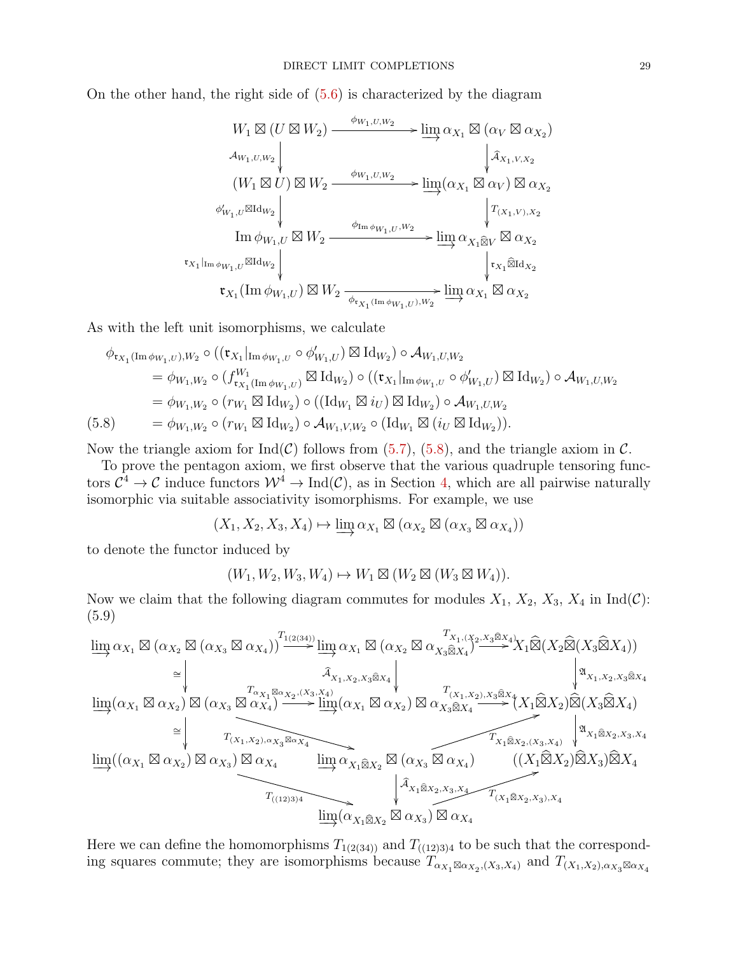On the other hand, the right side of  $(5.6)$  is characterized by the diagram

$$
W_1 \boxtimes (U \boxtimes W_2) \xrightarrow{\phi_{W_1,U,W_2}} \lim_{\partial X_1} \alpha_{X_1} \boxtimes (\alpha_V \boxtimes \alpha_{X_2})
$$
  
\n
$$
\downarrow^{\mathcal{A}_{W_1,U,W_2}} \qquad \qquad \downarrow^{\mathcal{A}_{X_1,V,X_2}}
$$
  
\n
$$
(W_1 \boxtimes U) \boxtimes W_2 \xrightarrow{\phi_{W_1,U,W_2}} \lim_{\partial Y_1} (\alpha_{X_1} \boxtimes \alpha_V) \boxtimes \alpha_{X_2}
$$
  
\n
$$
\downarrow^{\mathcal{A}_{X_1,V,X_2}}
$$
  
\n
$$
\lim_{\partial W_1,U} \boxtimes W_2 \xrightarrow{\phi_{\text{Im}\phi_{W_1,U},W_2}} \lim_{\partial X_1 \boxtimes V} \boxtimes \alpha_{X_2}
$$
  
\n
$$
\downarrow^{\mathbf{r}_{X_1} \boxtimes \mathbf{r}_{X_1}} \text{Var}_{W_2}
$$
  
\n
$$
\downarrow^{\mathbf{r}_{X_1} \boxtimes \mathbf{r}_{X_2}}
$$
  
\n
$$
\downarrow^{\mathbf{r}_{X_1} \boxtimes \mathbf{r}_{X_2}}
$$

As with the left unit isomorphisms, we calculate

$$
\phi_{\mathfrak{r}_{X_1}(\text{Im}\,\phi_{W_1,U}),W_2} \circ ((\mathfrak{r}_{X_1}|_{\text{Im}\,\phi_{W_1,U}} \circ \phi'_{W_1,U}) \boxtimes \text{Id}_{W_2}) \circ \mathcal{A}_{W_1,U,W_2}
$$
\n
$$
= \phi_{W_1,W_2} \circ (f_{\mathfrak{r}_{X_1}(\text{Im}\,\phi_{W_1,U})}^{W_1} \boxtimes \text{Id}_{W_2}) \circ ((\mathfrak{r}_{X_1}|_{\text{Im}\,\phi_{W_1,U}} \circ \phi'_{W_1,U}) \boxtimes \text{Id}_{W_2}) \circ \mathcal{A}_{W_1,U,W_2}
$$
\n
$$
= \phi_{W_1,W_2} \circ (r_{W_1} \boxtimes \text{Id}_{W_2}) \circ ((\text{Id}_{W_1} \boxtimes i_U) \boxtimes \text{Id}_{W_2}) \circ \mathcal{A}_{W_1,U,W_2}
$$
\n
$$
(5.8) \qquad = \phi_{W_1,W_2} \circ (r_{W_1} \boxtimes \text{Id}_{W_2}) \circ \mathcal{A}_{W_1,V,W_2} \circ (\text{Id}_{W_1} \boxtimes (i_U \boxtimes \text{Id}_{W_2})).
$$

<span id="page-28-0"></span>Now the triangle axiom for  $Ind(\mathcal{C})$  follows from [\(5.7\)](#page-27-1), [\(5.8\)](#page-28-0), and the triangle axiom in  $\mathcal{C}$ .

To prove the pentagon axiom, we first observe that the various quadruple tensoring functors  $\mathcal{C}^4 \to \mathcal{C}$  induce functors  $\mathcal{W}^4 \to \text{Ind}(\mathcal{C})$ , as in Section [4,](#page-14-0) which are all pairwise naturally isomorphic via suitable associativity isomorphisms. For example, we use

$$
(X_1, X_2, X_3, X_4) \mapsto \varinjlim \alpha_{X_1} \boxtimes (\alpha_{X_2} \boxtimes (\alpha_{X_3} \boxtimes \alpha_{X_4}))
$$

to denote the functor induced by

$$
(W_1, W_2, W_3, W_4) \mapsto W_1 \boxtimes (W_2 \boxtimes (W_3 \boxtimes W_4)).
$$

Now we claim that the following diagram commutes for modules  $X_1$ ,  $X_2$ ,  $X_3$ ,  $X_4$  in  $\text{Ind}(\mathcal{C})$ : (5.9)

<span id="page-28-1"></span>lim−→ <sup>α</sup><sup>X</sup><sup>1</sup> - (α<sup>X</sup><sup>2</sup> - (α<sup>X</sup><sup>3</sup> α<sup>X</sup><sup>4</sup> )) ∼= T1(2(34)) /lim−→ <sup>α</sup><sup>X</sup><sup>1</sup> - (α<sup>X</sup><sup>2</sup> α<sup>X</sup>3<sup>b</sup>X<sup>4</sup> ) Ab <sup>X</sup>1,X2,X3bX4 <sup>T</sup>X1,(X2,X3bX4) /X1b(X2b(X3<sup>b</sup>X4)) <sup>A</sup>X1,X2,X3bX4 lim−→(α<sup>X</sup><sup>1</sup> α<sup>X</sup><sup>2</sup> ) - (α<sup>X</sup><sup>3</sup> α<sup>X</sup><sup>4</sup> ) <sup>T</sup>αX<sup>1</sup> αX<sup>2</sup> ,(X3,X4) / ∼= <sup>T</sup>(X1,X2),αX<sup>3</sup> αX<sup>4</sup> <sup>+</sup> lim−→(α<sup>X</sup><sup>1</sup> α<sup>X</sup><sup>2</sup> ) α<sup>X</sup>3<sup>b</sup>X<sup>4</sup> <sup>T</sup>(X1,X2),X3<sup>b</sup>X<sup>4</sup>/(X1bX2)b(X3<sup>b</sup>X4) <sup>A</sup>X1bX2,X3,X4 lim−→((α<sup>X</sup><sup>1</sup> α<sup>X</sup><sup>2</sup> ) α<sup>X</sup><sup>3</sup> ) α<sup>X</sup><sup>4</sup> <sup>T</sup>((12)3)4 <sup>+</sup> lim−→ <sup>α</sup><sup>X</sup>1<sup>b</sup>X<sup>2</sup> - (α<sup>X</sup><sup>3</sup> α<sup>X</sup><sup>4</sup> ) Ab <sup>X</sup>1bX2,X3,X4 <sup>T</sup>X1bX2,(X3,X4) 4 ((X1bX2)bX3)<sup>b</sup>X<sup>4</sup> lim−→(α<sup>X</sup>1<sup>b</sup>X<sup>2</sup> α<sup>X</sup><sup>3</sup> ) α<sup>X</sup><sup>4</sup> <sup>T</sup>(X1bX2,X3),X4

Here we can define the homomorphisms  $T_{1(2(34))}$  and  $T_{((12)3)4}$  to be such that the corresponding squares commute; they are isomorphisms because  $T_{\alpha_{X_1} \boxtimes \alpha_{X_2}, (X_3, X_4)}$  and  $T_{(X_1, X_2), \alpha_{X_3} \boxtimes \alpha_{X_4}}$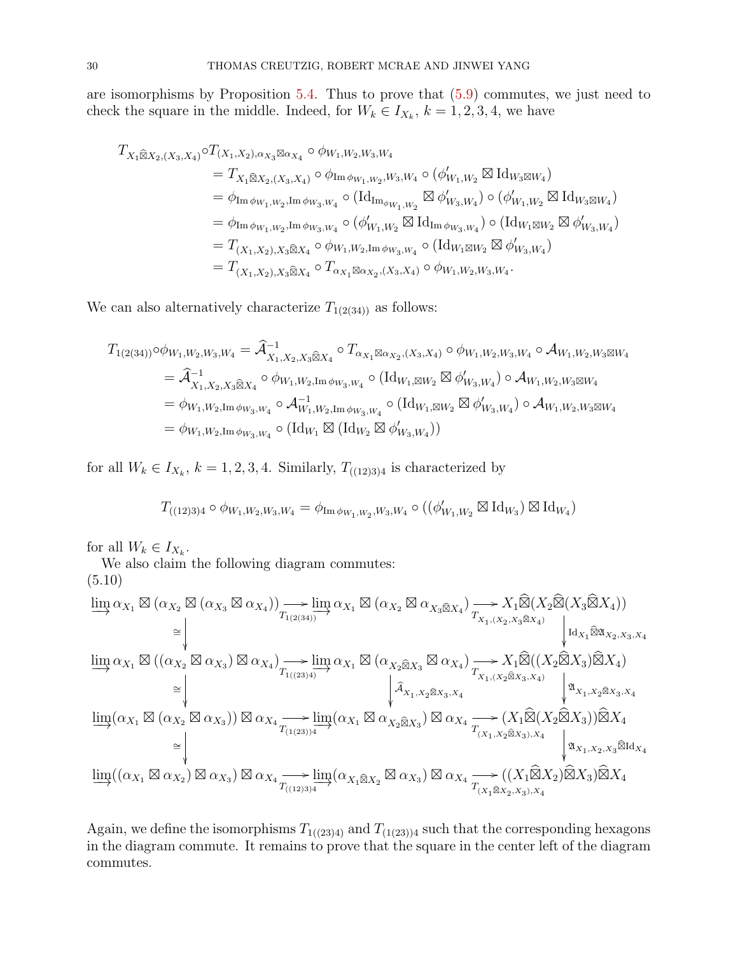are isomorphisms by Proposition [5.4.](#page-23-0) Thus to prove that [\(5.9\)](#page-28-1) commutes, we just need to check the square in the middle. Indeed, for  $W_k \in I_{X_k}$ ,  $k = 1, 2, 3, 4$ , we have

$$
T_{X_1 \otimes X_2, (X_3, X_4)} \circ T_{(X_1, X_2), \alpha_{X_3} \otimes \alpha_{X_4}} \circ \phi_{W_1, W_2, W_3, W_4}
$$
  
\n
$$
= T_{X_1 \otimes X_2, (X_3, X_4)} \circ \phi_{\text{Im} \phi_{W_1, W_2}, W_3, W_4} \circ (\phi'_{W_1, W_2} \boxtimes \text{Id}_{W_3 \boxtimes W_4})
$$
  
\n
$$
= \phi_{\text{Im} \phi_{W_1, W_2}, \text{Im} \phi_{W_3, W_4}} \circ (\text{Id}_{\text{Im}_{\phi_{W_1, W_2}}} \boxtimes \phi'_{W_3, W_4}) \circ (\phi'_{W_1, W_2} \boxtimes \text{Id}_{W_3 \boxtimes W_4})
$$
  
\n
$$
= \phi_{\text{Im} \phi_{W_1, W_2}, \text{Im} \phi_{W_3, W_4}} \circ (\phi'_{W_1, W_2} \boxtimes \text{Id}_{\text{Im} \phi_{W_3, W_4}}) \circ (\text{Id}_{W_1 \boxtimes W_2} \boxtimes \phi'_{W_3, W_4})
$$
  
\n
$$
= T_{(X_1, X_2), X_3 \otimes X_4} \circ \phi_{W_1, W_2, \text{Im} \phi_{W_3, W_4}} \circ (\text{Id}_{W_1 \boxtimes W_2} \boxtimes \phi'_{W_3, W_4})
$$
  
\n
$$
= T_{(X_1, X_2), X_3 \otimes X_4} \circ T_{\alpha_{X_1} \boxtimes \alpha_{X_2}, (X_3, X_4)} \circ \phi_{W_1, W_2, W_3, W_4}.
$$

We can also alternatively characterize  $T_{1(2(34))}$  as follows:

$$
T_{1(2(34))} \circ \phi_{W_1, W_2, W_3, W_4} = \hat{\mathcal{A}}_{X_1, X_2, X_3 \hat{\boxtimes} X_4}^{-1} \circ T_{\alpha_{X_1} \boxtimes \alpha_{X_2}, (X_3, X_4)} \circ \phi_{W_1, W_2, W_3, W_4} \circ \mathcal{A}_{W_1, W_2, W_3 \boxtimes W_4}
$$
  
\n
$$
= \hat{\mathcal{A}}_{X_1, X_2, X_3 \hat{\boxtimes} X_4}^{-1} \circ \phi_{W_1, W_2, \text{Im} \phi_{W_3, W_4}} \circ (\text{Id}_{W_1, \boxtimes W_2} \boxtimes \phi'_{W_3, W_4}) \circ \mathcal{A}_{W_1, W_2, W_3 \boxtimes W_4}
$$
  
\n
$$
= \phi_{W_1, W_2, \text{Im} \phi_{W_3, W_4}} \circ \mathcal{A}_{W_1, W_2, \text{Im} \phi_{W_3, W_4}}^{-1} \circ (\text{Id}_{W_1, \boxtimes W_2} \boxtimes \phi'_{W_3, W_4}) \circ \mathcal{A}_{W_1, W_2, W_3 \boxtimes W_4}
$$
  
\n
$$
= \phi_{W_1, W_2, \text{Im} \phi_{W_3, W_4}} \circ (\text{Id}_{W_1} \boxtimes (\text{Id}_{W_2} \boxtimes \phi'_{W_3, W_4}))
$$

for all  $W_k \in I_{X_k}$ ,  $k = 1, 2, 3, 4$ . Similarly,  $T_{((12)3)4}$  is characterized by

$$
T_{((12)3)4}\circ\phi_{W_1,W_2,W_3,W_4}=\phi_{\operatorname{Im}\phi_{W_1,W_2},W_3,W_4}\circ((\phi'_{W_1,W_2}\boxtimes\operatorname{Id}_{W_3})\boxtimes\operatorname{Id}_{W_4})
$$

for all  $W_k \in I_{X_k}$ .

We also claim the following diagram commutes:

<span id="page-29-0"></span>
$$
(5.10)
$$
\n
$$
\lim_{\longrightarrow} \alpha_{X_1} \boxtimes (\alpha_{X_2} \boxtimes (\alpha_{X_3} \boxtimes \alpha_{X_4})) \longrightarrow \lim_{T_{1(2(34))}} \alpha_{X_1} \boxtimes (\alpha_{X_2} \boxtimes \alpha_{X_3 \widehat{\boxtimes} X_4}) \longrightarrow X_1 \widehat{\boxtimes}(X_2 \widehat{\boxtimes}(X_3 \widehat{\boxtimes} X_4))
$$
\n
$$
\cong \bigvee_{\text{lim}} \alpha_{X_1} \boxtimes ((\alpha_{X_2} \boxtimes \alpha_{X_3}) \boxtimes \alpha_{X_4}) \longrightarrow \lim_{T_{1(2(34))}} \alpha_{X_1} \boxtimes (\alpha_{X_2 \widehat{\boxtimes} X_3} \boxtimes \alpha_{X_4}) \longrightarrow X_1 \widehat{\boxtimes}((X_2 \widehat{\boxtimes} X_3) \widehat{\boxtimes} X_4)
$$
\n
$$
\cong \bigvee_{\text{lim}} \alpha_{X_1} \boxtimes ((\alpha_{X_2} \boxtimes \alpha_{X_3})) \boxtimes \alpha_{X_4} \longrightarrow \lim_{T_{1(23)4}} \alpha_{X_1} \boxtimes (\alpha_{X_2 \widehat{\boxtimes} X_3} \boxtimes \alpha_{X_4}) \longrightarrow X_1 \widehat{\boxtimes}((X_2 \widehat{\boxtimes} X_3) \widehat{\boxtimes} X_4)
$$
\n
$$
\cong \bigvee_{\text{lim}} (\alpha_{X_1} \boxtimes (\alpha_{X_2} \boxtimes \alpha_{X_3})) \boxtimes \alpha_{X_4} \longrightarrow \lim_{T_{(1(23))4}} (\alpha_{X_1} \boxtimes \alpha_{X_2 \widehat{\boxtimes} X_3}) \boxtimes \alpha_{X_4} \longrightarrow (X_1 \widehat{\boxtimes}(X_2 \widehat{\boxtimes} X_3)) \widehat{\boxtimes} X_4
$$
\n
$$
\cong \bigvee_{\text{lim}} ((\alpha_{X_1} \boxtimes \alpha_{X_2}) \boxtimes \alpha_{X_3}) \boxtimes \alpha_{X_4} \longrightarrow \lim_{T_{(1(23)34}} (\alpha_{X_1 \widehat{\boxtimes} X_2} \boxtimes \alpha_{X_3}) \boxtimes \alpha_{X_4} \longrightarrow ((X_1 \widehat{\boxtimes} X_2) \widehat{\boxtimes} X_3) \widehat{\boxtimes} X_4
$$
\n
$$
\cong \bigvee_{\text
$$

Again, we define the isomorphisms  $T_{1((23)4)}$  and  $T_{(1(23))4}$  such that the corresponding hexagons in the diagram commute. It remains to prove that the square in the center left of the diagram commutes.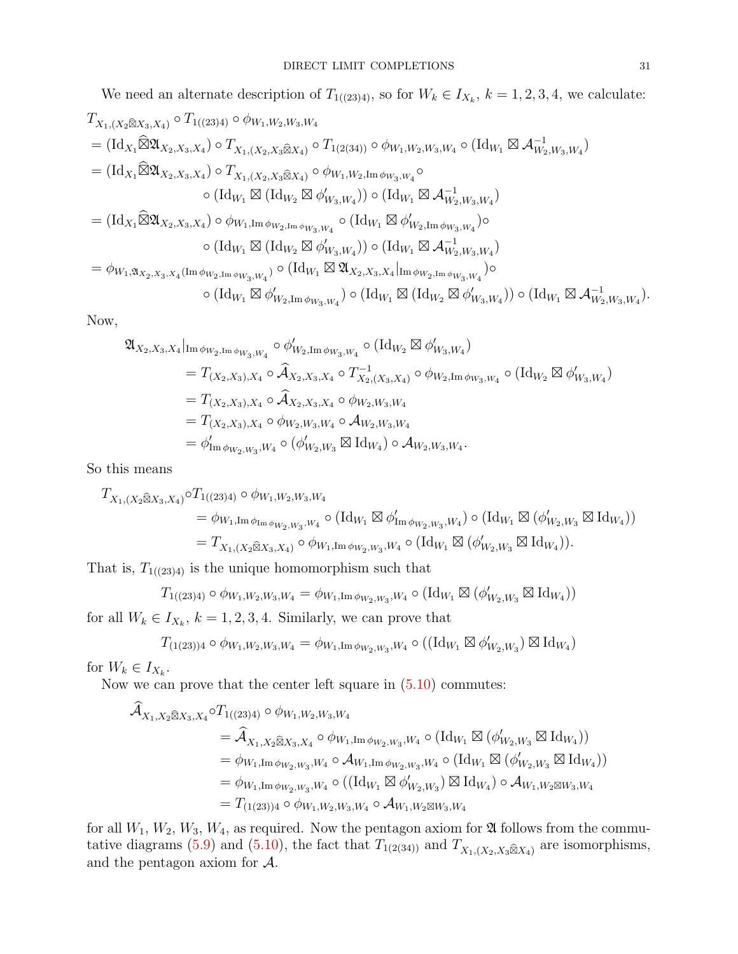We need an alternate description of 
$$
T_{1((23)4)}
$$
, so for  $W_k \in I_{X_k}$ ,  $k = 1, 2, 3, 4$ , we calculate:  
\n $T_{X_1,(X_2\widehat{\boxtimes}X_3,X_4)} \circ T_{1((23)4)} \circ \phi_{W_1,W_2,W_3,W_4}$   
\n $= (\mathrm{Id}_{X_1}\widehat{\boxtimes} \mathfrak{A}_{X_2,X_3,X_4}) \circ T_{X_1,(X_2,X_3\widehat{\boxtimes}X_4)} \circ T_{1(2(34))} \circ \phi_{W_1,W_2,W_3,W_4} \circ (\mathrm{Id}_{W_1} \boxtimes \mathcal{A}_{W_2,W_3,W_4}^{-1})$   
\n $= (\mathrm{Id}_{X_1}\widehat{\boxtimes} \mathfrak{A}_{X_2,X_3,X_4}) \circ T_{X_1,(X_2,X_3\widehat{\boxtimes}X_4)} \circ \phi_{W_1,W_2,\mathrm{Im}\,\phi_{W_3,W_4}} \circ$   
\n $\circ (\mathrm{Id}_{W_1} \boxtimes (\mathrm{Id}_{W_2} \boxtimes \phi'_{W_3,W_4})) \circ (\mathrm{Id}_{W_1} \boxtimes \mathcal{A}_{W_2,W_3,W_4}^{-1})$   
\n $= (\mathrm{Id}_{X_1}\widehat{\boxtimes} \mathfrak{A}_{X_2,X_3,X_4}) \circ \phi_{W_1,\mathrm{Im}\,\phi_{W_2,\mathrm{Im}\,\phi_{W_3,W_4}} \circ (\mathrm{Id}_{W_1} \boxtimes \mathcal{A}_{W_2,\mathrm{Im}\,\phi_{W_3,W_4}}^{-1})$   
\n $\circ (\mathrm{Id}_{W_1} \boxtimes (\mathrm{Id}_{W_2} \boxtimes \phi'_{W_3,W_4})) \circ (\mathrm{Id}_{W_1} \boxtimes \mathcal{A}_{W_2,W_3,W_4}^{-1})$   
\n $= \phi_{W_1,\mathfrak{A}_{X_2,X_3,X_4}(\mathrm{Im}\,\phi_{W_2,\mathrm{Im}\,\phi_{W_3,W_4}}) \circ (\mathrm{Id}_{W_1} \boxtimes \mathfrak{A}_{X_2,X_3,X_4}^{-1}|\mathrm{Im}\,\phi_{W_2,\mathrm{Im}\,\phi_{W_3,W_4}}) \circ (\mathrm{Id}_{W_1} \boxtimes \mathcal{A}_{W_2,W_3,W_4}^{-1})$   
\

Now,

$$
\mathfrak{A}_{X_2, X_3, X_4}|_{\text{Im}\,\phi_{W_2, \text{Im}\,\phi_{W_3, W_4}} \circ \phi'_{W_2, \text{Im}\,\phi_{W_3, W_4}} \circ (\text{Id}_{W_2} \boxtimes \phi'_{W_3, W_4})
$$
\n
$$
= T_{(X_2, X_3), X_4} \circ \widehat{A}_{X_2, X_3, X_4} \circ T_{X_2, (X_3, X_4)}^{-1} \circ \phi_{W_2, \text{Im}\,\phi_{W_3, W_4}} \circ (\text{Id}_{W_2} \boxtimes \phi'_{W_3, W_4})
$$
\n
$$
= T_{(X_2, X_3), X_4} \circ \widehat{A}_{X_2, X_3, X_4} \circ \phi_{W_2, W_3, W_4}
$$
\n
$$
= T_{(X_2, X_3), X_4} \circ \phi_{W_2, W_3, W_4} \circ \mathcal{A}_{W_2, W_3, W_4}
$$
\n
$$
= \phi'_{\text{Im}\,\phi_{W_2, W_3}, W_4} \circ (\phi'_{W_2, W_3} \boxtimes \text{Id}_{W_4}) \circ \mathcal{A}_{W_2, W_3, W_4}.
$$

So this means

$$
T_{X_1,(X_2\widehat{\boxtimes}X_3,X_4)} \circ T_{1((23)4)} \circ \phi_{W_1,W_2,W_3,W_4}
$$
  
=  $\phi_{W_1,\operatorname{Im} \phi_{\operatorname{Im} \phi_{W_2,W_3},W_4}} \circ (\operatorname{Id}_{W_1} \boxtimes \phi'_{\operatorname{Im} \phi_{W_2,W_3},W_4}) \circ (\operatorname{Id}_{W_1} \boxtimes (\phi'_{W_2,W_3} \boxtimes \operatorname{Id}_{W_4}))$   
=  $T_{X_1,(X_2\widehat{\boxtimes}X_3,X_4)} \circ \phi_{W_1,\operatorname{Im} \phi_{W_2,W_3},W_4} \circ (\operatorname{Id}_{W_1} \boxtimes (\phi'_{W_2,W_3} \boxtimes \operatorname{Id}_{W_4})).$ 

That is,  $T_{1((23)4)}$  is the unique homomorphism such that

$$
T_{1((23)4)} \circ \phi_{W_1,W_2,W_3,W_4} = \phi_{W_1,\operatorname{Im} \phi_{W_2,W_3},W_4} \circ (\operatorname{Id}_{W_1} \boxtimes (\phi'_{W_2,W_3} \boxtimes \operatorname{Id}_{W_4}))
$$

for all  $W_k \in I_{X_k}$ ,  $k = 1, 2, 3, 4$ . Similarly, we can prove that

$$
T_{(1(23))4} \circ \phi_{W_1,W_2,W_3,W_4} = \phi_{W_1,\operatorname{Im} \phi_{W_2,W_3},W_4} \circ ((\operatorname{Id}_{W_1} \boxtimes \phi'_{W_2,W_3}) \boxtimes \operatorname{Id}_{W_4})
$$

for  $W_k \in I_{X_k}$ .

Now we can prove that the center left square in [\(5.10\)](#page-29-0) commutes:

$$
\begin{split}\n\widehat{\mathcal{A}}_{X_1, X_2 \widehat{\boxtimes} X_3, X_4} \circ T_{1((23)4)} & \circ \phi_{W_1, W_2, W_3, W_4} \\
&= \widehat{\mathcal{A}}_{X_1, X_2 \widehat{\boxtimes} X_3, X_4} \circ \phi_{W_1, \text{Im} \phi_{W_2, W_3}, W_4} \circ (\text{Id}_{W_1} \boxtimes (\phi'_{W_2, W_3} \boxtimes \text{Id}_{W_4})) \\
&= \phi_{W_1, \text{Im} \phi_{W_2, W_3}, W_4} \circ \mathcal{A}_{W_1, \text{Im} \phi_{W_2, W_3}, W_4} \circ (\text{Id}_{W_1} \boxtimes (\phi'_{W_2, W_3} \boxtimes \text{Id}_{W_4})) \\
&= \phi_{W_1, \text{Im} \phi_{W_2, W_3}, W_4} \circ ((\text{Id}_{W_1} \boxtimes \phi'_{W_2, W_3}) \boxtimes \text{Id}_{W_4}) \circ \mathcal{A}_{W_1, W_2 \boxtimes W_3, W_4} \\
&= T_{(1(23))4} \circ \phi_{W_1, W_2, W_3, W_4} \circ \mathcal{A}_{W_1, W_2 \boxtimes W_3, W_4}\n\end{split}
$$

for all  $W_1, W_2, W_3, W_4$ , as required. Now the pentagon axiom for  $\mathfrak A$  follows from the commu-tative diagrams [\(5.9\)](#page-28-1) and [\(5.10\)](#page-29-0), the fact that  $T_{1(2(34))}$  and  $T_{X_1,(X_2,X_3\widehat{\boxtimes}X_4)}$  are isomorphisms, and the pentagon axiom for A.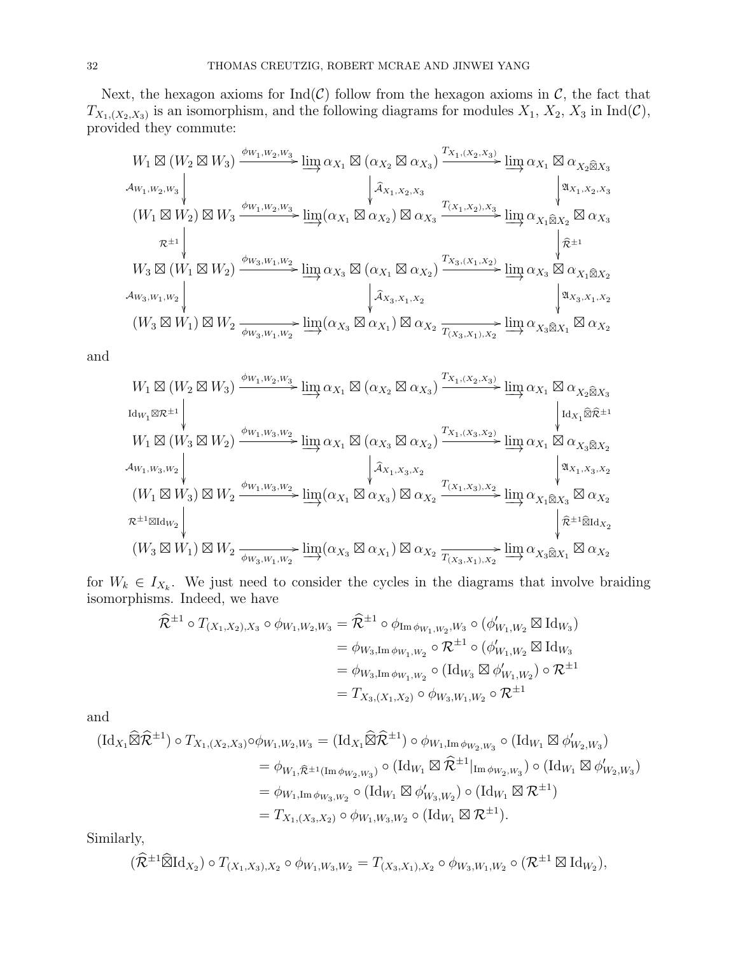Next, the hexagon axioms for  $\text{Ind}(\mathcal{C})$  follow from the hexagon axioms in  $\mathcal{C}$ , the fact that  $T_{X_1,(X_2,X_3)}$  is an isomorphism, and the following diagrams for modules  $X_1, X_2, X_3$  in  $\text{Ind}(\mathcal{C}),$ provided they commute:

$$
W_1 \boxtimes (W_2 \boxtimes W_3) \xrightarrow{\phi_{W_1, W_2, W_3}} \lim_{\lambda} \alpha_{X_1} \boxtimes (\alpha_{X_2} \boxtimes \alpha_{X_3}) \xrightarrow{T_{X_1, (X_2, X_3)}} \lim_{\lambda} \alpha_{X_1} \boxtimes \alpha_{X_2 \boxtimes X_3}
$$
  
\n
$$
\downarrow \hat{\lambda}_{X_1, X_2, X_3} \qquad \qquad \downarrow \hat{\lambda}_{X_1, X_2, X_3} \qquad \qquad \downarrow \hat{\lambda}_{X_1, X_2, X_3}
$$
  
\n
$$
(W_1 \boxtimes W_2) \boxtimes W_3 \xrightarrow{\phi_{W_1, W_2, W_3}} \lim_{\lambda} (\alpha_{X_1} \boxtimes \alpha_{X_2}) \boxtimes \alpha_{X_3} \xrightarrow{T_{(X_1, X_2), X_3}} \lim_{\lambda} \alpha_{X_1 \widehat{\boxtimes} X_2} \boxtimes \alpha_{X_3}
$$
  
\n
$$
\uparrow \hat{\lambda}_{X_1, X_2, X_3}
$$
  
\n
$$
\downarrow \hat{\lambda}_{X_1, X_2, X_3}
$$
  
\n
$$
\downarrow \hat{\lambda}_{X_1, X_2, X_3}
$$
  
\n
$$
\downarrow \hat{\lambda}_{X_1, X_2, X_3}
$$
  
\n
$$
\downarrow \hat{\lambda}_{X_1, X_2, X_3}
$$
  
\n
$$
\downarrow \hat{\lambda}_{X_1, X_2, X_3}
$$
  
\n
$$
\downarrow \hat{\lambda}_{X_1, X_2, X_3}
$$
  
\n
$$
\downarrow \hat{\lambda}_{X_2, X_1, X_2}
$$
  
\n
$$
\downarrow \hat{\lambda}_{X_3, X_1, X_2}
$$
  
\n
$$
\downarrow \hat{\lambda}_{X_3, X_1, X_2}
$$
  
\n
$$
\downarrow \hat{\lambda}_{X_3, X_1, X_2}
$$
  
\n
$$
\downarrow \hat{\lambda}_{X_3, X_1, X_2}
$$
  
\n
$$
\downarrow \hat{\lambda}_{X_3, X_1, X_2}
$$
  
\n
$$
\downarrow \hat{\lambda}_{X_3, X_1, X_2}
$$
  
\n
$$
\downarrow
$$

and

W<sup>1</sup> - (W<sup>2</sup> - W3) <sup>φ</sup>W1,W2,W<sup>3</sup> / IdW<sup>1</sup> -R±<sup>1</sup> lim−→ <sup>α</sup><sup>X</sup><sup>1</sup> - (α<sup>X</sup><sup>2</sup> α<sup>X</sup><sup>3</sup> ) TX1,(X2,X3) /lim−→ <sup>α</sup><sup>X</sup><sup>1</sup> α<sup>X</sup>2<sup>b</sup>X<sup>3</sup> IdX<sup>1</sup> bRb±<sup>1</sup> W<sup>1</sup> - (W<sup>3</sup> - W2) <sup>φ</sup>W1,W3,W<sup>2</sup> / AW1,W3,W<sup>2</sup> lim−→ <sup>α</sup><sup>X</sup><sup>1</sup> - (α<sup>X</sup><sup>3</sup> α<sup>X</sup><sup>2</sup> ) <sup>A</sup>bX1,X3,X<sup>2</sup> TX1,(X3,X2) /lim−→ <sup>α</sup><sup>X</sup><sup>1</sup> α<sup>X</sup>3<sup>b</sup>X<sup>2</sup> AX1,X3,X<sup>2</sup> (W<sup>1</sup> - W3) - W<sup>2</sup> <sup>φ</sup>W1,W3,W<sup>2</sup> / R±1-IdW<sup>2</sup> lim−→(α<sup>X</sup><sup>1</sup> α<sup>X</sup><sup>3</sup> ) α<sup>X</sup><sup>2</sup> <sup>T</sup>(X1,X3),X<sup>2</sup> /lim−→ <sup>α</sup><sup>X</sup>1<sup>b</sup>X<sup>3</sup> α<sup>X</sup><sup>2</sup> <sup>R</sup>b±1<sup>b</sup>IdX<sup>2</sup> (W<sup>3</sup> - W1) - W<sup>2</sup> φW3,W1,W<sup>2</sup> /lim−→(α<sup>X</sup><sup>3</sup> α<sup>X</sup><sup>1</sup> ) <sup>α</sup><sup>X</sup><sup>2</sup> <sup>T</sup>(X3,X1),X<sup>2</sup> /lim−→ <sup>α</sup><sup>X</sup>3<sup>b</sup>X<sup>1</sup> α<sup>X</sup><sup>2</sup>

for  $W_k \in I_{X_k}$ . We just need to consider the cycles in the diagrams that involve braiding isomorphisms. Indeed, we have

$$
\hat{\mathcal{R}}^{\pm 1} \circ T_{(X_1, X_2), X_3} \circ \phi_{W_1, W_2, W_3} = \hat{\mathcal{R}}^{\pm 1} \circ \phi_{\text{Im} \phi_{W_1, W_2}, W_3} \circ (\phi'_{W_1, W_2} \boxtimes \text{Id}_{W_3})
$$
  
\n
$$
= \phi_{W_3, \text{Im} \phi_{W_1, W_2}} \circ \mathcal{R}^{\pm 1} \circ (\phi'_{W_1, W_2} \boxtimes \text{Id}_{W_3})
$$
  
\n
$$
= \phi_{W_3, \text{Im} \phi_{W_1, W_2}} \circ (\text{Id}_{W_3} \boxtimes \phi'_{W_1, W_2}) \circ \mathcal{R}^{\pm 1}
$$
  
\n
$$
= T_{X_3, (X_1, X_2)} \circ \phi_{W_3, W_1, W_2} \circ \mathcal{R}^{\pm 1}
$$

and

$$
\begin{split} (\mathrm{Id}_{X_1} \widehat{\boxtimes} \widehat{\mathcal{R}}^{\pm 1}) \circ T_{X_1, (X_2, X_3)} \circ \phi_{W_1, W_2, W_3} &= (\mathrm{Id}_{X_1} \widehat{\boxtimes} \widehat{\mathcal{R}}^{\pm 1}) \circ \phi_{W_1, \mathrm{Im} \phi_{W_2, W_3}} \circ (\mathrm{Id}_{W_1} \boxtimes \phi'_{W_2, W_3}) \\ &= \phi_{W_1, \widehat{\mathcal{R}}^{\pm 1}(\mathrm{Im} \phi_{W_2, W_3})} \circ (\mathrm{Id}_{W_1} \boxtimes \widehat{\mathcal{R}}^{\pm 1}|_{\mathrm{Im} \phi_{W_2, W_3}}) \circ (\mathrm{Id}_{W_1} \boxtimes \phi'_{W_2, W_3}) \\ &= \phi_{W_1, \mathrm{Im} \phi_{W_3, W_2}} \circ (\mathrm{Id}_{W_1} \boxtimes \phi'_{W_3, W_2}) \circ (\mathrm{Id}_{W_1} \boxtimes \mathcal{R}^{\pm 1}) \\ &= T_{X_1, (X_3, X_2)} \circ \phi_{W_1, W_3, W_2} \circ (\mathrm{Id}_{W_1} \boxtimes \mathcal{R}^{\pm 1}). \end{split}
$$

Similarly,

$$
(\widehat{\mathcal{R}}^{\pm 1} \widehat{\boxtimes} \mathrm{Id}_{X_2}) \circ T_{(X_1, X_3), X_2} \circ \phi_{W_1, W_3, W_2} = T_{(X_3, X_1), X_2} \circ \phi_{W_3, W_1, W_2} \circ (\mathcal{R}^{\pm 1} \boxtimes \mathrm{Id}_{W_2}),
$$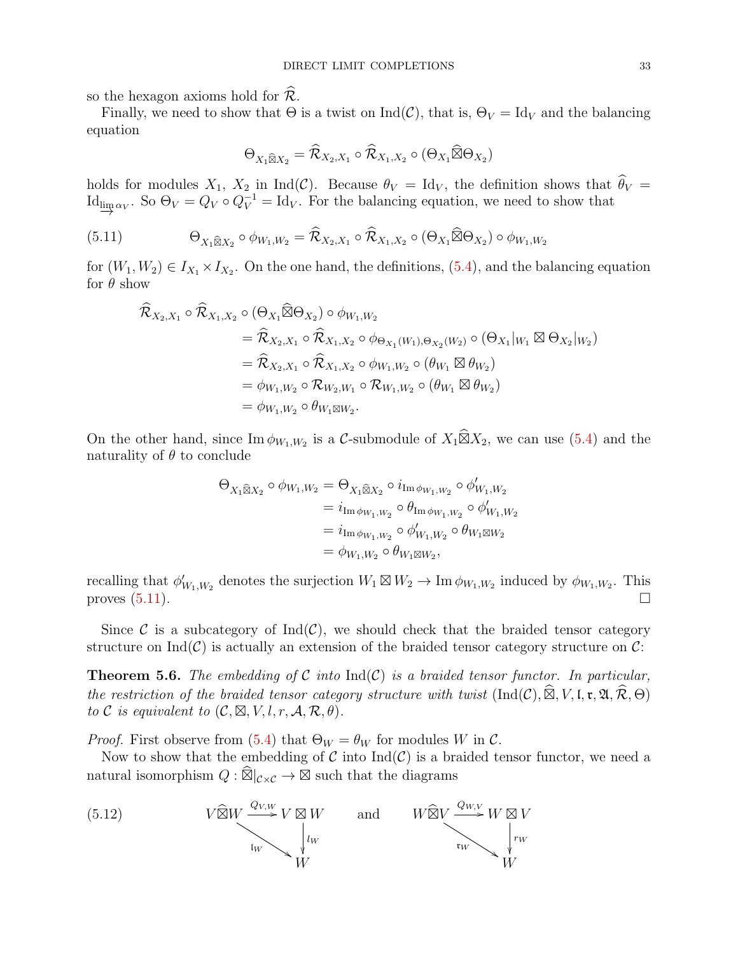so the hexagon axioms hold for  $\mathcal{R}$ .

Finally, we need to show that  $\Theta$  is a twist on Ind(C), that is,  $\Theta_V = \text{Id}_V$  and the balancing equation

$$
\Theta_{X_1\widehat{\boxtimes}X_2}=\widehat{\mathcal{R}}_{X_2,X_1}\circ \widehat{\mathcal{R}}_{X_1,X_2}\circ (\Theta_{X_1}\widehat{\boxtimes} \Theta_{X_2})
$$

holds for modules  $X_1$ ,  $X_2$  in Ind(C). Because  $\theta_V = \text{Id}_V$ , the definition shows that  $\theta_V =$ Id<sub>lim $\alpha_V$ </sub>. So  $\Theta_V = Q_V \circ Q_V^{-1} = \text{Id}_V$ . For the balancing equation, we need to show that

(5.11) 
$$
\Theta_{X_1\widehat{\boxtimes}X_2}\circ\phi_{W_1,W_2}=\widehat{\mathcal{R}}_{X_2,X_1}\circ\widehat{\mathcal{R}}_{X_1,X_2}\circ(\Theta_{X_1}\widehat{\boxtimes}\Theta_{X_2})\circ\phi_{W_1,W_2}
$$

for  $(W_1, W_2) \in I_{X_1} \times I_{X_2}$ . On the one hand, the definitions, [\(5.4\)](#page-26-1), and the balancing equation for  $\theta$  show

<span id="page-32-0"></span>
$$
\begin{split}\n\widehat{\mathcal{R}}_{X_2,X_1} \circ \widehat{\mathcal{R}}_{X_1,X_2} \circ (\Theta_{X_1} \widehat{\boxtimes} \Theta_{X_2}) \circ \phi_{W_1,W_2} \\
&= \widehat{\mathcal{R}}_{X_2,X_1} \circ \widehat{\mathcal{R}}_{X_1,X_2} \circ \phi_{\Theta_{X_1}(W_1),\Theta_{X_2}(W_2)} \circ (\Theta_{X_1}|_{W_1} \boxtimes \Theta_{X_2}|_{W_2}) \\
&= \widehat{\mathcal{R}}_{X_2,X_1} \circ \widehat{\mathcal{R}}_{X_1,X_2} \circ \phi_{W_1,W_2} \circ (\theta_{W_1} \boxtimes \theta_{W_2}) \\
&= \phi_{W_1,W_2} \circ \mathcal{R}_{W_2,W_1} \circ \mathcal{R}_{W_1,W_2} \circ (\theta_{W_1} \boxtimes \theta_{W_2}) \\
&= \phi_{W_1,W_2} \circ \theta_{W_1 \boxtimes W_2}.\n\end{split}
$$

On the other hand, since  $\text{Im } \phi_{W_1,W_2}$  is a C-submodule of  $X_1 \widehat{\boxtimes} X_2$ , we can use [\(5.4\)](#page-26-1) and the naturality of  $\theta$  to conclude

$$
\begin{aligned} \Theta_{X_1 \widehat{\boxtimes} X_2} \circ \phi_{W_1, W_2} &= \Theta_{X_1 \widehat{\boxtimes} X_2} \circ i_{\operatorname{Im} \phi_{W_1, W_2}} \circ \phi'_{W_1, W_2} \\ &= i_{\operatorname{Im} \phi_{W_1, W_2}} \circ \theta_{\operatorname{Im} \phi_{W_1, W_2}} \circ \phi'_{W_1, W_2} \\ &= i_{\operatorname{Im} \phi_{W_1, W_2}} \circ \phi'_{W_1, W_2} \circ \theta_{W_1 \boxtimes W_2} \\ &= \phi_{W_1, W_2} \circ \theta_{W_1 \boxtimes W_2}, \end{aligned}
$$

recalling that  $\phi'_{W_1,W_2}$  denotes the surjection  $W_1 \boxtimes W_2 \to \text{Im } \phi_{W_1,W_2}$  induced by  $\phi_{W_1,W_2}$ . This proves  $(5.11)$ .

Since C is a subcategory of  $Ind(\mathcal{C})$ , we should check that the braided tensor category structure on  $\text{Ind}(\mathcal{C})$  is actually an extension of the braided tensor category structure on  $\mathcal{C}$ :

**Theorem 5.6.** The embedding of C into  $Ind(C)$  is a braided tensor functor. In particular, the restriction of the braided tensor category structure with twist  $(Ind(C), \widehat{\boxtimes}, V, \mathfrak{l}, \mathfrak{r}, \mathfrak{A}, \widehat{\mathcal{R}}, \Theta)$ to C is equivalent to  $(C, \boxtimes, V, l, r, \mathcal{A}, \mathcal{R}, \theta)$ .

*Proof.* First observe from [\(5.4\)](#page-26-1) that  $\Theta_W = \theta_W$  for modules W in C.

<span id="page-32-1"></span>Now to show that the embedding of C into  $\text{Ind}(\mathcal{C})$  is a braided tensor functor, we need a natural isomorphism  $Q : \widehat{\boxtimes}\vert_{\mathcal{C}\times\mathcal{C}} \to \boxtimes$  such that the diagrams

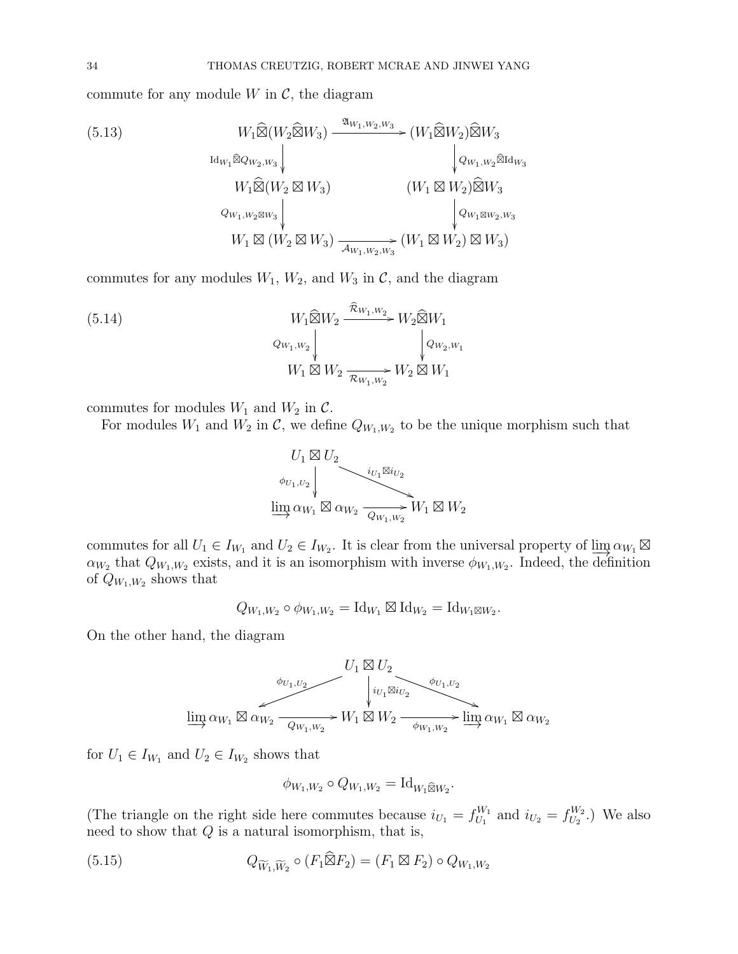commute for any module  $W$  in  $\mathcal{C}$ , the diagram

<span id="page-33-1"></span>(5.13)  
\n
$$
W_1 \widehat{\boxtimes} (W_2 \widehat{\boxtimes} W_3) \xrightarrow{\mathfrak{A}_{W_1, W_2, W_3}} (W_1 \widehat{\boxtimes} W_2) \widehat{\boxtimes} W_3
$$
\n
$$
W_1 \widehat{\boxtimes} (W_2 \boxtimes W_3) \xrightarrow{\mathfrak{A}_{W_1, W_2} \widehat{\boxtimes} \mathrm{Id}_{W_3}}
$$
\n
$$
W_1 \widehat{\boxtimes} (W_2 \boxtimes W_3) \xrightarrow{\mathfrak{A}_{W_1, W_2, W_3}} (W_1 \boxtimes W_2) \widehat{\boxtimes} W_3
$$
\n
$$
W_1 \boxtimes (W_2 \boxtimes W_3) \xrightarrow{\mathfrak{A}_{W_1, W_2, W_3}} (W_1 \boxtimes W_2) \boxtimes W_3
$$

commutes for any modules  $W_1$ ,  $W_2$ , and  $W_3$  in  $\mathcal{C}$ , and the diagram

(5.14) 
$$
W_{1} \widehat{\boxtimes} W_{2} \xrightarrow{\widehat{\mathcal{R}}_{W_{1},W_{2}}} W_{2} \widehat{\boxtimes} W_{1}
$$

$$
Q_{W_{1},W_{2}} \downarrow \qquad Q_{W_{2},W_{1}}
$$

$$
W_{1} \boxtimes W_{2} \xrightarrow{\widehat{\mathcal{R}}_{W_{1},W_{2}}} W_{2} \boxtimes W_{1}
$$

commutes for modules  $W_1$  and  $W_2$  in  $\mathcal{C}$ .

For modules  $W_1$  and  $W_2$  in  $\mathcal{C}$ , we define  $Q_{W_1,W_2}$  to be the unique morphism such that

<span id="page-33-2"></span>

commutes for all  $U_1 \in I_{W_1}$  and  $U_2 \in I_{W_2}$ . It is clear from the universal property of  $\lim_{n \to \infty} \alpha_{W_1} \boxtimes$  $\alpha_{W_2}$  that  $Q_{W_1,W_2}$  exists, and it is an isomorphism with inverse  $\phi_{W_1,W_2}$ . Indeed, the definition of  $Q_{W_1,W_2}$  shows that

$$
Q_{W_1,W_2} \circ \phi_{W_1,W_2} = \mathrm{Id}_{W_1} \boxtimes \mathrm{Id}_{W_2} = \mathrm{Id}_{W_1 \boxtimes W_2}.
$$

On the other hand, the diagram



for  $U_1 \in I_{W_1}$  and  $U_2 \in I_{W_2}$  shows that

<span id="page-33-0"></span>
$$
\phi_{W_1,W_2} \circ Q_{W_1,W_2} = \mathrm{Id}_{W_1 \widehat{\boxtimes} W_2}.
$$

(The triangle on the right side here commutes because  $i_{U_1} = f_{U_1}^{W_1}$  $U_1^{W_1}$  and  $i_{U_2} = f_{U_2}^{W_2}$  $\binom{W_2}{U_2}$ .) We also need to show that  $Q$  is a natural isomorphism, that is,

(5.15) 
$$
Q_{\widetilde{W}_1,\widetilde{W}_2} \circ (F_1 \widehat{\boxtimes} F_2) = (F_1 \boxtimes F_2) \circ Q_{W_1,W_2}
$$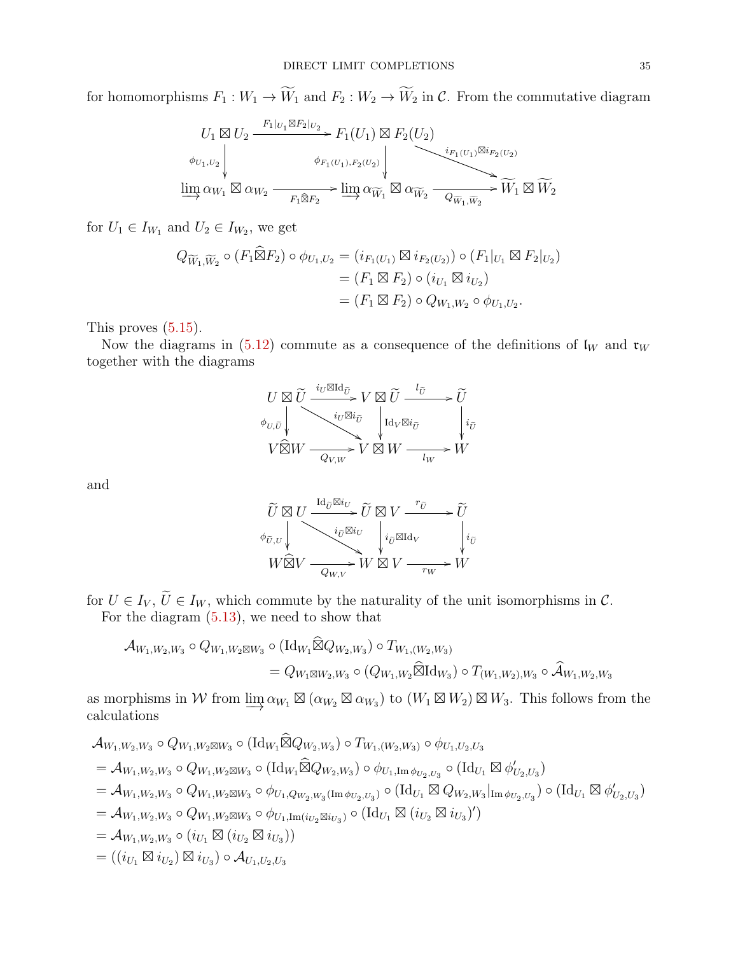for homomorphisms  $F_1: W_1 \to \widetilde{W}_1$  and  $F_2: W_2 \to \widetilde{W}_2$  in C. From the commutative diagram

$$
U_1 \boxtimes U_2 \xrightarrow{F_1|_{U_1} \boxtimes F_2|_{U_2}} F_1(U_1) \boxtimes F_2(U_2)
$$
\n
$$
\phi_{U_1, U_2} \downarrow \phi_{F_1(U_1), F_2(U_2)} \downarrow \phi_{F_1(U_1), F_2(U_2)}
$$
\n
$$
\underline{\lim_{\longrightarrow}} \alpha_{W_1} \boxtimes \alpha_{W_2} \xrightarrow{F_1 \widehat{\otimes} F_2} \underline{\lim_{\longrightarrow}} \alpha_{\widetilde{W}_1} \boxtimes \alpha_{\widetilde{W}_2} \xrightarrow{Q_{\widetilde{W}_1, \widetilde{W}_2}} \widetilde{W}_1 \boxtimes \widetilde{W}_2
$$

for  $U_1 \in I_{W_1}$  and  $U_2 \in I_{W_2}$ , we get

$$
Q_{\widetilde{W}_1, \widetilde{W}_2} \circ (F_1 \widehat{\boxtimes} F_2) \circ \phi_{U_1, U_2} = (i_{F_1(U_1)} \boxtimes i_{F_2(U_2)}) \circ (F_1|_{U_1} \boxtimes F_2|_{U_2})
$$
  
= 
$$
(F_1 \boxtimes F_2) \circ (i_{U_1} \boxtimes i_{U_2})
$$
  
= 
$$
(F_1 \boxtimes F_2) \circ Q_{W_1, W_2} \circ \phi_{U_1, U_2}.
$$

This proves [\(5.15\)](#page-33-0).

Now the diagrams in [\(5.12\)](#page-32-1) commute as a consequence of the definitions of  $\mathfrak{l}_W$  and  $\mathfrak{r}_W$ together with the diagrams

$$
\begin{array}{c}\nU \boxtimes \widetilde{U} \xrightarrow{iv \boxtimes \mathrm{Id}_{\widetilde{U}}} V \boxtimes \widetilde{U} \xrightarrow{l_{\widetilde{U}}} \widetilde{U} \\
\phi_{U, \widetilde{U}} \downarrow \\
V \widehat{\boxtimes} W \xrightarrow{iv \boxtimes i_{\widetilde{U}}} V \boxtimes W \xrightarrow{l_{W} \boxtimes i_{\widetilde{U}}} \begin{matrix} l_{\widetilde{U}} \\
i_{\widetilde{U}} \\
\hline\n\end{matrix} \\
V \widehat{\boxtimes} W \xrightarrow{Q_{V, W}} V \boxtimes W \xrightarrow{l_{W}} W\n\end{array}
$$

and

$$
\begin{array}{c}\n\widetilde{U} \boxtimes U \xrightarrow{\mathrm{Id}_{\widetilde{U}} \boxtimes i_U} \widetilde{U} \boxtimes V \xrightarrow{\phantom{U} \widetilde{v} } \widetilde{U} \\ \n\phi_{\widetilde{U},U} \Big\downarrow \qquad \qquad i_{\widetilde{U}} \boxtimes i_U \Big\downarrow \qquad \qquad i_{\widetilde{U}} \boxtimes \mathrm{Id}_V \qquad \qquad i_{\widetilde{U}} \\ \nW \widehat{\boxtimes} V \xrightarrow{\phantom{U} \widetilde{Q}_{W,V}} W \boxtimes V \xrightarrow{\phantom{U} \widetilde{r}_W} W \end{array}
$$

for  $U \in I_V$ ,  $\widetilde{U} \in I_W$ , which commute by the naturality of the unit isomorphisms in  $\mathcal{C}$ . For the diagram [\(5.13\)](#page-33-1), we need to show that

$$
\mathcal{A}_{W_1,W_2,W_3} \circ Q_{W_1,W_2 \boxtimes W_3} \circ (\mathrm{Id}_{W_1} \widehat{\boxtimes} Q_{W_2,W_3}) \circ T_{W_1,(W_2,W_3)}
$$
\n
$$
= Q_{W_1 \boxtimes W_2,W_3} \circ (Q_{W_1,W_2} \widehat{\boxtimes} \mathrm{Id}_{W_3}) \circ T_{(W_1,W_2),W_3} \circ \widehat{\mathcal{A}}_{W_1,W_2,W_3}
$$

as morphisms in W from  $\underline{\lim}_{\alpha_{W_1}} \boxtimes (\alpha_{W_2} \boxtimes \alpha_{W_3})$  to  $(W_1 \boxtimes W_2) \boxtimes W_3$ . This follows from the calculations

$$
\begin{split}\n& \mathcal{A}_{W_1,W_2,W_3} \circ Q_{W_1,W_2 \boxtimes W_3} \circ (\mathrm{Id}_{W_1} \widehat{\boxtimes} Q_{W_2,W_3}) \circ T_{W_1,(W_2,W_3)} \circ \phi_{U_1,U_2,U_3} \\
&= \mathcal{A}_{W_1,W_2,W_3} \circ Q_{W_1,W_2 \boxtimes W_3} \circ (\mathrm{Id}_{W_1} \widehat{\boxtimes} Q_{W_2,W_3}) \circ \phi_{U_1,\mathrm{Im} \phi_{U_2,U_3}} \circ (\mathrm{Id}_{U_1} \boxtimes \phi'_{U_2,U_3}) \\
&= \mathcal{A}_{W_1,W_2,W_3} \circ Q_{W_1,W_2 \boxtimes W_3} \circ \phi_{U_1,Q_{W_2,W_3}(\mathrm{Im} \phi_{U_2,U_3})} \circ (\mathrm{Id}_{U_1} \boxtimes Q_{W_2,W_3}|_{\mathrm{Im} \phi_{U_2,U_3}}) \circ (\mathrm{Id}_{U_1} \boxtimes \phi'_{U_2,U_3}) \\
&= \mathcal{A}_{W_1,W_2,W_3} \circ Q_{W_1,W_2 \boxtimes W_3} \circ \phi_{U_1,\mathrm{Im}(i_{U_2} \boxtimes i_{U_3})} \circ (\mathrm{Id}_{U_1} \boxtimes (i_{U_2} \boxtimes i_{U_3})') \\
&= \mathcal{A}_{W_1,W_2,W_3} \circ (i_{U_1} \boxtimes (i_{U_2} \boxtimes i_{U_3})) \\
&= ((i_{U_1} \boxtimes i_{U_2}) \boxtimes i_{U_3}) \circ \mathcal{A}_{U_1,U_2,U_3}\n\end{split}
$$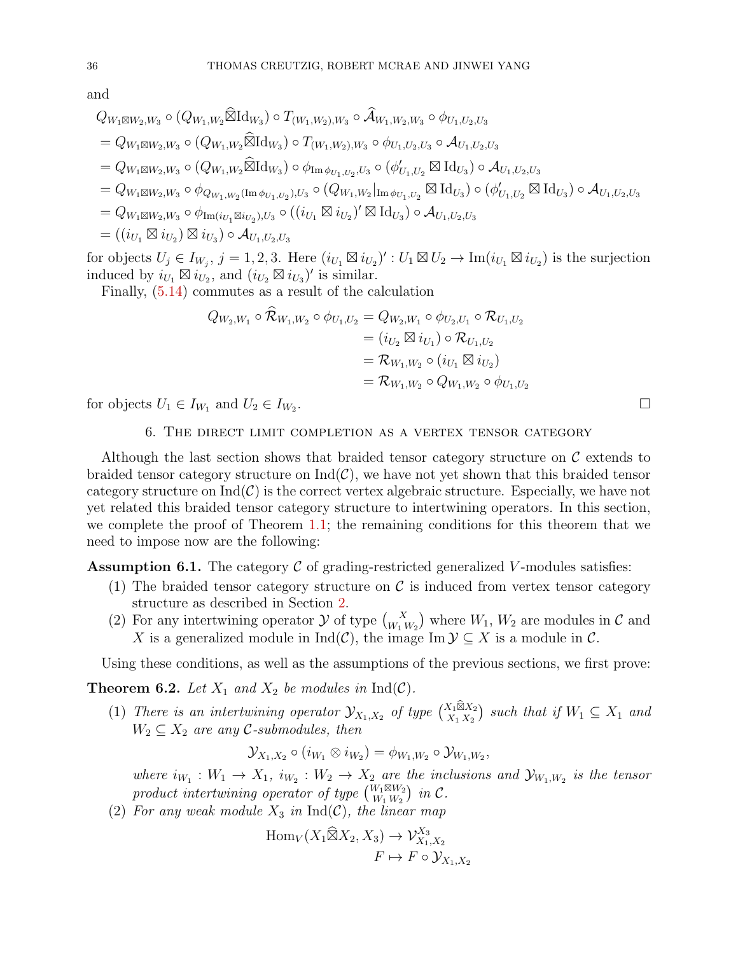and

$$
Q_{W_1 \boxtimes W_2, W_3} \circ (Q_{W_1, W_2} \widehat{\boxtimes} \mathrm{Id}_{W_3}) \circ T_{(W_1, W_2), W_3} \circ \widehat{\mathcal{A}}_{W_1, W_2, W_3} \circ \phi_{U_1, U_2, U_3}
$$
  
\n
$$
= Q_{W_1 \boxtimes W_2, W_3} \circ (Q_{W_1, W_2} \widehat{\boxtimes} \mathrm{Id}_{W_3}) \circ T_{(W_1, W_2), W_3} \circ \phi_{U_1, U_2, U_3} \circ \mathcal{A}_{U_1, U_2, U_3}
$$
  
\n
$$
= Q_{W_1 \boxtimes W_2, W_3} \circ (Q_{W_1, W_2} \widehat{\boxtimes} \mathrm{Id}_{W_3}) \circ \phi_{\mathrm{Im} \phi_{U_1, U_2, U_3}} \circ (\phi'_{U_1, U_2} \boxtimes \mathrm{Id}_{U_3}) \circ \mathcal{A}_{U_1, U_2, U_3}
$$
  
\n
$$
= Q_{W_1 \boxtimes W_2, W_3} \circ \phi_{Q_{W_1, W_2}(\mathrm{Im} \phi_{U_1, U_2}), U_3} \circ (Q_{W_1, W_2}|_{\mathrm{Im} \phi_{U_1, U_2}} \boxtimes \mathrm{Id}_{U_3}) \circ (\phi'_{U_1, U_2} \boxtimes \mathrm{Id}_{U_3}) \circ \mathcal{A}_{U_1, U_2, U_3}
$$
  
\n
$$
= Q_{W_1 \boxtimes W_2, W_3} \circ \phi_{\mathrm{Im}(i_{U_1} \boxtimes i_{U_2}), U_3} \circ ((i_{U_1} \boxtimes i_{U_2})' \boxtimes \mathrm{Id}_{U_3}) \circ \mathcal{A}_{U_1, U_2, U_3}
$$
  
\n
$$
= ((i_{U_1} \boxtimes i_{U_2}) \boxtimes i_{U_3}) \circ \mathcal{A}_{U_1, U_2, U_3}
$$

for objects  $U_j \in I_{W_j}$ ,  $j = 1, 2, 3$ . Here  $(i_{U_1} \boxtimes i_{U_2})' : U_1 \boxtimes U_2 \to \text{Im}(i_{U_1} \boxtimes i_{U_2})$  is the surjection induced by  $i_{U_1} \boxtimes i_{U_2}$ , and  $(i_{U_2} \boxtimes i_{U_3})'$  is similar.

Finally, [\(5.14\)](#page-33-2) commutes as a result of the calculation

$$
Q_{W_2,W_1} \circ \mathcal{R}_{W_1,W_2} \circ \phi_{U_1,U_2} = Q_{W_2,W_1} \circ \phi_{U_2,U_1} \circ \mathcal{R}_{U_1,U_2}
$$
  
=  $(i_{U_2} \boxtimes i_{U_1}) \circ \mathcal{R}_{U_1,U_2}$   
=  $\mathcal{R}_{W_1,W_2} \circ (i_{U_1} \boxtimes i_{U_2})$   
=  $\mathcal{R}_{W_1,W_2} \circ Q_{W_1,W_2} \circ \phi_{U_1,U_2}$ 

<span id="page-35-0"></span>for objects  $U_1 \in I_{W_1}$  and  $U_2 \in I_{W_2}$ .

# 6. The direct limit completion as a vertex tensor category

Although the last section shows that braided tensor category structure on  $\mathcal C$  extends to braided tensor category structure on  $\text{Ind}(\mathcal{C})$ , we have not yet shown that this braided tensor category structure on  $\text{Ind}(\mathcal{C})$  is the correct vertex algebraic structure. Especially, we have not yet related this braided tensor category structure to intertwining operators. In this section, we complete the proof of Theorem [1.1;](#page-1-0) the remaining conditions for this theorem that we need to impose now are the following:

<span id="page-35-1"></span>**Assumption 6.1.** The category  $\mathcal C$  of grading-restricted generalized V-modules satisfies:

- (1) The braided tensor category structure on  $\mathcal C$  is induced from vertex tensor category structure as described in Section [2.](#page-3-0)
- (2) For any intertwining operator  $\mathcal Y$  of type  $\binom{X}{W_1 W_2}$  where  $W_1, W_2$  are modules in  $\mathcal C$  and X is a generalized module in  $\text{Ind}(\mathcal{C})$ , the image  $\text{Im }\mathcal{Y} \subseteq X$  is a module in  $\mathcal{C}$ .

Using these conditions, as well as the assumptions of the previous sections, we first prove:

<span id="page-35-2"></span>**Theorem 6.2.** Let  $X_1$  and  $X_2$  be modules in  $\text{Ind}(\mathcal{C})$ .

(1) There is an intertwining operator  $\mathcal{Y}_{X_1,X_2}$  of type  $\binom{X_1\widehat{\otimes}X_2}{X_1X_2}$  such that if  $W_1 \subseteq X_1$  and  $W_2 \subseteq X_2$  are any C-submodules, then

$$
\mathcal{Y}_{X_1,X_2} \circ (i_{W_1} \otimes i_{W_2}) = \phi_{W_1,W_2} \circ \mathcal{Y}_{W_1,W_2},
$$

where  $i_{W_1}: W_1 \to X_1$ ,  $i_{W_2}: W_2 \to X_2$  are the inclusions and  $\mathcal{Y}_{W_1,W_2}$  is the tensor product intertwining operator of type  $\binom{W_1 \boxtimes W_2}{W_1 \oplus W_2}$  $\frac{W_1\boxtimes W_2}{W_1\,W_2}$  in C.

(2) For any weak module  $X_3$  in  $\text{Ind}(\mathcal{C})$ , the linear map

$$
\text{Hom}_V(X_1 \widehat{\boxtimes} X_2, X_3) \to \mathcal{V}^{X_3}_{X_1, X_2}
$$
\n
$$
F \mapsto F \circ \mathcal{Y}_{X_1, X_2}
$$

. В последните последните последните последните последните последните последните последните последните последн<br>В 1990 година от селото на селото на селото на селото на селото на селото на селото на селото на селото на сел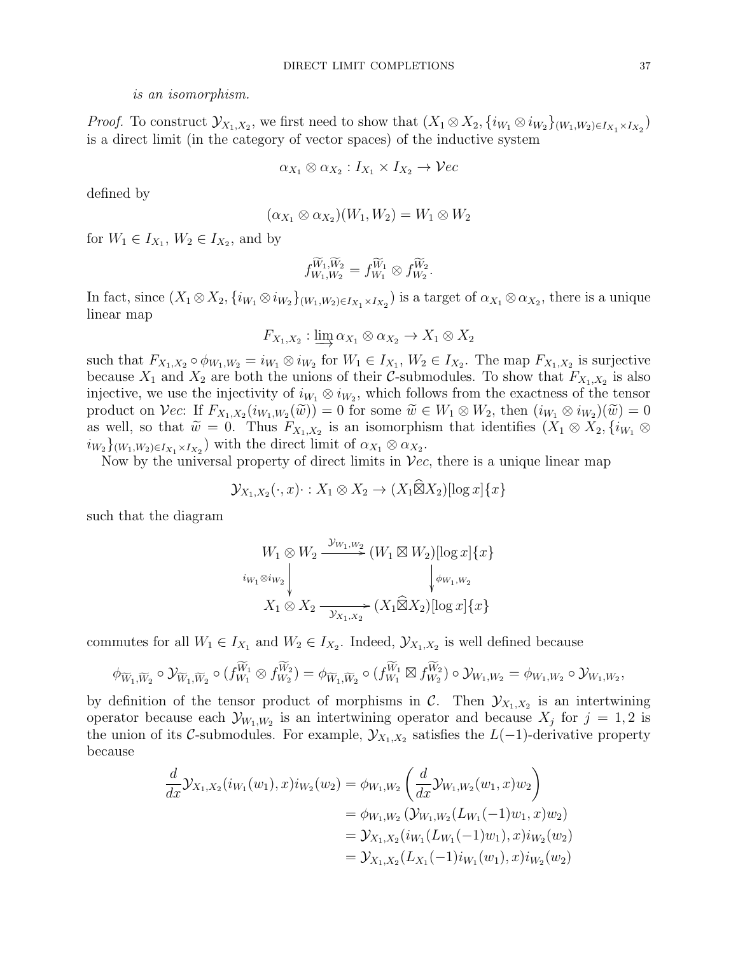#### is an isomorphism.

*Proof.* To construct  $\mathcal{Y}_{X_1,X_2}$ , we first need to show that  $(X_1 \otimes X_2, \{i_{W_1} \otimes i_{W_2}\}_{(W_1,W_2) \in I_{X_1} \times I_{X_2}})$ is a direct limit (in the category of vector spaces) of the inductive system

$$
\alpha_{X_1} \otimes \alpha_{X_2} : I_{X_1} \times I_{X_2} \to \mathcal{V}ec
$$

defined by

$$
(\alpha_{X_1} \otimes \alpha_{X_2})(W_1, W_2) = W_1 \otimes W_2
$$

for  $W_1 \in I_{X_1}, W_2 \in I_{X_2}$ , and by

$$
f_{W_1,W_2}^{\widetilde{W}_1,\widetilde{W}_2}=f_{W_1}^{\widetilde{W}_1}\otimes f_{W_2}^{\widetilde{W}_2}.
$$

In fact, since  $(X_1 \otimes X_2, \{i_{W_1} \otimes i_{W_2}\}_{(W_1, W_2) \in I_{X_1} \times I_{X_2}})$  is a target of  $\alpha_{X_1} \otimes \alpha_{X_2}$ , there is a unique linear map

$$
F_{X_1,X_2} : \varinjlim \alpha_{X_1} \otimes \alpha_{X_2} \to X_1 \otimes X_2
$$

such that  $F_{X_1,X_2} \circ \phi_{W_1,W_2} = i_{W_1} \otimes i_{W_2}$  for  $W_1 \in I_{X_1}, W_2 \in I_{X_2}$ . The map  $F_{X_1,X_2}$  is surjective because  $X_1$  and  $X_2$  are both the unions of their C-submodules. To show that  $F_{X_1,X_2}$  is also injective, we use the injectivity of  $i_{W_1} \otimes i_{W_2}$ , which follows from the exactness of the tensor product on Vec: If  $F_{X_1,X_2}(i_{W_1,W_2}(\tilde{w})) = 0$  for some  $\tilde{w} \in W_1 \otimes W_2$ , then  $(i_{W_1} \otimes i_{W_2})(\tilde{w}) = 0$ <br>as well so that  $\tilde{w} = 0$ . Thus  $F_{X_1,X_2}(i_{W_1,W_2}(\tilde{w}))$  is an isomorphism that identifies  $(X_1 \otimes X_2, i_{W_$ as well, so that  $\widetilde{w} = 0$ . Thus  $F_{X_1, X_2}$  is an isomorphism that identifies  $(X_1 \otimes X_2, \{i_{W_1} \otimes$ <br>in  $\downarrow$  we set all with the direct limit of  $\alpha_X \otimes \alpha_Y$  $i_{W_2}\}_{(W_1, W_2) \in I_{X_1} \times I_{X_2}}$  with the direct limit of  $\alpha_{X_1} \otimes \alpha_{X_2}$ .

Now by the universal property of direct limits in  $\mathcal{V}ec$ , there is a unique linear map

$$
\mathcal{Y}_{X_1,X_2}(\cdot,x)\cdot:X_1\otimes X_2\to (X_1\widehat{\boxtimes}X_2)[\log x]\{x\}
$$

such that the diagram

$$
W_1 \otimes W_2 \xrightarrow{\mathcal{Y}_{W_1,W_2}} (W_1 \boxtimes W_2) [\log x] \{x\}
$$
  

$$
i_{W_1 \otimes i_{W_2}} \downarrow \qquad \qquad \downarrow \phi_{W_1,W_2}
$$
  

$$
X_1 \otimes X_2 \xrightarrow{\mathcal{Y}_{X_1,X_2}} (X_1 \widehat{\boxtimes} X_2) [\log x] \{x\}
$$

commutes for all  $W_1 \in I_{X_1}$  and  $W_2 \in I_{X_2}$ . Indeed,  $\mathcal{Y}_{X_1,X_2}$  is well defined because

$$
\phi_{\widetilde{W}_1,\widetilde{W}_2}\circ \mathcal{Y}_{\widetilde{W}_1,\widetilde{W}_2}\circ (f_{W_1}^{\widetilde{W}_1}\otimes f_{W_2}^{\widetilde{W}_2})=\phi_{\widetilde{W}_1,\widetilde{W}_2}\circ (f_{W_1}^{\widetilde{W}_1}\boxtimes f_{W_2}^{\widetilde{W}_2})\circ \mathcal{Y}_{W_1,W_2}=\phi_{W_1,W_2}\circ \mathcal{Y}_{W_1,W_2},
$$

by definition of the tensor product of morphisms in  $\mathcal{C}$ . Then  $\mathcal{Y}_{X_1,X_2}$  is an intertwining operator because each  $\mathcal{Y}_{W_1,W_2}$  is an intertwining operator and because  $X_j$  for  $j=1,2$  is the union of its C-submodules. For example,  $\mathcal{Y}_{X_1,X_2}$  satisfies the  $L(-1)$ -derivative property because

$$
\frac{d}{dx}\mathcal{Y}_{X_1,X_2}(i_{W_1}(w_1),x)i_{W_2}(w_2) = \phi_{W_1,W_2}\left(\frac{d}{dx}\mathcal{Y}_{W_1,W_2}(w_1,x)w_2\right)
$$
\n
$$
= \phi_{W_1,W_2}\left(\mathcal{Y}_{W_1,W_2}(L_{W_1}(-1)w_1,x)w_2\right)
$$
\n
$$
= \mathcal{Y}_{X_1,X_2}(i_{W_1}(L_{W_1}(-1)w_1),x)i_{W_2}(w_2)
$$
\n
$$
= \mathcal{Y}_{X_1,X_2}(L_{X_1}(-1)i_{W_1}(w_1),x)i_{W_2}(w_2)
$$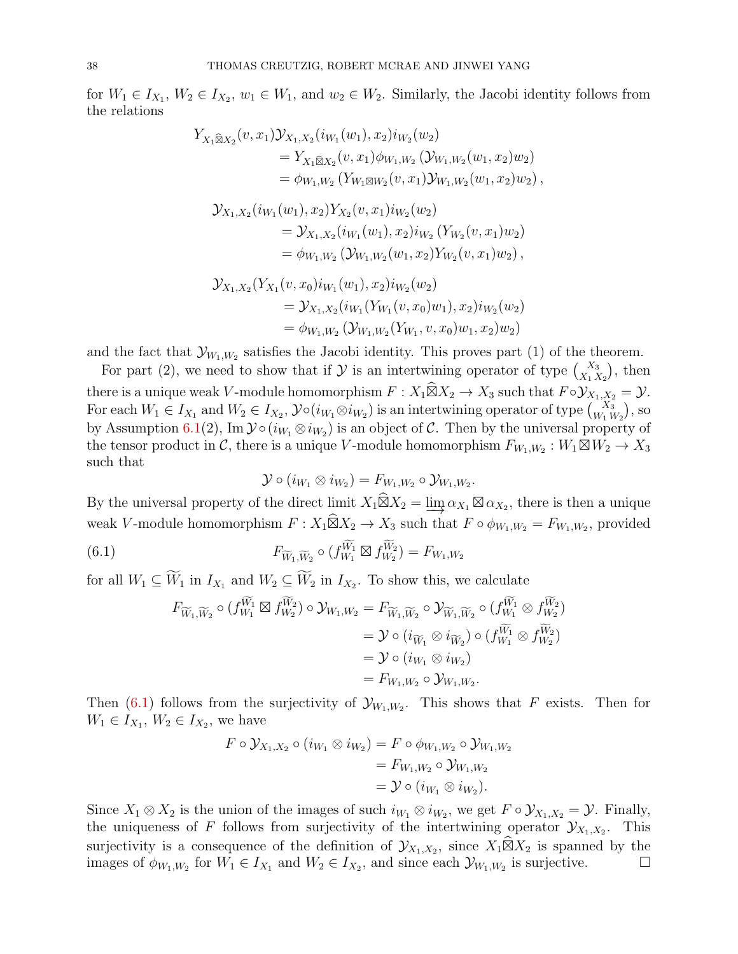for  $W_1 \in I_{X_1}, W_2 \in I_{X_2}, w_1 \in W_1$ , and  $w_2 \in W_2$ . Similarly, the Jacobi identity follows from the relations

$$
Y_{X_1\widehat{\boxtimes}X_2}(v,x_1)\mathcal{Y}_{X_1,X_2}(i_{W_1}(w_1),x_2)i_{W_2}(w_2)
$$
  
\n
$$
= Y_{X_1\widehat{\boxtimes}X_2}(v,x_1)\phi_{W_1,W_2}(\mathcal{Y}_{W_1,W_2}(w_1,x_2)w_2)
$$
  
\n
$$
= \phi_{W_1,W_2}(Y_{W_1\boxtimes W_2}(v,x_1)\mathcal{Y}_{W_1,W_2}(w_1,x_2)w_2),
$$
  
\n
$$
\mathcal{Y}_{X_1,X_2}(i_{W_1}(w_1),x_2)Y_{X_2}(v,x_1)i_{W_2}(w_2)
$$
  
\n
$$
= \mathcal{Y}_{X_1,X_2}(i_{W_1}(w_1),x_2)i_{W_2}(Y_{W_2}(v,x_1)w_2)
$$
  
\n
$$
= \phi_{W_1,W_2}(\mathcal{Y}_{W_1,W_2}(w_1,x_2)Y_{W_2}(v,x_1)w_2),
$$
  
\n
$$
\mathcal{Y}_{X_1,X_2}(Y_{X_1}(v,x_0)i_{W_1}(w_1),x_2)i_{W_2}(w_2)
$$
  
\n
$$
= \mathcal{Y}_{X_1,X_2}(i_{W_1}(Y_{W_1}(v,x_0)w_1),x_2)i_{W_2}(w_2)
$$
  
\n
$$
= \phi_{W_1,W_2}(\mathcal{Y}_{W_1,W_2}(Y_{W_1},v,x_0)w_1,x_2)w_2)
$$

and the fact that  $\mathcal{Y}_{W_1,W_2}$  satisfies the Jacobi identity. This proves part (1) of the theorem.

For part (2), we need to show that if  $\mathcal Y$  is an intertwining operator of type  $\binom{X_3}{X_1 X_2}$ , then there is a unique weak V-module homomorphism  $F: X_1 \widehat{\boxtimes} X_2 \to X_3$  such that  $F \circ \mathcal{Y}_{X_1, X_2} = \mathcal{Y}$ . For each  $W_1 \in I_{X_1}$  and  $W_2 \in I_{X_2}$ ,  $\mathcal{Y} \circ (i_{W_1} \otimes i_{W_2})$  is an intertwining operator of type  $\binom{X_3}{W_1 W_2}$ , so by Assumption [6.1\(](#page-35-1)2), Im  $\mathcal{Y} \circ (i_{W_1} \otimes i_{W_2})$  is an object of C. Then by the universal property of the tensor product in C, there is a unique V-module homomorphism  $F_{W_1,W_2}: W_1 \boxtimes W_2 \to X_3$ such that

<span id="page-37-0"></span>
$$
\mathcal{Y}\circ(i_{W_1}\otimes i_{W_2})=F_{W_1,W_2}\circ\mathcal{Y}_{W_1,W_2}.
$$

By the universal property of the direct limit  $X_1 \widehat{\boxtimes} X_2 = \varinjlim \alpha_{X_1} \boxtimes \alpha_{X_2}$ , there is then a unique weak V-module homomorphism  $F: X_1 \widehat{\boxtimes} X_2 \to X_3$  such that  $F \circ \phi_{W_1,W_2} = F_{W_1,W_2}$ , provided

(6.1) 
$$
F_{\widetilde{W}_1,\widetilde{W}_2} \circ (f_{W_1}^{\widetilde{W}_1} \boxtimes f_{W_2}^{\widetilde{W}_2}) = F_{W_1,W_2}
$$

for all  $W_1 \subseteq W_1$  in  $I_{X_1}$  and  $W_2 \subseteq W_2$  in  $I_{X_2}$ . To show this, we calculate

$$
F_{\widetilde{W}_1, \widetilde{W}_2} \circ (f_{W_1}^{\widetilde{W}_1} \boxtimes f_{W_2}^{\widetilde{W}_2}) \circ \mathcal{Y}_{W_1, W_2} = F_{\widetilde{W}_1, \widetilde{W}_2} \circ \mathcal{Y}_{\widetilde{W}_1, \widetilde{W}_2} \circ (f_{W_1}^{\widetilde{W}_1} \otimes f_{W_2}^{\widetilde{W}_2})
$$
  
=  $\mathcal{Y} \circ (i_{\widetilde{W}_1} \otimes i_{\widetilde{W}_2}) \circ (f_{W_1}^{\widetilde{W}_1} \otimes f_{W_2}^{\widetilde{W}_2})$   
=  $\mathcal{Y} \circ (i_{W_1} \otimes i_{W_2})$   
=  $F_{W_1, W_2} \circ \mathcal{Y}_{W_1, W_2}.$ 

Then [\(6.1\)](#page-37-0) follows from the surjectivity of  $\mathcal{Y}_{W_1,W_2}$ . This shows that F exists. Then for  $W_1 \in I_{X_1}, W_2 \in I_{X_2}$ , we have

$$
F \circ \mathcal{Y}_{X_1, X_2} \circ (i_{W_1} \otimes i_{W_2}) = F \circ \phi_{W_1, W_2} \circ \mathcal{Y}_{W_1, W_2}
$$
  
=  $F_{W_1, W_2} \circ \mathcal{Y}_{W_1, W_2}$   
=  $\mathcal{Y} \circ (i_{W_1} \otimes i_{W_2}).$ 

Since  $X_1 \otimes X_2$  is the union of the images of such  $i_{W_1} \otimes i_{W_2}$ , we get  $F \circ \mathcal{Y}_{X_1,X_2} = \mathcal{Y}$ . Finally, the uniqueness of F follows from surjectivity of the intertwining operator  $\mathcal{Y}_{X_1,X_2}$ . This surjectivity is a consequence of the definition of  $\mathcal{Y}_{X_1,X_2}$ , since  $X_1 \widehat{\boxtimes} X_2$  is spanned by the images of  $\phi_{W_1,W_2}$  for  $W_1 \in I_{X_1}$  and  $W_2 \in I_{X_2}$ , and since each  $\mathcal{Y}_{W_1,W_2}$  is surjective.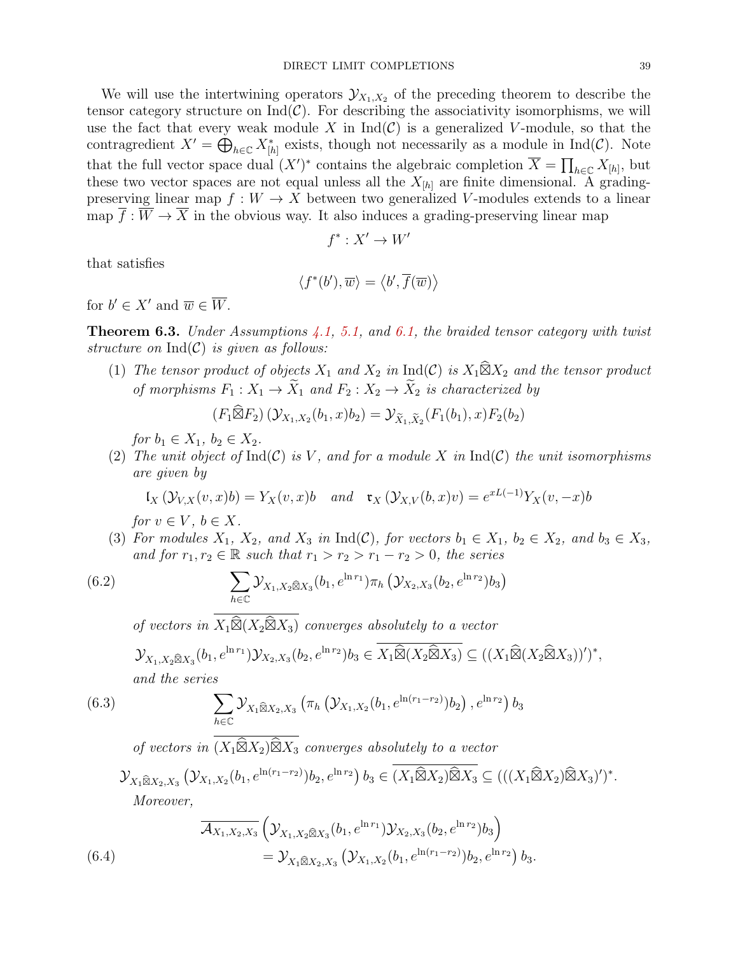We will use the intertwining operators  $\mathcal{Y}_{X_1,X_2}$  of the preceding theorem to describe the tensor category structure on  $\text{Ind}(\mathcal{C})$ . For describing the associativity isomorphisms, we will use the fact that every weak module X in  $\text{Ind}(\mathcal{C})$  is a generalized V-module, so that the contragredient  $X' = \bigoplus_{h \in \mathbb{C}} X_{[h]}^*$  exists, though not necessarily as a module in Ind(C). Note that the full vector space dual  $(X')^*$  contains the algebraic completion  $\overline{X} = \prod_{h \in \mathbb{C}} X_{[h]}$ , but these two vector spaces are not equal unless all the  $X_{[h]}$  are finite dimensional. A gradingpreserving linear map  $f: W \to X$  between two generalized V-modules extends to a linear map  $\overline{f}: \overline{W} \to \overline{X}$  in the obvious way. It also induces a grading-preserving linear map

$$
f^*: X' \to W'
$$

that satisfies

$$
\langle f^*(b'), \overline{w} \rangle = \langle b', \overline{f}(\overline{w}) \rangle
$$

for  $b' \in X'$  and  $\overline{w} \in \overline{W}$ .

<span id="page-38-2"></span>**Theorem 6.3.** Under Assumptions [4.1,](#page-14-1) [5.1,](#page-19-1) and [6.1,](#page-35-1) the braided tensor category with twist structure on  $\mathrm{Ind}(\mathcal{C})$  is given as follows:

(1) The tensor product of objects  $X_1$  and  $X_2$  in  $\text{Ind}(\mathcal{C})$  is  $X_1 \widehat{\boxtimes} X_2$  and the tensor product of morphisms  $F_1: X_1 \to \widetilde{X}_1$  and  $F_2: X_2 \to \widetilde{X}_2$  is characterized by

$$
(F_1 \widehat{\boxtimes} F_2) \left(\mathcal{Y}_{X_1, X_2}(b_1, x) b_2\right) = \mathcal{Y}_{\widetilde{X}_1, \widetilde{X}_2}(F_1(b_1), x) F_2(b_2)
$$

for  $b_1 \in X_1, b_2 \in X_2$ .

(2) The unit object of  $Ind(C)$  is V, and for a module X in  $Ind(C)$  the unit isomorphisms are given by

$$
\mathfrak{l}_X\left(\mathcal{Y}_{V,X}(v,x)b\right) = Y_X(v,x)b \quad and \quad \mathfrak{r}_X\left(\mathcal{Y}_{X,V}(b,x)v\right) = e^{xL(-1)}Y_X(v,-x)b
$$

for  $v \in V$ ,  $b \in X$ .

(3) For modules  $X_1$ ,  $X_2$ , and  $X_3$  in Ind(C), for vectors  $b_1 \in X_1$ ,  $b_2 \in X_2$ , and  $b_3 \in X_3$ , and for  $r_1, r_2 \in \mathbb{R}$  such that  $r_1 > r_2 > r_1 - r_2 > 0$ , the series

(6.2) 
$$
\sum_{h \in \mathbb{C}} \mathcal{Y}_{X_1, X_2 \widehat{\boxtimes} X_3}(b_1, e^{\ln r_1}) \pi_h \left( \mathcal{Y}_{X_2, X_3}(b_2, e^{\ln r_2}) b_3 \right)
$$

of vectors in  $X_1 \widehat{\boxtimes} (X_2 \widehat{\boxtimes} X_3)$  converges absolutely to a vector

$$
\mathcal{Y}_{X_1, X_2 \widehat{\boxtimes} X_3}(b_1, e^{\ln r_1}) \mathcal{Y}_{X_2, X_3}(b_2, e^{\ln r_2}) b_3 \in \overline{X_1 \widehat{\boxtimes} (X_2 \widehat{\boxtimes} X_3)} \subseteq ((X_1 \widehat{\boxtimes} (X_2 \widehat{\boxtimes} X_3))')^*,
$$

and the series

<span id="page-38-0"></span>(6.3) 
$$
\sum_{h \in \mathbb{C}} \mathcal{Y}_{X_1 \widehat{\boxtimes} X_2, X_3} \left( \pi_h \left( \mathcal{Y}_{X_1, X_2} (b_1, e^{\ln(r_1 - r_2)}) b_2 \right), e^{\ln r_2} \right) b_3
$$

of vectors in  $(X_1 \widehat{\boxtimes} X_2) \widehat{\boxtimes} X_3$  converges absolutely to a vector

$$
\mathcal{Y}_{X_1\widehat{\boxtimes}X_2,X_3}(\mathcal{Y}_{X_1,X_2}(b_1,e^{\ln(r_1-r_2)})b_2,e^{\ln r_2})b_3 \in \overline{(X_1\widehat{\boxtimes}X_2)\widehat{\boxtimes}X_3} \subseteq (((X_1\widehat{\boxtimes}X_2)\widehat{\boxtimes}X_3)')^*.
$$
  
Moreover,

<span id="page-38-1"></span>(6.4) 
$$
\overline{\mathcal{A}_{X_1,X_2,X_3}} \left( \mathcal{Y}_{X_1,X_2 \hat{\boxtimes} X_3} (b_1, e^{\ln r_1}) \mathcal{Y}_{X_2,X_3} (b_2, e^{\ln r_2}) b_3 \right) \n= \mathcal{Y}_{X_1 \hat{\boxtimes} X_2,X_3} \left( \mathcal{Y}_{X_1,X_2} (b_1, e^{\ln (r_1 - r_2)}) b_2, e^{\ln r_2} \right) b_3.
$$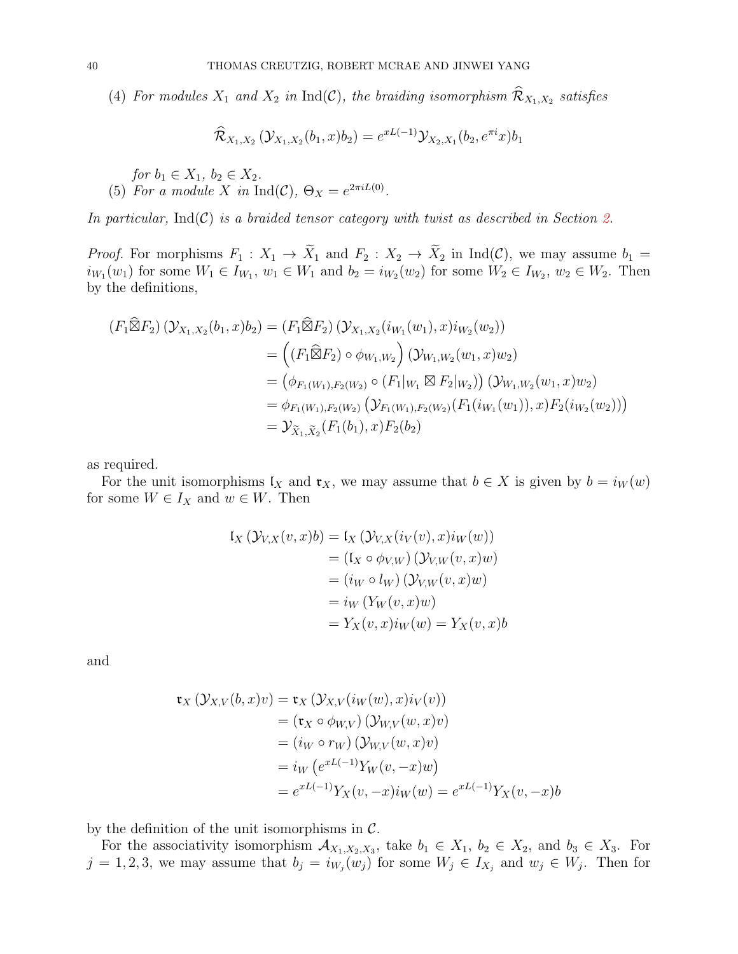(4) For modules  $X_1$  and  $X_2$  in  $\text{Ind}(\mathcal{C})$ , the braiding isomorphism  $\mathcal{R}_{X_1,X_2}$  satisfies

$$
\widehat{\mathcal{R}}_{X_1, X_2} \left( \mathcal{Y}_{X_1, X_2} (b_1, x) b_2 \right) = e^{xL(-1)} \mathcal{Y}_{X_2, X_1} (b_2, e^{\pi i} x) b_1
$$

for  $b_1 \in X_1$ ,  $b_2 \in X_2$ . (5) For a module X in Ind(C),  $\Theta_X = e^{2\pi i L(0)}$ .

In particular,  $\text{Ind}(\mathcal{C})$  is a braided tensor category with twist as described in Section [2.](#page-3-0)

*Proof.* For morphisms  $F_1 : X_1 \to X_1$  and  $F_2 : X_2 \to X_2$  in  $\text{Ind}(\mathcal{C})$ , we may assume  $b_1 =$  $i_{W_1}(w_1)$  for some  $W_1 \in I_{W_1}$ ,  $w_1 \in W_1$  and  $b_2 = i_{W_2}(w_2)$  for some  $W_2 \in I_{W_2}$ ,  $w_2 \in W_2$ . Then by the definitions,

$$
(F_1 \widehat{\boxtimes} F_2) (\mathcal{Y}_{X_1, X_2}(b_1, x) b_2) = (F_1 \widehat{\boxtimes} F_2) (\mathcal{Y}_{X_1, X_2}(i_{W_1}(w_1), x) i_{W_2}(w_2))
$$
  
\n
$$
= ((F_1 \widehat{\boxtimes} F_2) \circ \phi_{W_1, W_2}) (\mathcal{Y}_{W_1, W_2}(w_1, x) w_2)
$$
  
\n
$$
= (\phi_{F_1(W_1), F_2(W_2)} \circ (F_1|_{W_1} \boxtimes F_2|_{W_2})) (\mathcal{Y}_{W_1, W_2}(w_1, x) w_2)
$$
  
\n
$$
= \phi_{F_1(W_1), F_2(W_2)} (\mathcal{Y}_{F_1(W_1), F_2(W_2)}(F_1(i_{W_1}(w_1)), x) F_2(i_{W_2}(w_2)))
$$
  
\n
$$
= \mathcal{Y}_{\widetilde{X}_1, \widetilde{X}_2}(F_1(b_1), x) F_2(b_2)
$$

as required.

For the unit isomorphisms  $\mathfrak{l}_X$  and  $\mathfrak{r}_X$ , we may assume that  $b \in X$  is given by  $b = i_W(w)$ for some  $W \in I_X$  and  $w \in W$ . Then

$$
\begin{aligned} \mathfrak{l}_X \left( \mathcal{Y}_{V,X}(v,x)b \right) &= \mathfrak{l}_X \left( \mathcal{Y}_{V,X}(i_V(v),x) i_W(w) \right) \\ &= \left( \mathfrak{l}_X \circ \phi_{V,W} \right) \left( \mathcal{Y}_{V,W}(v,x)w \right) \\ &= \left( i_W \circ l_W \right) \left( \mathcal{Y}_{V,W}(v,x)w \right) \\ &= i_W \left( Y_W(v,x)w \right) \\ &= Y_X(v,x) i_W(w) = Y_X(v,x)b \end{aligned}
$$

and

$$
\mathfrak{r}_X(\mathcal{Y}_{X,V}(b,x)v) = \mathfrak{r}_X(\mathcal{Y}_{X,V}(iw(w), x)i_V(v))
$$
  
\n
$$
= (\mathfrak{r}_X \circ \phi_{W,V})(\mathcal{Y}_{W,V}(w, x)v)
$$
  
\n
$$
= (i_W \circ r_W)(\mathcal{Y}_{W,V}(w, x)v)
$$
  
\n
$$
= i_W(e^{xL(-1)}Y_W(v, -x)w)
$$
  
\n
$$
= e^{xL(-1)}Y_X(v, -x)i_W(w) = e^{xL(-1)}Y_X(v, -x)b
$$

by the definition of the unit isomorphisms in  $\mathcal{C}$ .

For the associativity isomorphism  $\mathcal{A}_{X_1,X_2,X_3}$ , take  $b_1 \in X_1$ ,  $b_2 \in X_2$ , and  $b_3 \in X_3$ . For  $j = 1, 2, 3$ , we may assume that  $b_j = i_{W_j}(w_j)$  for some  $W_j \in I_{X_j}$  and  $w_j \in W_j$ . Then for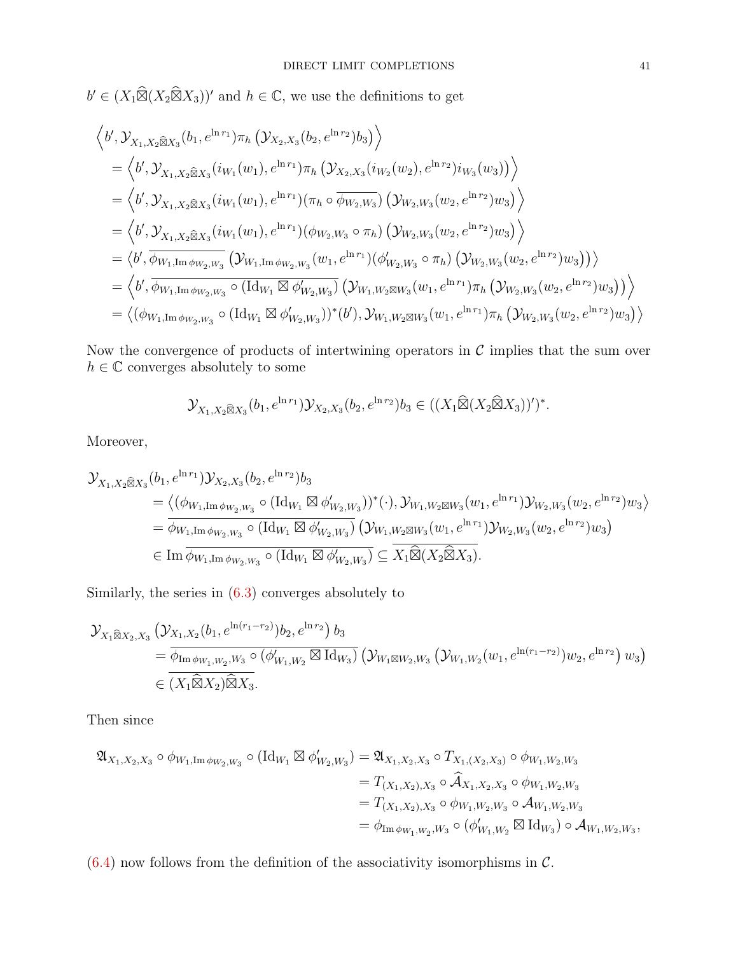$b' \in (X_1 \widehat{\boxtimes} (X_2 \widehat{\boxtimes} X_3))^{\prime}$  and  $h \in \mathbb{C}$ , we use the definitions to get

$$
\langle b', \mathcal{Y}_{X_1, X_2 \otimes X_3}(b_1, e^{\ln r_1}) \pi_h \left( \mathcal{Y}_{X_2, X_3}(b_2, e^{\ln r_2}) b_3 \right) \rangle
$$
  
\n
$$
= \langle b', \mathcal{Y}_{X_1, X_2 \otimes X_3}(i_{W_1}(w_1), e^{\ln r_1}) \pi_h \left( \mathcal{Y}_{X_2, X_3}(i_{W_2}(w_2), e^{\ln r_2}) i_{W_3}(w_3) \right) \rangle
$$
  
\n
$$
= \langle b', \mathcal{Y}_{X_1, X_2 \otimes X_3}(i_{W_1}(w_1), e^{\ln r_1}) (\pi_h \circ \overline{\phi_{W_2, W_3}}) \left( \mathcal{Y}_{W_2, W_3}(w_2, e^{\ln r_2}) w_3 \right) \rangle
$$
  
\n
$$
= \langle b', \mathcal{Y}_{X_1, X_2 \otimes X_3}(i_{W_1}(w_1), e^{\ln r_1}) (\phi_{W_2, W_3} \circ \pi_h) \left( \mathcal{Y}_{W_2, W_3}(w_2, e^{\ln r_2}) w_3 \right) \rangle
$$
  
\n
$$
= \langle b', \overline{\phi_{W_1, \text{Im} \phi_{W_2, W_3}}} \left( \mathcal{Y}_{W_1, \text{Im} \phi_{W_2, W_3}}(w_1, e^{\ln r_1}) (\phi'_{W_2, W_3} \circ \pi_h) \left( \mathcal{Y}_{W_2, W_3}(w_2, e^{\ln r_2}) w_3 \right) \right) \rangle
$$
  
\n
$$
= \langle b', \overline{\phi_{W_1, \text{Im} \phi_{W_2, W_3}}} \circ (\text{Id}_{W_1} \boxtimes \phi'_{W_2, W_3}) \left( \mathcal{Y}_{W_1, W_2 \boxtimes W_3}(w_1, e^{\ln r_1}) \pi_h \left( \mathcal{Y}_{W_2, W_3}(w_2, e^{\ln r_2}) w_3 \right) \right) \rangle
$$
  
\n
$$
= \langle (\phi_{W_1, \text{Im} \phi_{W_2, W_3}} \circ (\text{Id}_{W_1} \boxtimes \phi'_{W_2, W_3}))^
$$

Now the convergence of products of intertwining operators in  $C$  implies that the sum over  $h\in\mathbb{C}$  converges absolutely to some

$$
\mathcal{Y}_{X_1, X_2\widehat{\boxtimes} X_3}(b_1, e^{\ln r_1}) \mathcal{Y}_{X_2, X_3}(b_2, e^{\ln r_2}) b_3 \in ((X_1\widehat{\boxtimes} (X_2\widehat{\boxtimes} X_3)))')^*.
$$

Moreover,

$$
\mathcal{Y}_{X_1, X_2 \widehat{\boxtimes} X_3}(b_1, e^{\ln r_1}) \mathcal{Y}_{X_2, X_3}(b_2, e^{\ln r_2}) b_3
$$
\n
$$
= \langle (\phi_{W_1, \text{Im}\,\phi_{W_2, W_3}} \circ (\text{Id}_{W_1} \boxtimes \phi'_{W_2, W_3}))^*(\cdot), \mathcal{Y}_{W_1, W_2 \boxtimes W_3}(w_1, e^{\ln r_1}) \mathcal{Y}_{W_2, W_3}(w_2, e^{\ln r_2}) w_3 \rangle
$$
\n
$$
= \overline{\phi_{W_1, \text{Im}\,\phi_{W_2, W_3}}} \circ (\text{Id}_{W_1} \boxtimes \phi'_{W_2, W_3}) (\mathcal{Y}_{W_1, W_2 \boxtimes W_3}(w_1, e^{\ln r_1}) \mathcal{Y}_{W_2, W_3}(w_2, e^{\ln r_2}) w_3)
$$
\n
$$
\in \text{Im}\,\overline{\phi_{W_1, \text{Im}\,\phi_{W_2, W_3}}} \circ (\text{Id}_{W_1} \boxtimes \phi'_{W_2, W_3}) \subseteq \overline{X_1} \widehat{\boxtimes} (\overline{X_2} \widehat{\boxtimes} \overline{X_3}).
$$

Similarly, the series in [\(6.3\)](#page-38-0) converges absolutely to

$$
\mathcal{Y}_{X_1 \widehat{\boxtimes} X_2, X_3} \left( \mathcal{Y}_{X_1, X_2} (b_1, e^{\ln(r_1 - r_2)}) b_2, e^{\ln r_2} \right) b_3
$$
\n
$$
= \overline{\phi_{\text{Im} \phi_{W_1, W_2}, W_3} \circ (\phi'_{W_1, W_2} \boxtimes \text{Id}_{W_3})} \left( \mathcal{Y}_{W_1 \boxtimes W_2, W_3} \left( \mathcal{Y}_{W_1, W_2} (w_1, e^{\ln(r_1 - r_2)}) w_2, e^{\ln r_2} \right) w_3 \right)
$$
\n
$$
\in \overline{(X_1 \widehat{\boxtimes} X_2) \widehat{\boxtimes} X_3}.
$$

Then since

$$
\begin{split} \mathfrak{A}_{X_1,X_2,X_3} \circ \phi_{W_1,\operatorname{Im} \phi_{W_2,W_3}} \circ (\operatorname{Id}_{W_1} \boxtimes \phi'_{W_2,W_3}) &= \mathfrak{A}_{X_1,X_2,X_3} \circ T_{X_1,(X_2,X_3)} \circ \phi_{W_1,W_2,W_3} \\ &= T_{(X_1,X_2),X_3} \circ \widehat{\mathcal{A}}_{X_1,X_2,X_3} \circ \phi_{W_1,W_2,W_3} \\ &= T_{(X_1,X_2),X_3} \circ \phi_{W_1,W_2,W_3} \circ \mathcal{A}_{W_1,W_2,W_3} \\ &= \phi_{\operatorname{Im} \phi_{W_1,W_2},W_3} \circ (\phi'_{W_1,W_2} \boxtimes \operatorname{Id}_{W_3}) \circ \mathcal{A}_{W_1,W_2,W_3}, \end{split}
$$

 $(6.4)$  now follows from the definition of the associativity isomorphisms in C.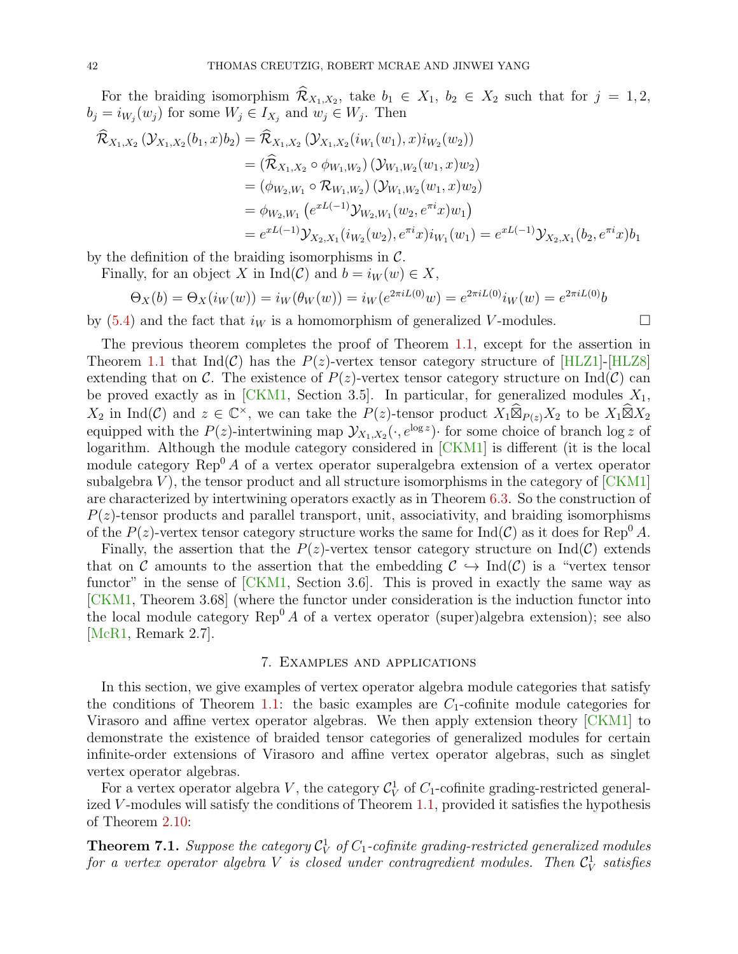For the braiding isomorphism  $\mathcal{R}_{X_1,X_2}$ , take  $b_1 \in X_1$ ,  $b_2 \in X_2$  such that for  $j = 1,2$ ,  $b_j = i_{W_j}(w_j)$  for some  $W_j \in I_{X_j}$  and  $w_j \in W_j$ . Then

$$
\mathcal{R}_{X_1,X_2}(\mathcal{Y}_{X_1,X_2}(b_1,x)b_2) = \mathcal{R}_{X_1,X_2}(\mathcal{Y}_{X_1,X_2}(i_{W_1}(w_1),x)i_{W_2}(w_2))
$$
  
\n
$$
= (\widehat{\mathcal{R}}_{X_1,X_2} \circ \phi_{W_1,W_2})(\mathcal{Y}_{W_1,W_2}(w_1,x)w_2)
$$
  
\n
$$
= (\phi_{W_2,W_1} \circ \mathcal{R}_{W_1,W_2})(\mathcal{Y}_{W_1,W_2}(w_1,x)w_2)
$$
  
\n
$$
= \phi_{W_2,W_1}(e^{xL(-1)}\mathcal{Y}_{W_2,W_1}(w_2,e^{\pi i}x)w_1)
$$
  
\n
$$
= e^{xL(-1)}\mathcal{Y}_{X_2,X_1}(i_{W_2}(w_2),e^{\pi i}x)i_{W_1}(w_1) = e^{xL(-1)}\mathcal{Y}_{X_2,X_1}(b_2,e^{\pi i}x)b_1
$$

by the definition of the braiding isomorphisms in  $\mathcal{C}$ .

Finally, for an object X in Ind(C) and  $b = i_W(w) \in X$ ,

$$
\Theta_X(b) = \Theta_X(i_W(w)) = i_W(\theta_W(w)) = i_W(e^{2\pi i L(0)}w) = e^{2\pi i L(0)}i_W(w) = e^{2\pi i L(0)}b
$$

by [\(5.4\)](#page-26-1) and the fact that  $i_W$  is a homomorphism of generalized V-modules.

The previous theorem completes the proof of Theorem [1.1,](#page-1-0) except for the assertion in Theorem [1.1](#page-1-0) that Ind(C) has the  $P(z)$ -vertex tensor category structure of [\[HLZ1\]](#page-49-1)-[\[HLZ8\]](#page-50-0) extending that on C. The existence of  $P(z)$ -vertex tensor category structure on  $\text{Ind}(\mathcal{C})$  can be proved exactly as in [\[CKM1,](#page-49-4) Section 3.5]. In particular, for generalized modules  $X_1$ ,  $X_2$  in Ind(C) and  $z \in \mathbb{C}^\times$ , we can take the  $P(z)$ -tensor product  $X_1 \widehat{\boxtimes}_{P(z)} X_2$  to be  $X_1 \widehat{\boxtimes} X_2$ equipped with the  $P(z)$ -intertwining map  $\mathcal{Y}_{X_1,X_2}(\cdot, e^{\log z})$  for some choice of branch  $\log z$  of logarithm. Although the module category considered in [\[CKM1\]](#page-49-4) is different (it is the local module category  $\text{Rep}^0 A$  of a vertex operator superalgebra extension of a vertex operator subalgebra  $V$ ), the tensor product and all structure isomorphisms in the category of  $[CKM1]$ are characterized by intertwining operators exactly as in Theorem [6.3.](#page-38-2) So the construction of  $P(z)$ -tensor products and parallel transport, unit, associativity, and braiding isomorphisms of the  $P(z)$ -vertex tensor category structure works the same for  $\text{Ind}(\mathcal{C})$  as it does for Rep<sup>0</sup> A.

Finally, the assertion that the  $P(z)$ -vertex tensor category structure on Ind(C) extends that on C amounts to the assertion that the embedding  $C \hookrightarrow \text{Ind}(\mathcal{C})$  is a "vertex tensor functor" in the sense of [\[CKM1,](#page-49-4) Section 3.6]. This is proved in exactly the same way as [\[CKM1,](#page-49-4) Theorem 3.68] (where the functor under consideration is the induction functor into the local module category  $\text{Rep}^0 A$  of a vertex operator (super)algebra extension); see also [\[McR1,](#page-50-4) Remark 2.7].

# 7. Examples and applications

<span id="page-41-0"></span>In this section, we give examples of vertex operator algebra module categories that satisfy the conditions of Theorem [1.1:](#page-1-0) the basic examples are  $C_1$ -cofinite module categories for Virasoro and affine vertex operator algebras. We then apply extension theory [\[CKM1\]](#page-49-4) to demonstrate the existence of braided tensor categories of generalized modules for certain infinite-order extensions of Virasoro and affine vertex operator algebras, such as singlet vertex operator algebras.

For a vertex operator algebra V, the category  $\mathcal{C}_V^1$  of  $C_1$ -cofinite grading-restricted general-ized V-modules will satisfy the conditions of Theorem [1.1,](#page-1-0) provided it satisfies the hypothesis of Theorem [2.10:](#page-8-2)

<span id="page-41-1"></span>**Theorem 7.1.** Suppose the category  $\mathcal{C}_V^1$  of  $C_1$ -cofinite grading-restricted generalized modules for a vertex operator algebra V is closed under contragredient modules. Then  $\mathcal{C}_{V}^{1}$  satisfies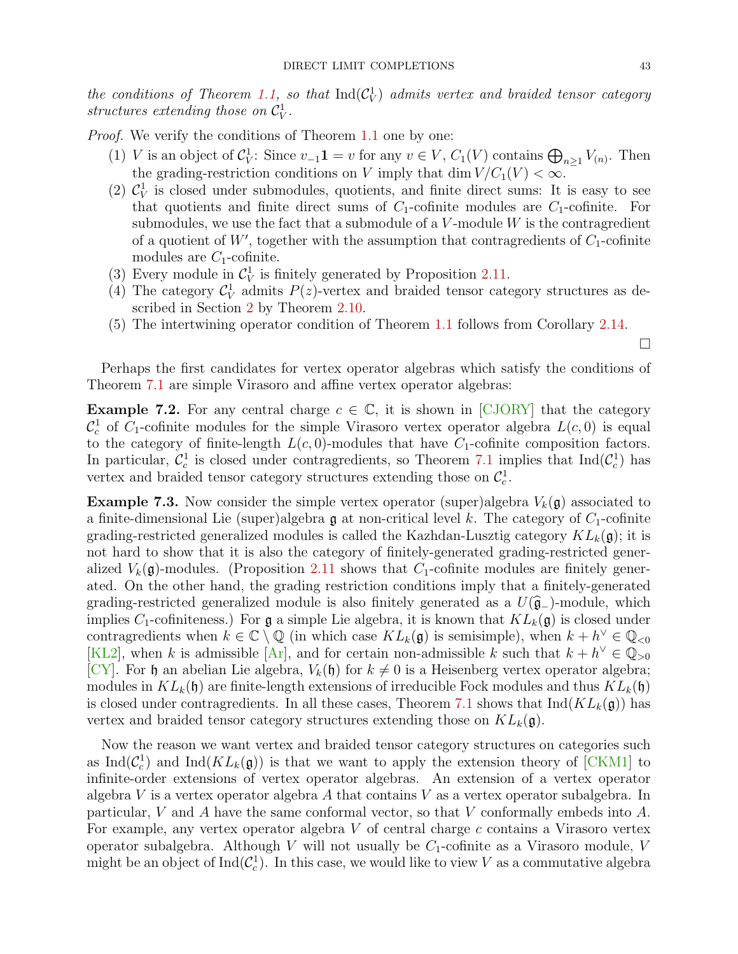$\Box$ 

the conditions of Theorem [1.1,](#page-1-0) so that  $\text{Ind}(\mathcal{C}_V^1)$  admits vertex and braided tensor category structures extending those on  $\mathcal{C}_V^1$ .

Proof. We verify the conditions of Theorem [1.1](#page-1-0) one by one:

- (1) V is an object of  $C_V^1$ : Since  $v_{-1}$ **1** = v for any  $v \in V$ ,  $C_1(V)$  contains  $\bigoplus_{n\geq 1} V_{(n)}$ . Then the grading-restriction conditions on V imply that dim  $V/C_1(V) < \infty$ .
- (2)  $\mathcal{C}_V^1$  is closed under submodules, quotients, and finite direct sums: It is easy to see that quotients and finite direct sums of  $C_1$ -cofinite modules are  $C_1$ -cofinite. For submodules, we use the fact that a submodule of a  $V$ -module  $W$  is the contragredient of a quotient of  $W'$ , together with the assumption that contragredients of  $C_1$ -cofinite modules are  $C_1$ -cofinite.
- (3) Every module in  $C_V^1$  is finitely generated by Proposition [2.11.](#page-8-1)
- (4) The category  $\mathcal{C}_V^1$  admits  $P(z)$ -vertex and braided tensor category structures as described in Section [2](#page-3-0) by Theorem [2.10.](#page-8-2)
- (5) The intertwining operator condition of Theorem [1.1](#page-1-0) follows from Corollary [2.14.](#page-11-3)

Perhaps the first candidates for vertex operator algebras which satisfy the conditions of Theorem [7.1](#page-41-1) are simple Virasoro and affine vertex operator algebras:

**Example 7.2.** For any central charge  $c \in \mathbb{C}$ , it is shown in [\[CJORY\]](#page-49-2) that the category  $\mathcal{C}_c^1$  of  $C_1$ -cofinite modules for the simple Virasoro vertex operator algebra  $L(c, 0)$  is equal to the category of finite-length  $L(c, 0)$ -modules that have  $C_1$ -cofinite composition factors. In particular,  $\mathcal{C}_c^1$  is closed under contragredients, so Theorem [7.1](#page-41-1) implies that  $\text{Ind}(\mathcal{C}_c^1)$  has vertex and braided tensor category structures extending those on  $\mathcal{C}_c^1$ .

**Example 7.3.** Now consider the simple vertex operator (super)algebra  $V_k(\mathfrak{g})$  associated to a finite-dimensional Lie (super)algebra  $\mathfrak g$  at non-critical level k. The category of  $C_1$ -cofinite grading-restricted generalized modules is called the Kazhdan-Lusztig category  $KL_k(\mathfrak{g})$ ; it is not hard to show that it is also the category of finitely-generated grading-restricted generalized  $V_k(\mathfrak{g})$ -modules. (Proposition [2.11](#page-8-1) shows that  $C_1$ -cofinite modules are finitely generated. On the other hand, the grading restriction conditions imply that a finitely-generated grading-restricted generalized module is also finitely generated as a  $U(\hat{\mathfrak{g}}_{-})$ -module, which implies C<sub>1</sub>-cofiniteness.) For  $\mathfrak g$  a simple Lie algebra, it is known that  $KL_k(\mathfrak g)$  is closed under contragredients when  $k \in \mathbb{C} \setminus \mathbb{Q}$  (in which case  $KL_k(\mathfrak{g})$  is semisimple), when  $k + h^{\vee} \in \mathbb{Q}_{< 0}$ [\[KL2\]](#page-50-5), when k is admissible  $[Ar]$ , and for certain non-admissible k such that  $k + h^{\vee} \in \mathbb{Q}_{>0}$ [\[CY\]](#page-49-7). For h an abelian Lie algebra,  $V_k(\mathfrak{h})$  for  $k \neq 0$  is a Heisenberg vertex operator algebra; modules in  $KL_k(\mathfrak{h})$  are finite-length extensions of irreducible Fock modules and thus  $KL_k(\mathfrak{h})$ is closed under contragredients. In all these cases, Theorem [7.1](#page-41-1) shows that  $\text{Ind}(KL_k(\mathfrak{g}))$  has vertex and braided tensor category structures extending those on  $KL_k(\mathfrak{g})$ .

Now the reason we want vertex and braided tensor category structures on categories such as  $\text{Ind}(\mathcal{C}_c^1)$  and  $\text{Ind}(KL_k(\mathfrak{g}))$  is that we want to apply the extension theory of [\[CKM1\]](#page-49-4) to infinite-order extensions of vertex operator algebras. An extension of a vertex operator algebra V is a vertex operator algebra A that contains V as a vertex operator subalgebra. In particular, V and A have the same conformal vector, so that V conformally embeds into A. For example, any vertex operator algebra V of central charge c contains a Virasoro vertex operator subalgebra. Although V will not usually be  $C_1$ -cofinite as a Virasoro module, V might be an object of  $\text{Ind}(\mathcal{C}_c^1)$ . In this case, we would like to view V as a commutative algebra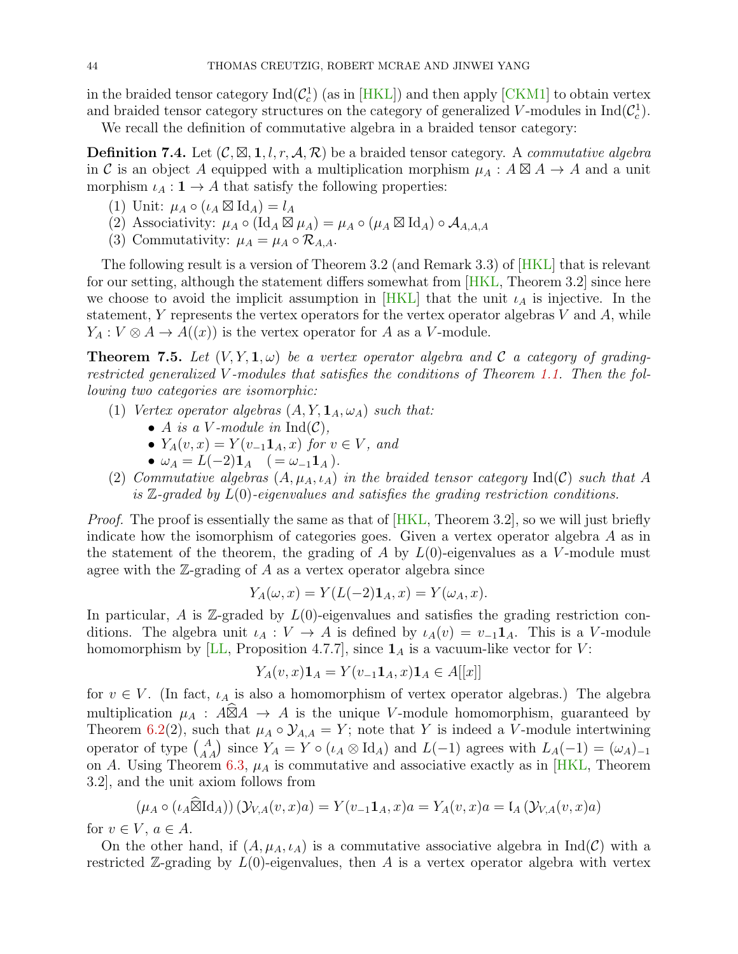in the braided tensor category  $\text{Ind}(\mathcal{C}_c^1)$  (as in [\[HKL\]](#page-49-3)) and then apply [\[CKM1\]](#page-49-4) to obtain vertex and braided tensor category structures on the category of generalized V-modules in  $\text{Ind}(\mathcal{C}_c^1)$ .

We recall the definition of commutative algebra in a braided tensor category:

**Definition 7.4.** Let  $(C, \boxtimes, 1, l, r, \mathcal{A}, \mathcal{R})$  be a braided tensor category. A commutative algebra in C is an object A equipped with a multiplication morphism  $\mu_A$ :  $A \boxtimes A \rightarrow A$  and a unit morphism  $\iota_A : \mathbf{1} \to A$  that satisfy the following properties:

- (1) Unit:  $\mu_A \circ (\iota_A \boxtimes \mathrm{Id}_A) = l_A$
- (2) Associativity:  $\mu_A \circ (\mathrm{Id}_A \boxtimes \mu_A) = \mu_A \circ (\mu_A \boxtimes \mathrm{Id}_A) \circ A_{A,A,A}$
- (3) Commutativity:  $\mu_A = \mu_A \circ \mathcal{R}_{A,A}$ .

The following result is a version of Theorem 3.2 (and Remark 3.3) of [\[HKL\]](#page-49-3) that is relevant for our setting, although the statement differs somewhat from  $[HKL, Theorem 3.2]$  $[HKL, Theorem 3.2]$  since here we choose to avoid the implicit assumption in [\[HKL\]](#page-49-3) that the unit  $\iota_A$  is injective. In the statement, Y represents the vertex operators for the vertex operator algebras  $V$  and  $A$ , while  $Y_A: V \otimes A \to A((x))$  is the vertex operator for A as a V-module.

<span id="page-43-0"></span>**Theorem 7.5.** Let  $(V, Y, 1, \omega)$  be a vertex operator algebra and C a category of gradingrestricted generalized V -modules that satisfies the conditions of Theorem [1.1.](#page-1-0) Then the following two categories are isomorphic:

- (1) Vertex operator algebras  $(A, Y, \mathbf{1}_A, \omega_A)$  such that:
	- A is a V-module in  $\mathrm{Ind}(\mathcal{C}),$
	- $Y_A(v, x) = Y(v_{-1}\mathbf{1}_A, x)$  for  $v \in V$ , and
	- $\omega_A = L(-2) \mathbf{1}_A$   $( = \omega_{-1} \mathbf{1}_A).$
- (2) Commutative algebras  $(A, \mu_A, \iota_A)$  in the braided tensor category Ind(C) such that A is  $\mathbb{Z}$ -graded by  $L(0)$ -eigenvalues and satisfies the grading restriction conditions.

*Proof.* The proof is essentially the same as that of  $[HKL, Theorem 3.2]$  $[HKL, Theorem 3.2]$ , so we will just briefly indicate how the isomorphism of categories goes. Given a vertex operator algebra A as in the statement of the theorem, the grading of A by  $L(0)$ -eigenvalues as a V-module must agree with the  $\mathbb{Z}$ -grading of A as a vertex operator algebra since

$$
Y_A(\omega, x) = Y(L(-2)\mathbf{1}_A, x) = Y(\omega_A, x).
$$

In particular, A is  $\mathbb{Z}$ -graded by  $L(0)$ -eigenvalues and satisfies the grading restriction conditions. The algebra unit  $\iota_A : V \to A$  is defined by  $\iota_A(v) = v_{-1}1_A$ . This is a V-module homomorphism by [\[LL,](#page-50-2) Proposition 4.7.7], since  $\mathbf{1}_A$  is a vacuum-like vector for V:

$$
Y_A(v,x)\mathbf{1}_A = Y(v_{-1}\mathbf{1}_A, x)\mathbf{1}_A \in A[[x]]
$$

for  $v \in V$ . (In fact,  $\iota_A$  is also a homomorphism of vertex operator algebras.) The algebra multiplication  $\mu_A : A\widehat{\boxtimes}A \to A$  is the unique V-module homomorphism, guaranteed by Theorem [6.2\(](#page-35-2)2), such that  $\mu_A \circ \mathcal{Y}_{A,A} = Y$ ; note that Y is indeed a V-module intertwining operator of type  $A_A$  since  $Y_A = Y \circ (\iota_A \otimes \mathrm{Id}_A)$  and  $L(-1)$  agrees with  $L_A(-1) = (\omega_A)_{-1}$ on A. Using Theorem [6.3,](#page-38-2)  $\mu_A$  is commutative and associative exactly as in [\[HKL,](#page-49-3) Theorem 3.2], and the unit axiom follows from

$$
(\mu_A \circ (\iota_A \widehat{\boxtimes} \mathrm{Id}_A)) (\mathcal{Y}_{V,A}(v,x)a) = Y(v_{-1}\mathbf{1}_A, x)a = Y_A(v,x)a = \mathfrak{l}_A (\mathcal{Y}_{V,A}(v,x)a)
$$

for  $v \in V$ ,  $a \in A$ .

On the other hand, if  $(A, \mu_A, \iota_A)$  is a commutative associative algebra in Ind(C) with a restricted  $\mathbb{Z}$ -grading by  $L(0)$ -eigenvalues, then A is a vertex operator algebra with vertex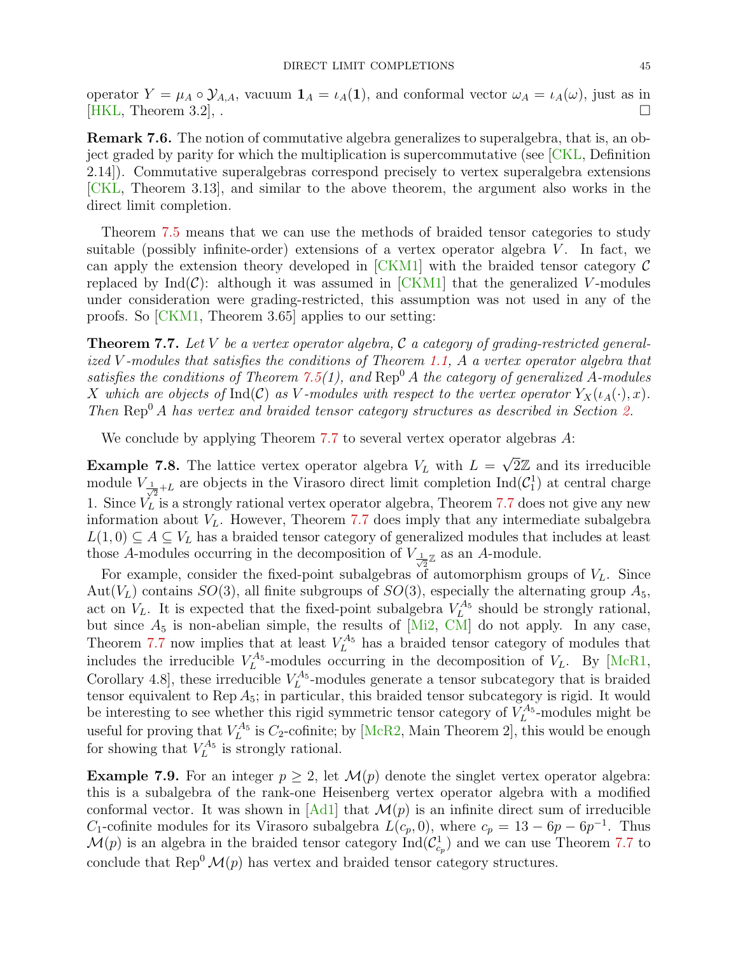operator  $Y = \mu_A \circ \mathcal{Y}_{A,A}$ , vacuum  $\mathbf{1}_A = \iota_A(\mathbf{1})$ , and conformal vector  $\omega_A = \iota_A(\omega)$ , just as in  $[HKL,$  Theorem 3.2,  $\Box$ 

Remark 7.6. The notion of commutative algebra generalizes to superalgebra, that is, an object graded by parity for which the multiplication is supercommutative (see [\[CKL,](#page-49-16) Definition 2.14]). Commutative superalgebras correspond precisely to vertex superalgebra extensions [\[CKL,](#page-49-16) Theorem 3.13], and similar to the above theorem, the argument also works in the direct limit completion.

Theorem [7.5](#page-43-0) means that we can use the methods of braided tensor categories to study suitable (possibly infinite-order) extensions of a vertex operator algebra  $V$ . In fact, we can apply the extension theory developed in  $[CKM1]$  with the braided tensor category  $\mathcal C$ replaced by  $\text{Ind}(\mathcal{C})$ : although it was assumed in  $\text{[CKM1]}$  $\text{[CKM1]}$  $\text{[CKM1]}$  that the generalized V-modules under consideration were grading-restricted, this assumption was not used in any of the proofs. So [\[CKM1,](#page-49-4) Theorem 3.65] applies to our setting:

<span id="page-44-0"></span>**Theorem 7.7.** Let V be a vertex operator algebra, C a category of grading-restricted generalized V -modules that satisfies the conditions of Theorem [1.1,](#page-1-0) A a vertex operator algebra that satisfies the conditions of Theorem [7.5\(](#page-43-0)1), and  $\text{Rep}^0 A$  the category of generalized A-modules X which are objects of Ind(C) as V-modules with respect to the vertex operator  $Y_X(\iota_A(\cdot), x)$ . Then  $\text{Rep}^0 A$  has vertex and braided tensor category structures as described in Section [2.](#page-3-0)

We conclude by applying Theorem [7.7](#page-44-0) to several vertex operator algebras A:

**Example 7.8.** The lattice vertex operator algebra  $V_L$  with  $L =$  $\sqrt{2}\mathbb{Z}$  and its irreducible module  $V_{\frac{1}{\sqrt{2}}+L}$  are objects in the Virasoro direct limit completion  $\text{Ind}(\mathcal{C}_1^1)$  at central charge 1. Since  $\hat{V}_L$  is a strongly rational vertex operator algebra, Theorem [7.7](#page-44-0) does not give any new information about  $V_L$ . However, Theorem [7.7](#page-44-0) does imply that any intermediate subalgebra  $L(1,0) \subseteq A \subseteq V_L$  has a braided tensor category of generalized modules that includes at least those A-modules occurring in the decomposition of  $V_{\frac{1}{\sqrt{2}}\mathbb{Z}}$  as an A-module.

For example, consider the fixed-point subalgebras of automorphism groups of  $V<sub>L</sub>$ . Since Aut( $V_L$ ) contains  $SO(3)$ , all finite subgroups of  $SO(3)$ , especially the alternating group  $A_5$ , act on  $V_L$ . It is expected that the fixed-point subalgebra  $V_L^{A_5}$  should be strongly rational, but since  $A_5$  is non-abelian simple, the results of  $[Mi2, CM]$  $[Mi2, CM]$  $[Mi2, CM]$  do not apply. In any case, Theorem [7.7](#page-44-0) now implies that at least  $V_L^{A_5}$  has a braided tensor category of modules that includes the irreducible  $V_L^{A_5}$ -modules occurring in the decomposition of  $V_L$ . By [\[McR1,](#page-50-4) Corollary 4.8, these irreducible  $V_L^{A_5}$ -modules generate a tensor subcategory that is braided tensor equivalent to Rep  $A_5$ ; in particular, this braided tensor subcategory is rigid. It would be interesting to see whether this rigid symmetric tensor category of  $V_L^{A_5}$ -modules might be L useful for proving that  $V_L^{A_5}$  is  $C_2$ -cofinite; by [\[McR2,](#page-50-7) Main Theorem 2], this would be enough for showing that  $V_L^{A_5}$  is strongly rational.

**Example 7.9.** For an integer  $p \geq 2$ , let  $\mathcal{M}(p)$  denote the singlet vertex operator algebra: this is a subalgebra of the rank-one Heisenberg vertex operator algebra with a modified conformal vector. It was shown in [\[Ad1\]](#page-48-1) that  $\mathcal{M}(p)$  is an infinite direct sum of irreducible C<sub>1</sub>-cofinite modules for its Virasoro subalgebra  $L(c_p, 0)$ , where  $c_p = 13 - 6p - 6p^{-1}$ . Thus  $\mathcal{M}(p)$  is an algebra in the braided tensor category  $\text{Ind}(\mathcal{C}_{c_p}^1)$  and we can use Theorem [7.7](#page-44-0) to conclude that  $\text{Rep}^0 \mathcal{M}(p)$  has vertex and braided tensor category structures.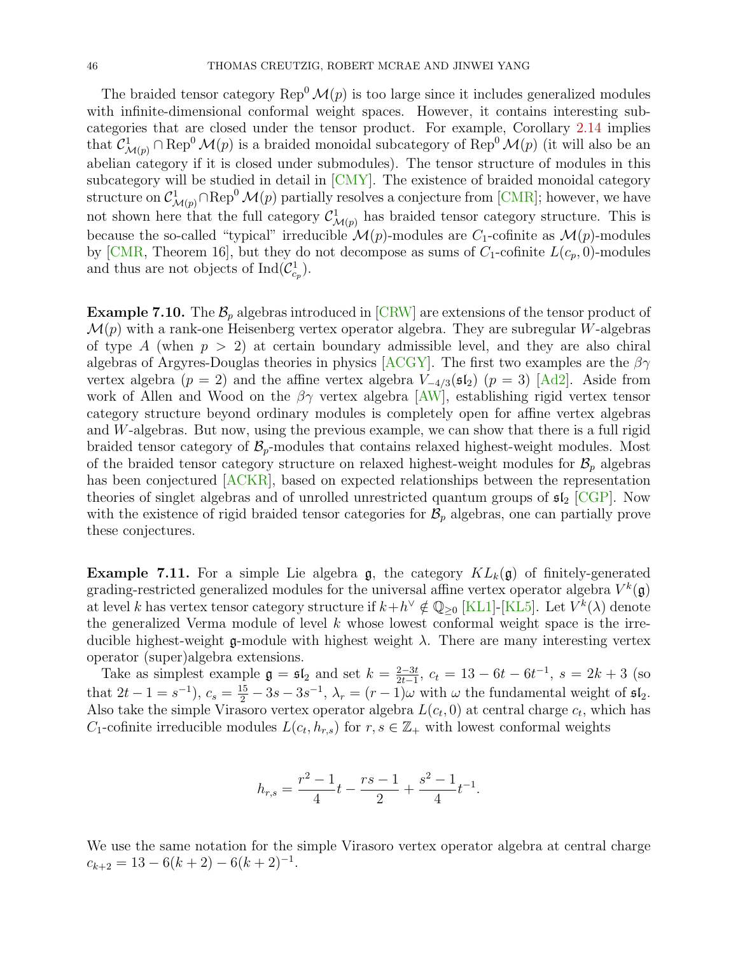The braided tensor category  $\text{Rep}^0 \mathcal{M}(p)$  is too large since it includes generalized modules with infinite-dimensional conformal weight spaces. However, it contains interesting subcategories that are closed under the tensor product. For example, Corollary [2.14](#page-11-3) implies that  $\mathcal{C}^1_{\mathcal{M}(p)} \cap \text{Rep}^0 \mathcal{M}(p)$  is a braided monoidal subcategory of  $\text{Rep}^0 \mathcal{M}(p)$  (it will also be an abelian category if it is closed under submodules). The tensor structure of modules in this subcategory will be studied in detail in [\[CMY\]](#page-49-9). The existence of braided monoidal category structure on  $\mathcal{C}^1_{\mathcal{M}(p)} \cap {\rm Rep}^0 \, \mathcal{M}(p)$  partially resolves a conjecture from [\[CMR\]](#page-49-17); however, we have not shown here that the full category  $\mathcal{C}^1_{\mathcal{M}(p)}$  has braided tensor category structure. This is because the so-called "typical" irreducible  $\mathcal{M}(p)$ -modules are  $C_1$ -cofinite as  $\mathcal{M}(p)$ -modules by [\[CMR,](#page-49-17) Theorem 16], but they do not decompose as sums of  $C_1$ -cofinite  $L(c_p, 0)$ -modules and thus are not objects of  $\text{Ind}(\mathcal{C}_{c_p}^1)$ .

**Example 7.10.** The  $\mathcal{B}_p$  algebras introduced in [\[CRW\]](#page-49-18) are extensions of the tensor product of  $\mathcal{M}(p)$  with a rank-one Heisenberg vertex operator algebra. They are subregular W-algebras of type A (when  $p > 2$ ) at certain boundary admissible level, and they are also chiral algebras of Argyres-Douglas theories in physics [\[ACGY\]](#page-48-8). The first two examples are the  $\beta\gamma$ vertex algebra ( $p = 2$ ) and the affine vertex algebra  $V_{-4/3}(sI_2)$  ( $p = 3$ ) [\[Ad2\]](#page-48-9). Aside from work of Allen and Wood on the  $\beta\gamma$  vertex algebra [\[AW\]](#page-48-3), establishing rigid vertex tensor category structure beyond ordinary modules is completely open for affine vertex algebras and W-algebras. But now, using the previous example, we can show that there is a full rigid braided tensor category of  $\mathcal{B}_p$ -modules that contains relaxed highest-weight modules. Most of the braided tensor category structure on relaxed highest-weight modules for  $\mathcal{B}_p$  algebras has been conjectured [\[ACKR\]](#page-48-10), based on expected relationships between the representation theories of singlet algebras and of unrolled unrestricted quantum groups of  $\mathfrak{sl}_2$  [\[CGP\]](#page-48-11). Now with the existence of rigid braided tensor categories for  $\mathcal{B}_p$  algebras, one can partially prove these conjectures.

<span id="page-45-0"></span>**Example 7.11.** For a simple Lie algebra  $\mathfrak{g}$ , the category  $KL_k(\mathfrak{g})$  of finitely-generated grading-restricted generalized modules for the universal affine vertex operator algebra  $V^k(\mathfrak{g})$ at level k has vertex tensor category structure if  $k + h^{\vee} \notin \mathbb{Q}_{\geq 0}$  [\[KL1\]](#page-50-8)-[\[KL5\]](#page-50-9). Let  $V^k(\lambda)$  denote the generalized Verma module of level  $k$  whose lowest conformal weight space is the irreducible highest-weight g-module with highest weight  $\lambda$ . There are many interesting vertex operator (super)algebra extensions.

Take as simplest example  $\mathfrak{g} = \mathfrak{sl}_2$  and set  $k = \frac{2-3t}{2t-1}$  $\frac{2-3t}{2t-1}$ ,  $c_t = 13 - 6t - 6t^{-1}$ ,  $s = 2k + 3$  (so that  $2t - 1 = s^{-1}$ ,  $c_s = \frac{15}{2} - 3s - 3s^{-1}$ ,  $\lambda_r = (r - 1)\omega$  with  $\omega$  the fundamental weight of  $\mathfrak{sl}_2$ . Also take the simple Virasoro vertex operator algebra  $L(c_t, 0)$  at central charge  $c_t$ , which has C<sub>1</sub>-cofinite irreducible modules  $L(c_t, h_{r,s})$  for  $r, s \in \mathbb{Z}_+$  with lowest conformal weights

$$
h_{r,s} = \frac{r^2 - 1}{4}t - \frac{rs - 1}{2} + \frac{s^2 - 1}{4}t^{-1}.
$$

We use the same notation for the simple Virasoro vertex operator algebra at central charge  $c_{k+2} = 13 - 6(k+2) - 6(k+2)^{-1}.$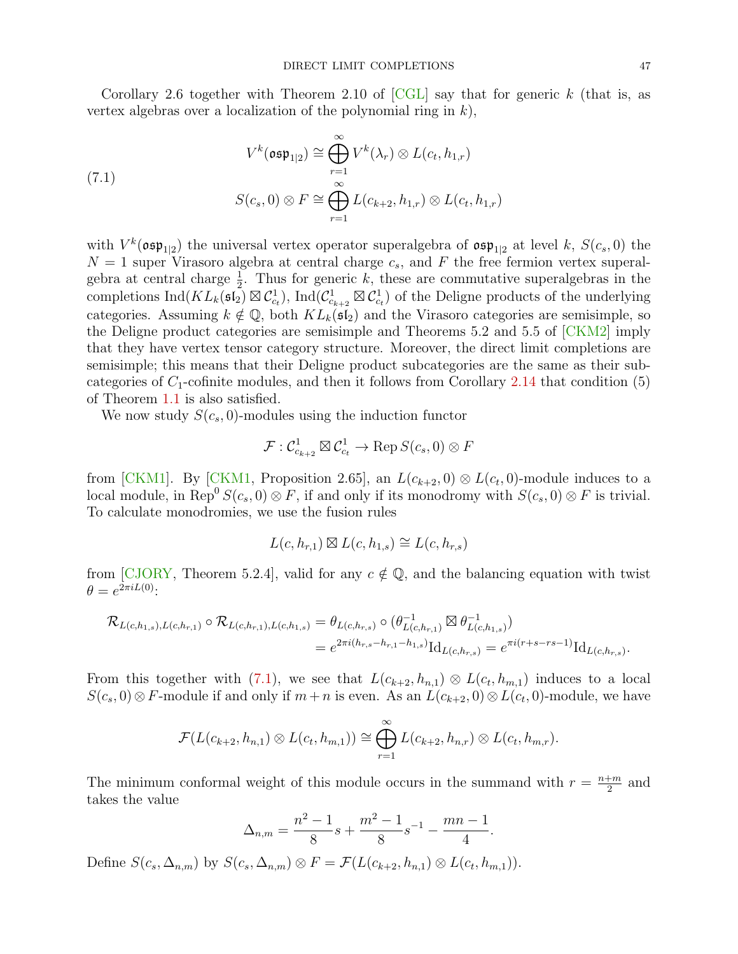Corollary 2.6 together with Theorem 2.10 of  $\overline{CGL}$  say that for generic k (that is, as vertex algebras over a localization of the polynomial ring in  $k$ ),

<span id="page-46-0"></span>(7.1)  

$$
V^k(\mathfrak{osp}_{1|2}) \cong \bigoplus_{r=1}^{\infty} V^k(\lambda_r) \otimes L(c_t, h_{1,r})
$$

$$
S(c_s, 0) \otimes F \cong \bigoplus_{r=1}^{\infty} L(c_{k+2}, h_{1,r}) \otimes L(c_t, h_{1,r})
$$

with  $V^k(\mathfrak{osp}_{1|2})$  the universal vertex operator superalgebra of  $\mathfrak{osp}_{1|2}$  at level k,  $S(c_s, 0)$  the  $N = 1$  super Virasoro algebra at central charge  $c_s$ , and F the free fermion vertex superalgebra at central charge  $\frac{1}{2}$ . Thus for generic k, these are commutative superalgebras in the completions  $\text{Ind}(KL_k(\mathfrak{sl}_2) \boxtimes \mathcal{C}_{c_t}^1)$ ,  $\text{Ind}(\mathcal{C}_{c_{k+2}}^1 \boxtimes \mathcal{C}_{c_t}^1)$  of the Deligne products of the underlying categories. Assuming  $k \notin \mathbb{Q}$ , both  $KL_k(\mathfrak{sl}_2)$  and the Virasoro categories are semisimple, so the Deligne product categories are semisimple and Theorems 5.2 and 5.5 of [\[CKM2\]](#page-49-19) imply that they have vertex tensor category structure. Moreover, the direct limit completions are semisimple; this means that their Deligne product subcategories are the same as their subcategories of  $C_1$ -cofinite modules, and then it follows from Corollary [2.14](#page-11-3) that condition (5) of Theorem [1.1](#page-1-0) is also satisfied.

We now study  $S(c_s, 0)$ -modules using the induction functor

$$
\mathcal{F}: \mathcal{C}^1_{c_{k+2}} \boxtimes \mathcal{C}^1_{c_t} \to \text{Rep } S(c_s,0) \otimes F
$$

from [\[CKM1\]](#page-49-4). By [\[CKM1,](#page-49-4) Proposition 2.65], an  $L(c_{k+2},0) \otimes L(c_t,0)$ -module induces to a local module, in Rep<sup>0</sup>  $S(c_s, 0) \otimes F$ , if and only if its monodromy with  $S(c_s, 0) \otimes F$  is trivial. To calculate monodromies, we use the fusion rules

$$
L(c, h_{r,1}) \boxtimes L(c, h_{1,s}) \cong L(c, h_{r,s})
$$

from [\[CJORY,](#page-49-2) Theorem 5.2.4], valid for any  $c \notin \mathbb{Q}$ , and the balancing equation with twist  $\theta = e^{2\pi i L(0)}$ :

$$
\mathcal{R}_{L(c,h_{1,s}),L(c,h_{r,1})} \circ \mathcal{R}_{L(c,h_{r,1}),L(c,h_{1,s})} = \theta_{L(c,h_{r,s})} \circ (\theta_{L(c,h_{r,1})}^{-1} \boxtimes \theta_{L(c,h_{1,s})}^{-1})
$$
  
=  $e^{2\pi i (h_{r,s} - h_{r,1} - h_{1,s})} \mathrm{Id}_{L(c,h_{r,s})} = e^{\pi i (r+s-rs-1)} \mathrm{Id}_{L(c,h_{r,s})}.$ 

From this together with [\(7.1\)](#page-46-0), we see that  $L(c_{k+2}, h_{n,1}) \otimes L(c_t, h_{m,1})$  induces to a local  $S(c_s, 0) \otimes F$ -module if and only if  $m + n$  is even. As an  $L(c_{k+2}, 0) \otimes L(c_t, 0)$ -module, we have

$$
\mathcal{F}(L(c_{k+2},h_{n,1})\otimes L(c_t,h_{m,1}))\cong \bigoplus_{r=1}^{\infty}L(c_{k+2},h_{n,r})\otimes L(c_t,h_{m,r}).
$$

The minimum conformal weight of this module occurs in the summand with  $r = \frac{n+m}{2}$  $rac{+m}{2}$  and takes the value

$$
\Delta_{n,m} = \frac{n^2 - 1}{8}s + \frac{m^2 - 1}{8}s^{-1} - \frac{mn - 1}{4}.
$$

Define  $S(c_s, \Delta_{n,m})$  by  $S(c_s, \Delta_{n,m}) \otimes F = \mathcal{F}(L(c_{k+2}, h_{n,1}) \otimes L(c_t, h_{m,1})).$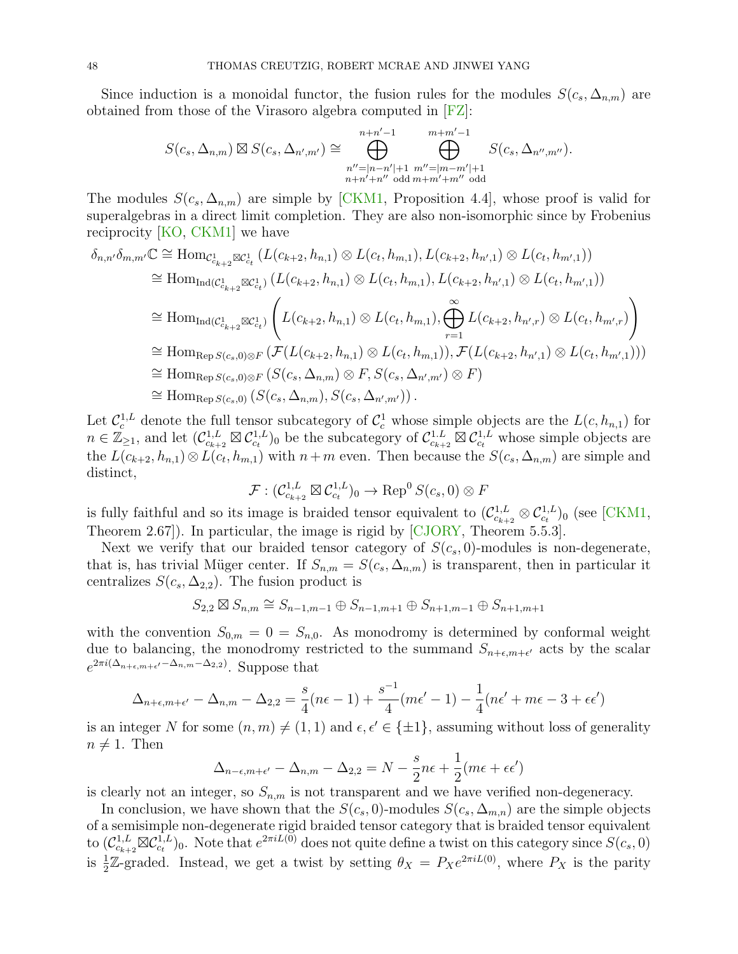Since induction is a monoidal functor, the fusion rules for the modules  $S(c_s, \Delta_{n,m})$  are obtained from those of the Virasoro algebra computed in [\[FZ\]](#page-49-20):

$$
S(c_s, \Delta_{n,m}) \boxtimes S(c_s, \Delta_{n',m'}) \cong \bigoplus_{\substack{n''=|n-n'|+1 \\ n+n'+n'' \text{ odd }m+m'+m'' \text{ odd}}}^{n+n'-1} S(c_s, \Delta_{n'',m''}).
$$

The modules  $S(c_s, \Delta_{n,m})$  are simple by [\[CKM1,](#page-49-4) Proposition 4.4], whose proof is valid for superalgebras in a direct limit completion. They are also non-isomorphic since by Frobenius reciprocity [\[KO,](#page-50-10) [CKM1\]](#page-49-4) we have

$$
\delta_{n,n'}\delta_{m,m'}\mathbb{C} \cong \text{Hom}_{\mathcal{C}_{c_{k+2}}^1 \boxtimes \mathcal{C}_{c_t}^1} (L(c_{k+2}, h_{n,1}) \otimes L(c_t, h_{m,1}), L(c_{k+2}, h_{n',1}) \otimes L(c_t, h_{m',1}))
$$
  
\n
$$
\cong \text{Hom}_{\text{Ind}(\mathcal{C}_{c_{k+2}}^1 \boxtimes \mathcal{C}_{c_t}^1)} (L(c_{k+2}, h_{n,1}) \otimes L(c_t, h_{m,1}), L(c_{k+2}, h_{n',1}) \otimes L(c_t, h_{m',1}))
$$
  
\n
$$
\cong \text{Hom}_{\text{Ind}(\mathcal{C}_{c_{k+2}}^1 \boxtimes \mathcal{C}_{c_t}^1)} \left( L(c_{k+2}, h_{n,1}) \otimes L(c_t, h_{m,1}), \bigoplus_{r=1}^{\infty} L(c_{k+2}, h_{n',r}) \otimes L(c_t, h_{m',r}) \right)
$$
  
\n
$$
\cong \text{Hom}_{\text{Rep }S(c_s, 0) \otimes F} (\mathcal{F}(L(c_{k+2}, h_{n,1}) \otimes L(c_t, h_{m,1})), \mathcal{F}(L(c_{k+2}, h_{n',1}) \otimes L(c_t, h_{m',1})))
$$
  
\n
$$
\cong \text{Hom}_{\text{Rep }S(c_s, 0) \otimes F} (S(c_s, \Delta_{n,m}) \otimes F, S(c_s, \Delta_{n',m'}) \otimes F)
$$
  
\n
$$
\cong \text{Hom}_{\text{Rep }S(c_s, 0)} (S(c_s, \Delta_{n,m}), S(c_s, \Delta_{n',m'}))).
$$

Let  $\mathcal{C}_c^{1,L}$  denote the full tensor subcategory of  $\mathcal{C}_c^1$  whose simple objects are the  $L(c, h_{n,1})$  for  $n \in \mathbb{Z}_{\geq 1}$ , and let  $(\mathcal{C}^{1, L}_{c_{k+2}} \boxtimes \mathcal{C}^{1, L}_{c_t})_0$  be the subcategory of  $\mathcal{C}^{1, L}_{c_{k+2}} \boxtimes \mathcal{C}^{1, L}_{c_t}$  whose simple objects are the  $L(c_{k+2}, h_{n,1}) \otimes L(c_t, h_{m,1})$  with  $n+m$  even. Then because the  $S(c_s, \Delta_{n,m})$  are simple and distinct,

$$
\mathcal{F}: (\mathcal{C}^{1, L}_{c_{k+2}} \boxtimes \mathcal{C}^{1, L}_{c_t})_0 \to \text{Rep}^0 S(c_s, 0) \otimes F
$$

is fully faithful and so its image is braided tensor equivalent to  $(\mathcal{C}_{c_{k+2}}^{1,L} \otimes \mathcal{C}_{c_t}^{1,L})_0$  (see [\[CKM1,](#page-49-4) Theorem 2.67]). In particular, the image is rigid by [\[CJORY,](#page-49-2) Theorem 5.5.3].

Next we verify that our braided tensor category of  $S(c_s, 0)$ -modules is non-degenerate, that is, has trivial Müger center. If  $S_{n,m} = S(c_s, \Delta_{n,m})$  is transparent, then in particular it centralizes  $S(c_s, \Delta_{2,2})$ . The fusion product is

$$
S_{2,2} \boxtimes S_{n,m} \cong S_{n-1,m-1} \oplus S_{n-1,m+1} \oplus S_{n+1,m-1} \oplus S_{n+1,m+1}
$$

with the convention  $S_{0,m} = 0 = S_{n,0}$ . As monodromy is determined by conformal weight due to balancing, the monodromy restricted to the summand  $S_{n+\epsilon,m+\epsilon'}$  acts by the scalar  $e^{2\pi i(\Delta_{n+\epsilon,m+\epsilon'}-\Delta_{n,m}-\Delta_{2,2})}$ . Suppose that

$$
\Delta_{n+\epsilon,m+\epsilon'} - \Delta_{n,m} - \Delta_{2,2} = \frac{s}{4}(n\epsilon - 1) + \frac{s^{-1}}{4}(m\epsilon' - 1) - \frac{1}{4}(n\epsilon' + m\epsilon - 3 + \epsilon\epsilon')
$$

is an integer N for some  $(n, m) \neq (1, 1)$  and  $\epsilon, \epsilon' \in \{\pm 1\}$ , assuming without loss of generality  $n \neq 1$ . Then

$$
\Delta_{n-\epsilon,m+\epsilon'} - \Delta_{n,m} - \Delta_{2,2} = N - \frac{s}{2}n\epsilon + \frac{1}{2}(m\epsilon + \epsilon\epsilon')
$$

is clearly not an integer, so  $S_{n,m}$  is not transparent and we have verified non-degeneracy.

In conclusion, we have shown that the  $S(c_s, 0)$ -modules  $S(c_s, \Delta_{m,n})$  are the simple objects of a semisimple non-degenerate rigid braided tensor category that is braided tensor equivalent to  $(\mathcal{C}_{c_{k+2}}^{1,L}\boxtimes \mathcal{C}_{c_t}^{1,L})_0$ . Note that  $e^{2\pi i L(0)}$  does not quite define a twist on this category since  $S(c_s, 0)$ is  $\frac{1}{2}\mathbb{Z}$ -graded. Instead, we get a twist by setting  $\theta_X = P_Xe^{2\pi iL(0)}$ , where  $P_X$  is the parity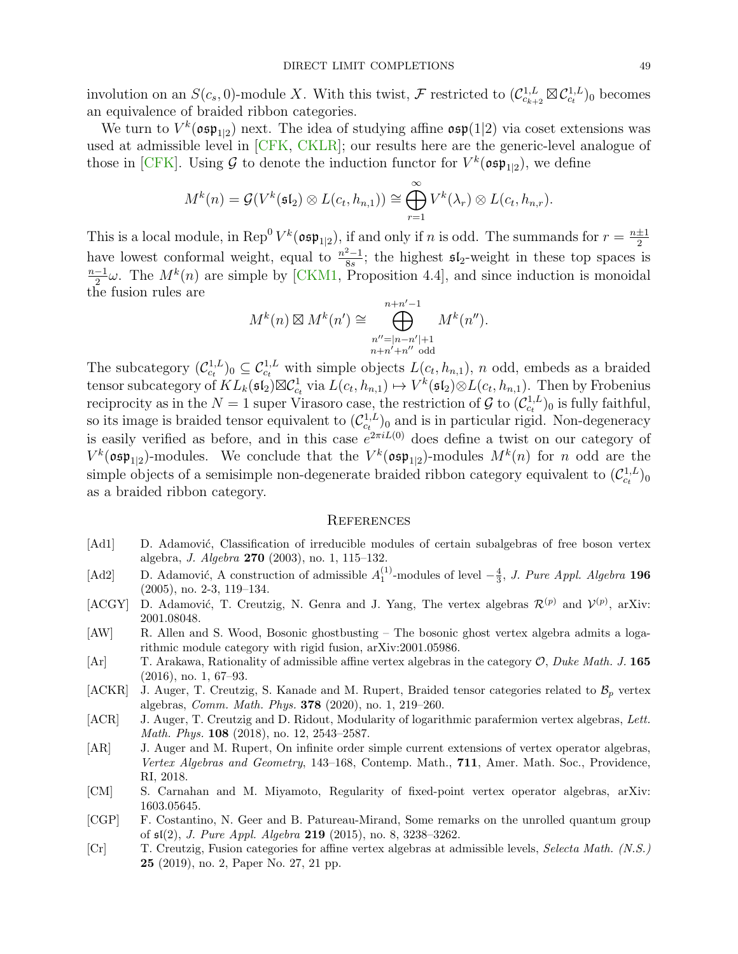involution on an  $S(c_s, 0)$ -module X. With this twist, F restricted to  $(\mathcal{C}_{c_{k+2}}^{1,L} \boxtimes \mathcal{C}_{c_t}^{1,L})_0$  becomes an equivalence of braided ribbon categories.

We turn to  $V^k(\mathfrak{osp}_{1|2})$  next. The idea of studying affine  $\mathfrak{osp}(1|2)$  via coset extensions was used at admissible level in [\[CFK,](#page-49-21) [CKLR\]](#page-49-22); our results here are the generic-level analogue of those in [\[CFK\]](#page-49-21). Using  $\mathcal G$  to denote the induction functor for  $V^k(\mathfrak{osp}_{1|2})$ , we define

$$
M^{k}(n) = \mathcal{G}(V^{k}(\mathfrak{sl}_{2}) \otimes L(c_{t}, h_{n,1})) \cong \bigoplus_{r=1}^{\infty} V^{k}(\lambda_{r}) \otimes L(c_{t}, h_{n,r}).
$$

This is a local module, in Rep<sup>0</sup>  $V^k(\mathfrak{osp}_{1|2})$ , if and only if n is odd. The summands for  $r = \frac{n+1}{2}$ 2 have lowest conformal weight, equal to  $\frac{n^2-1}{8c}$  $\frac{2-1}{8s}$ ; the highest  $\mathfrak{sl}_2$ -weight in these top spaces is n−1  $\frac{-1}{2}\omega$ . The  $M^k(n)$  are simple by [\[CKM1,](#page-49-4) Proposition 4.4], and since induction is monoidal the fusion rules are

$$
M^{k}(n) \boxtimes M^{k}(n') \cong \bigoplus_{\substack{n''=|n-n'|+1\\n+n'+n'' \text{ odd}}}^{n+n'-1} M^{k}(n'').
$$

The subcategory  $(C_{c_t}^{1,L})_0 \subseteq C_{c_t}^{1,L}$  with simple objects  $L(c_t, h_{n,1}), n$  odd, embeds as a braided tensor subcategory of  $KL_k(\mathfrak{sl}_2) \boxtimes \mathcal{C}^1_{c_t}$  via  $L(c_t, h_{n,1}) \mapsto V^k(\mathfrak{sl}_2) \otimes L(c_t, h_{n,1})$ . Then by Frobenius reciprocity as in the  $N=1$  super Virasoro case, the restriction of  $\mathcal G$  to  $(\mathcal C_{c_t}^{1,L})_0$  is fully faithful, so its image is braided tensor equivalent to  $(\mathcal{C}_{c_t}^{1,L})_0$  and is in particular rigid. Non-degeneracy is easily verified as before, and in this case  $e^{2\pi i L(0)}$  does define a twist on our category of  $V^k(\mathfrak{osp}_{1|2})$ -modules. We conclude that the  $V^k(\mathfrak{osp}_{1|2})$ -modules  $M^k(n)$  for n odd are the simple objects of a semisimple non-degenerate braided ribbon category equivalent to  $(\mathcal{C}_{c_t}^{1,L})_0$ as a braided ribbon category.

#### <span id="page-48-0"></span>**REFERENCES**

- <span id="page-48-1"></span>[Ad1] D. Adamović, Classification of irreducible modules of certain subalgebras of free boson vertex algebra, J. Algebra 270 (2003), no. 1, 115–132.
- <span id="page-48-9"></span>[Ad2] D. Adamović, A construction of admissible  $A_1^{(1)}$ -modules of level  $-\frac{4}{3}$ , J. Pure Appl. Algebra 196 (2005), no. 2-3, 119–134.
- <span id="page-48-8"></span>[ACGY] D. Adamović, T. Creutzig, N. Genra and J. Yang, The vertex algebras  $\mathcal{R}^{(p)}$  and  $\mathcal{V}^{(p)}$ , arXiv: 2001.08048.
- <span id="page-48-3"></span>[AW] R. Allen and S. Wood, Bosonic ghostbusting – The bosonic ghost vertex algebra admits a logarithmic module category with rigid fusion, arXiv:2001.05986.
- <span id="page-48-6"></span>[Ar] T. Arakawa, Rationality of admissible affine vertex algebras in the category O, Duke Math. J. 165 (2016), no. 1, 67–93.
- <span id="page-48-10"></span>[ACKR] J. Auger, T. Creutzig, S. Kanade and M. Rupert, Braided tensor categories related to  $\mathcal{B}_p$  vertex algebras, Comm. Math. Phys. 378 (2020), no. 1, 219–260.
- <span id="page-48-5"></span>[ACR] J. Auger, T. Creutzig and D. Ridout, Modularity of logarithmic parafermion vertex algebras, Lett. Math. Phys. 108 (2018), no. 12, 2543–2587.
- <span id="page-48-2"></span>[AR] J. Auger and M. Rupert, On infinite order simple current extensions of vertex operator algebras, Vertex Algebras and Geometry, 143–168, Contemp. Math., 711, Amer. Math. Soc., Providence, RI, 2018.
- <span id="page-48-7"></span>[CM] S. Carnahan and M. Miyamoto, Regularity of fixed-point vertex operator algebras, arXiv: 1603.05645.
- <span id="page-48-11"></span>[CGP] F. Costantino, N. Geer and B. Patureau-Mirand, Some remarks on the unrolled quantum group of sl(2), J. Pure Appl. Algebra 219 (2015), no. 8, 3238–3262.
- <span id="page-48-4"></span>[Cr] T. Creutzig, Fusion categories for affine vertex algebras at admissible levels, Selecta Math. (N.S.) 25 (2019), no. 2, Paper No. 27, 21 pp.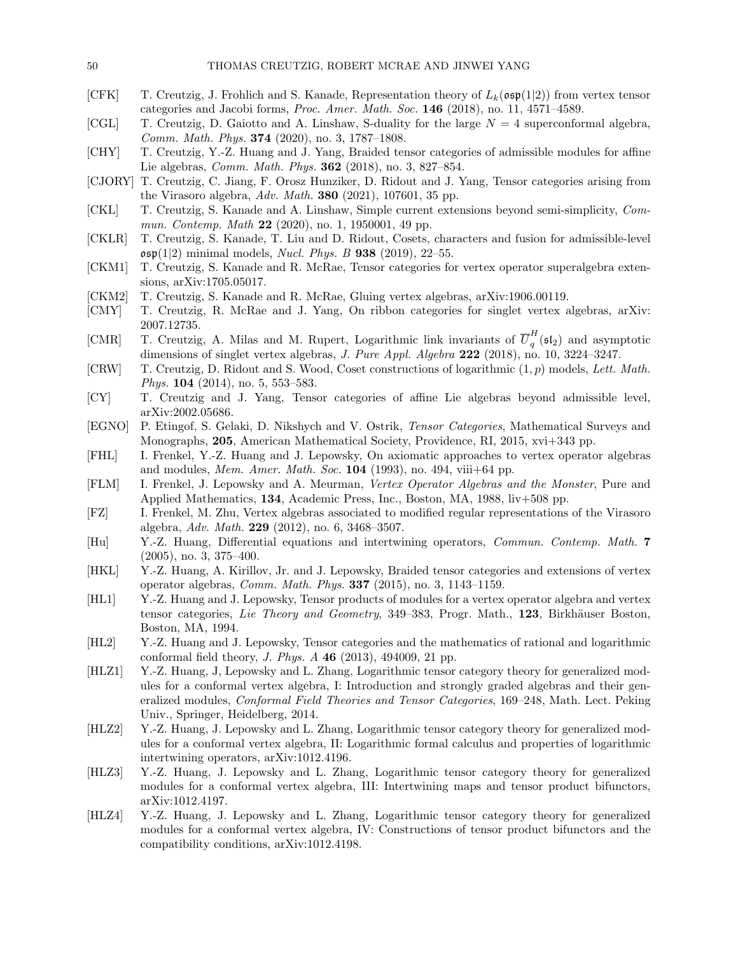- <span id="page-49-21"></span>[CFK] T. Creutzig, J. Frohlich and S. Kanade, Representation theory of  $L_k(\mathfrak{osp}(1|2))$  from vertex tensor categories and Jacobi forms, Proc. Amer. Math. Soc. 146 (2018), no. 11, 4571–4589.
- <span id="page-49-10"></span>[CGL] T. Creutzig, D. Gaiotto and A. Linshaw, S-duality for the large  $N = 4$  superconformal algebra, Comm. Math. Phys. 374 (2020), no. 3, 1787–1808.
- <span id="page-49-8"></span>[CHY] T. Creutzig, Y.-Z. Huang and J. Yang, Braided tensor categories of admissible modules for affine Lie algebras, Comm. Math. Phys. 362 (2018), no. 3, 827–854.
- <span id="page-49-2"></span>[CJORY] T. Creutzig, C. Jiang, F. Orosz Hunziker, D. Ridout and J. Yang, Tensor categories arising from the Virasoro algebra, Adv. Math. 380 (2021), 107601, 35 pp.
- <span id="page-49-16"></span>[CKL] T. Creutzig, S. Kanade and A. Linshaw, Simple current extensions beyond semi-simplicity, Commun. Contemp. Math 22 (2020), no. 1, 1950001, 49 pp.
- <span id="page-49-22"></span>[CKLR] T. Creutzig, S. Kanade, T. Liu and D. Ridout, Cosets, characters and fusion for admissible-level  $\mathfrak{osp}(1|2)$  minimal models, *Nucl. Phys. B* 938 (2019), 22–55.
- <span id="page-49-4"></span>[CKM1] T. Creutzig, S. Kanade and R. McRae, Tensor categories for vertex operator superalgebra extensions, arXiv:1705.05017.
- <span id="page-49-19"></span>[CKM2] T. Creutzig, S. Kanade and R. McRae, Gluing vertex algebras, arXiv:1906.00119.
- <span id="page-49-9"></span>[CMY] T. Creutzig, R. McRae and J. Yang, On ribbon categories for singlet vertex algebras, arXiv: 2007.12735.
- <span id="page-49-17"></span>[CMR] T. Creutzig, A. Milas and M. Rupert, Logarithmic link invariants of  $\overline{U}_q^H$  $\frac{1}{q}$  ( $\mathfrak{sl}_2$ ) and asymptotic dimensions of singlet vertex algebras, J. Pure Appl. Algebra 222 (2018), no. 10, 3224-3247.
- <span id="page-49-18"></span>[CRW] T. Creutzig, D. Ridout and S. Wood, Coset constructions of logarithmic  $(1, p)$  models, Lett. Math. Phys. 104 (2014), no. 5, 553–583.
- <span id="page-49-7"></span>[CY] T. Creutzig and J. Yang, Tensor categories of affine Lie algebras beyond admissible level, arXiv:2002.05686.
- <span id="page-49-5"></span>[EGNO] P. Etingof, S. Gelaki, D. Nikshych and V. Ostrik, Tensor Categories, Mathematical Surveys and Monographs, 205, American Mathematical Society, Providence, RI, 2015, xvi+343 pp.
- <span id="page-49-13"></span>[FHL] I. Frenkel, Y.-Z. Huang and J. Lepowsky, On axiomatic approaches to vertex operator algebras and modules, Mem. Amer. Math. Soc.  $104$  (1993), no. 494, viii+64 pp.
- <span id="page-49-11"></span>[FLM] I. Frenkel, J. Lepowsky and A. Meurman, Vertex Operator Algebras and the Monster, Pure and Applied Mathematics, 134, Academic Press, Inc., Boston, MA, 1988, liv+508 pp.
- <span id="page-49-20"></span>[FZ] I. Frenkel, M. Zhu, Vertex algebras associated to modified regular representations of the Virasoro algebra, Adv. Math. 229 (2012), no. 6, 3468-3507.
- <span id="page-49-14"></span>[Hu] Y.-Z. Huang, Differential equations and intertwining operators, Commun. Contemp. Math. 7 (2005), no. 3, 375–400.
- <span id="page-49-3"></span>[HKL] Y.-Z. Huang, A. Kirillov, Jr. and J. Lepowsky, Braided tensor categories and extensions of vertex operator algebras, Comm. Math. Phys. 337 (2015), no. 3, 1143–1159.
- <span id="page-49-0"></span>[HL1] Y.-Z. Huang and J. Lepowsky, Tensor products of modules for a vertex operator algebra and vertex tensor categories, Lie Theory and Geometry, 349–383, Progr. Math., 123, Birkhäuser Boston, Boston, MA, 1994.
- <span id="page-49-12"></span>[HL2] Y.-Z. Huang and J. Lepowsky, Tensor categories and the mathematics of rational and logarithmic conformal field theory, J. Phys. A 46 (2013), 494009, 21 pp.
- <span id="page-49-1"></span>[HLZ1] Y.-Z. Huang, J, Lepowsky and L. Zhang, Logarithmic tensor category theory for generalized modules for a conformal vertex algebra, I: Introduction and strongly graded algebras and their generalized modules, Conformal Field Theories and Tensor Categories, 169–248, Math. Lect. Peking Univ., Springer, Heidelberg, 2014.
- <span id="page-49-15"></span>[HLZ2] Y.-Z. Huang, J. Lepowsky and L. Zhang, Logarithmic tensor category theory for generalized modules for a conformal vertex algebra, II: Logarithmic formal calculus and properties of logarithmic intertwining operators, arXiv:1012.4196.
- <span id="page-49-6"></span>[HLZ3] Y.-Z. Huang, J. Lepowsky and L. Zhang, Logarithmic tensor category theory for generalized modules for a conformal vertex algebra, III: Intertwining maps and tensor product bifunctors, arXiv:1012.4197.
- [HLZ4] Y.-Z. Huang, J. Lepowsky and L. Zhang, Logarithmic tensor category theory for generalized modules for a conformal vertex algebra, IV: Constructions of tensor product bifunctors and the compatibility conditions, arXiv:1012.4198.